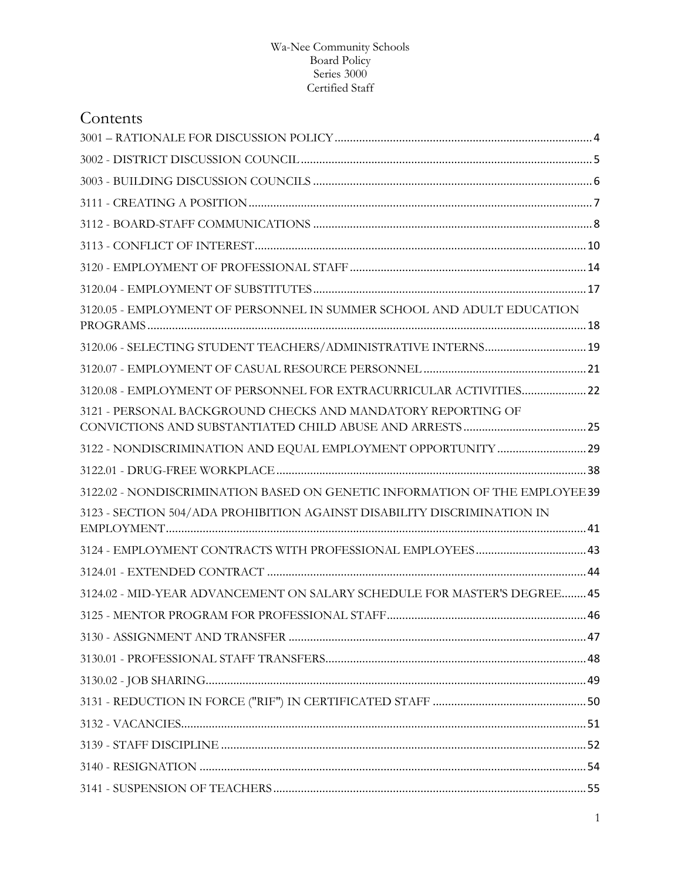| Contents                                                                    |  |
|-----------------------------------------------------------------------------|--|
|                                                                             |  |
|                                                                             |  |
|                                                                             |  |
|                                                                             |  |
|                                                                             |  |
|                                                                             |  |
|                                                                             |  |
|                                                                             |  |
| 3120.05 - EMPLOYMENT OF PERSONNEL IN SUMMER SCHOOL AND ADULT EDUCATION      |  |
| 3120.06 - SELECTING STUDENT TEACHERS/ADMINISTRATIVE INTERNS 19              |  |
|                                                                             |  |
| 3120.08 - EMPLOYMENT OF PERSONNEL FOR EXTRACURRICULAR ACTIVITIES 22         |  |
| 3121 - PERSONAL BACKGROUND CHECKS AND MANDATORY REPORTING OF                |  |
|                                                                             |  |
|                                                                             |  |
| 3122.02 - NONDISCRIMINATION BASED ON GENETIC INFORMATION OF THE EMPLOYEE 39 |  |
| 3123 - SECTION 504/ADA PROHIBITION AGAINST DISABILITY DISCRIMINATION IN     |  |
|                                                                             |  |
|                                                                             |  |
| 3124.02 - MID-YEAR ADVANCEMENT ON SALARY SCHEDULE FOR MASTER'S DEGREE 45    |  |
|                                                                             |  |
|                                                                             |  |
|                                                                             |  |
|                                                                             |  |
|                                                                             |  |
|                                                                             |  |
|                                                                             |  |
|                                                                             |  |
|                                                                             |  |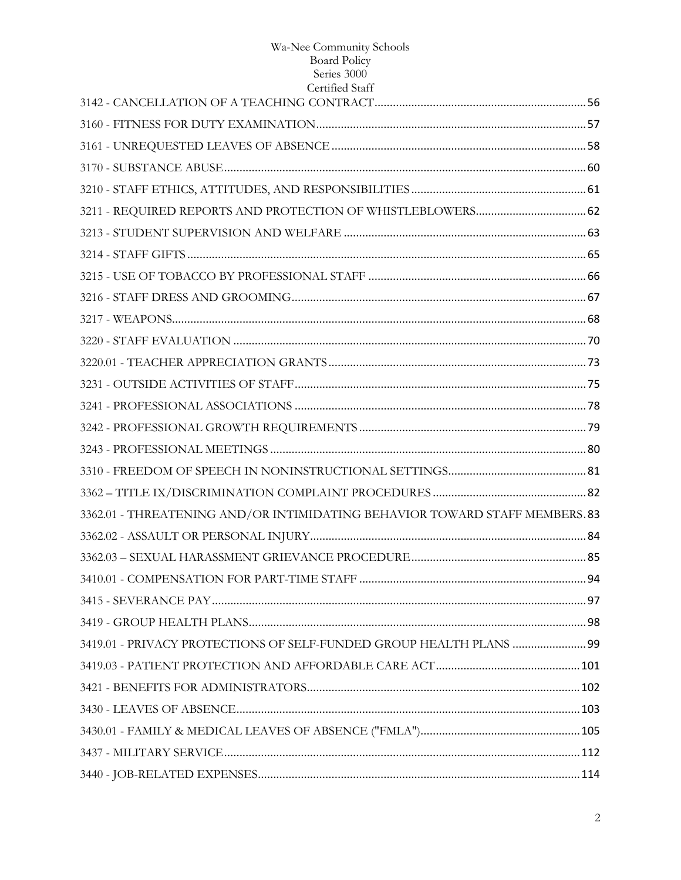| Certified Staff                                                             |  |
|-----------------------------------------------------------------------------|--|
|                                                                             |  |
|                                                                             |  |
|                                                                             |  |
|                                                                             |  |
|                                                                             |  |
|                                                                             |  |
|                                                                             |  |
|                                                                             |  |
|                                                                             |  |
|                                                                             |  |
|                                                                             |  |
|                                                                             |  |
|                                                                             |  |
|                                                                             |  |
|                                                                             |  |
|                                                                             |  |
|                                                                             |  |
|                                                                             |  |
|                                                                             |  |
| 3362.01 - THREATENING AND/OR INTIMIDATING BEHAVIOR TOWARD STAFF MEMBERS. 83 |  |
|                                                                             |  |
|                                                                             |  |
|                                                                             |  |
|                                                                             |  |
|                                                                             |  |
| 3419.01 - PRIVACY PROTECTIONS OF SELF-FUNDED GROUP HEALTH PLANS  99         |  |
|                                                                             |  |
|                                                                             |  |
|                                                                             |  |
|                                                                             |  |
|                                                                             |  |
|                                                                             |  |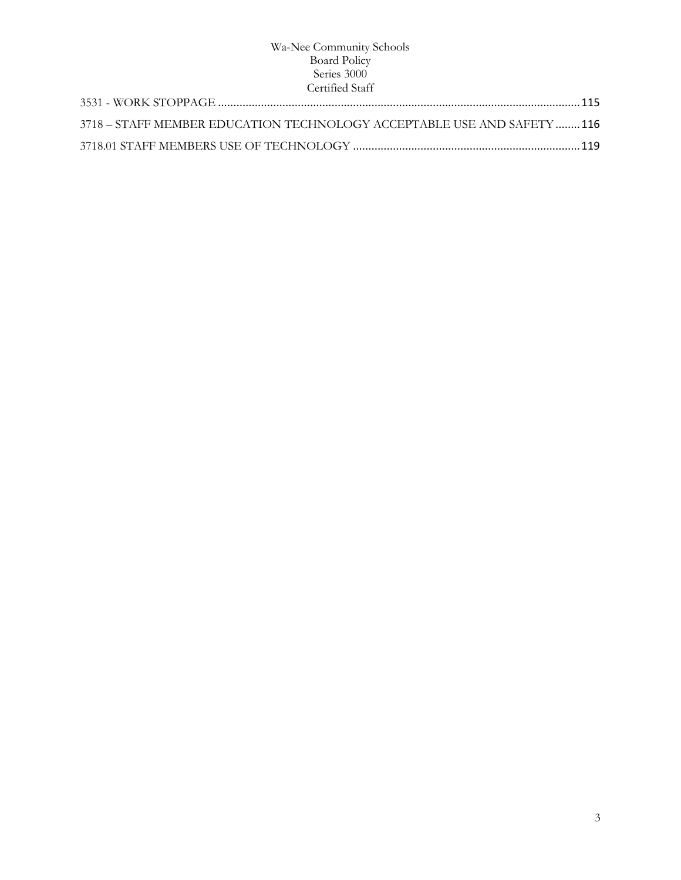| 3718 – STAFF MEMBER EDUCATION TECHNOLOGY ACCEPTABLE USE AND SAFETY 116 |  |
|------------------------------------------------------------------------|--|
|                                                                        |  |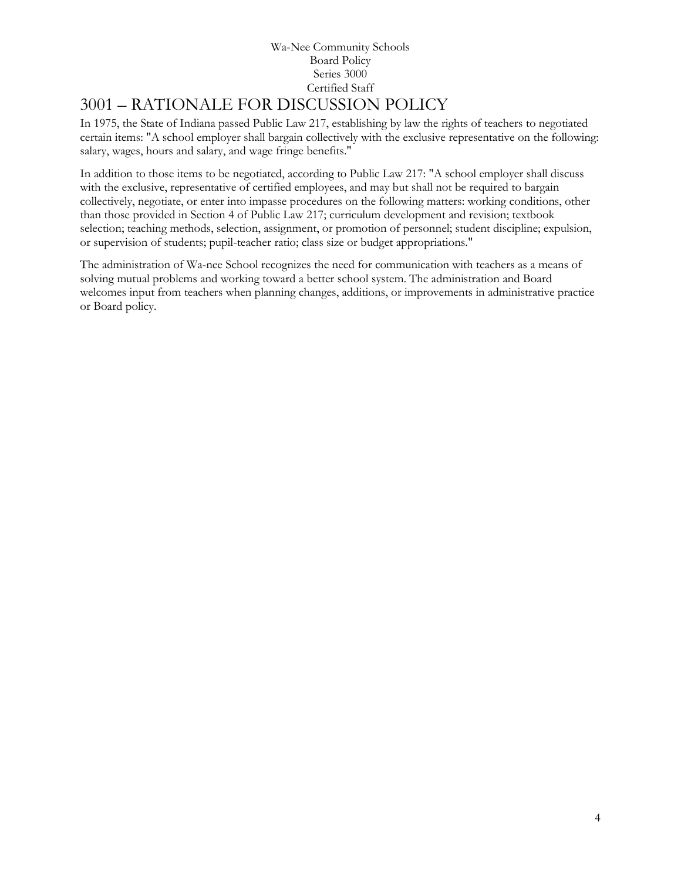# Wa-Nee Community Schools Board Policy Series 3000 Certified Staff 3001 – RATIONALE FOR DISCUSSION POLICY

<span id="page-3-0"></span>In 1975, the State of Indiana passed Public Law 217, establishing by law the rights of teachers to negotiated certain items: "A school employer shall bargain collectively with the exclusive representative on the following: salary, wages, hours and salary, and wage fringe benefits."

In addition to those items to be negotiated, according to Public Law 217: "A school employer shall discuss with the exclusive, representative of certified employees, and may but shall not be required to bargain collectively, negotiate, or enter into impasse procedures on the following matters: working conditions, other than those provided in Section 4 of Public Law 217; curriculum development and revision; textbook selection; teaching methods, selection, assignment, or promotion of personnel; student discipline; expulsion, or supervision of students; pupil-teacher ratio; class size or budget appropriations."

The administration of Wa-nee School recognizes the need for communication with teachers as a means of solving mutual problems and working toward a better school system. The administration and Board welcomes input from teachers when planning changes, additions, or improvements in administrative practice or Board policy.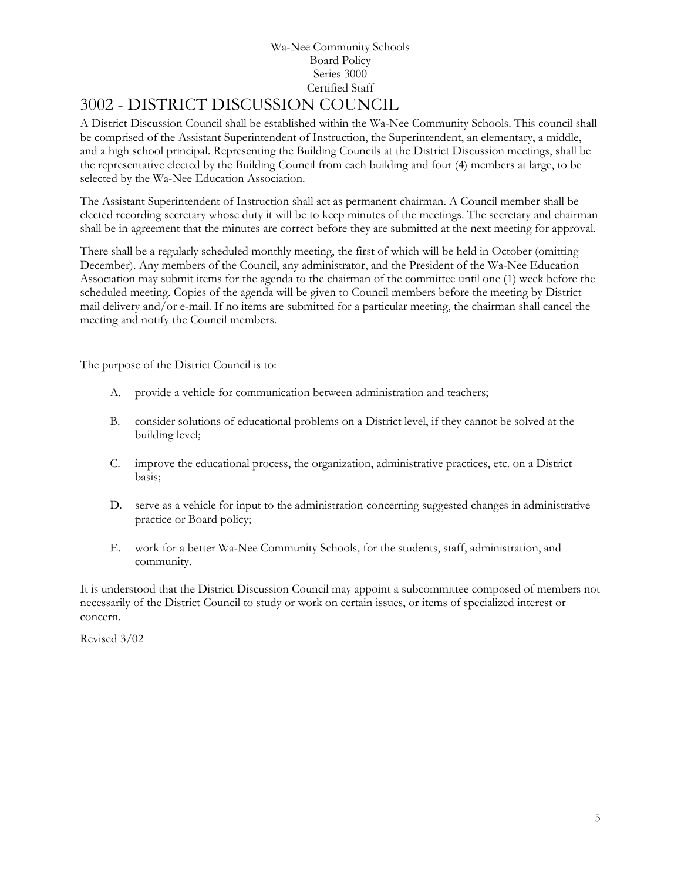# <span id="page-4-0"></span>3002 - DISTRICT DISCUSSION COUNCIL

A District Discussion Council shall be established within the Wa-Nee Community Schools. This council shall be comprised of the Assistant Superintendent of Instruction, the Superintendent, an elementary, a middle, and a high school principal. Representing the Building Councils at the District Discussion meetings, shall be the representative elected by the Building Council from each building and four (4) members at large, to be selected by the Wa-Nee Education Association.

The Assistant Superintendent of Instruction shall act as permanent chairman. A Council member shall be elected recording secretary whose duty it will be to keep minutes of the meetings. The secretary and chairman shall be in agreement that the minutes are correct before they are submitted at the next meeting for approval.

There shall be a regularly scheduled monthly meeting, the first of which will be held in October (omitting December). Any members of the Council, any administrator, and the President of the Wa-Nee Education Association may submit items for the agenda to the chairman of the committee until one (1) week before the scheduled meeting. Copies of the agenda will be given to Council members before the meeting by District mail delivery and/or e-mail. If no items are submitted for a particular meeting, the chairman shall cancel the meeting and notify the Council members.

The purpose of the District Council is to:

- A. provide a vehicle for communication between administration and teachers;
- B. consider solutions of educational problems on a District level, if they cannot be solved at the building level;
- C. improve the educational process, the organization, administrative practices, etc. on a District basis;
- D. serve as a vehicle for input to the administration concerning suggested changes in administrative practice or Board policy;
- E. work for a better Wa-Nee Community Schools, for the students, staff, administration, and community.

It is understood that the District Discussion Council may appoint a subcommittee composed of members not necessarily of the District Council to study or work on certain issues, or items of specialized interest or concern.

Revised 3/02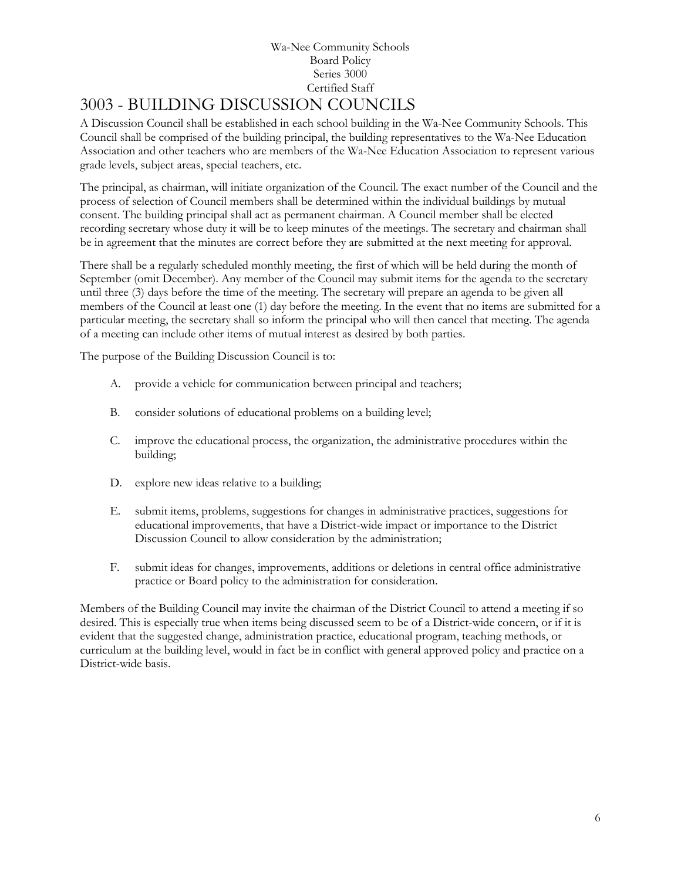# <span id="page-5-0"></span>3003 - BUILDING DISCUSSION COUNCILS

A Discussion Council shall be established in each school building in the Wa-Nee Community Schools. This Council shall be comprised of the building principal, the building representatives to the Wa-Nee Education Association and other teachers who are members of the Wa-Nee Education Association to represent various grade levels, subject areas, special teachers, etc.

The principal, as chairman, will initiate organization of the Council. The exact number of the Council and the process of selection of Council members shall be determined within the individual buildings by mutual consent. The building principal shall act as permanent chairman. A Council member shall be elected recording secretary whose duty it will be to keep minutes of the meetings. The secretary and chairman shall be in agreement that the minutes are correct before they are submitted at the next meeting for approval.

There shall be a regularly scheduled monthly meeting, the first of which will be held during the month of September (omit December). Any member of the Council may submit items for the agenda to the secretary until three (3) days before the time of the meeting. The secretary will prepare an agenda to be given all members of the Council at least one (1) day before the meeting. In the event that no items are submitted for a particular meeting, the secretary shall so inform the principal who will then cancel that meeting. The agenda of a meeting can include other items of mutual interest as desired by both parties.

The purpose of the Building Discussion Council is to:

- A. provide a vehicle for communication between principal and teachers;
- B. consider solutions of educational problems on a building level;
- C. improve the educational process, the organization, the administrative procedures within the building;
- D. explore new ideas relative to a building;
- E. submit items, problems, suggestions for changes in administrative practices, suggestions for educational improvements, that have a District-wide impact or importance to the District Discussion Council to allow consideration by the administration;
- F. submit ideas for changes, improvements, additions or deletions in central office administrative practice or Board policy to the administration for consideration.

Members of the Building Council may invite the chairman of the District Council to attend a meeting if so desired. This is especially true when items being discussed seem to be of a District-wide concern, or if it is evident that the suggested change, administration practice, educational program, teaching methods, or curriculum at the building level, would in fact be in conflict with general approved policy and practice on a District-wide basis.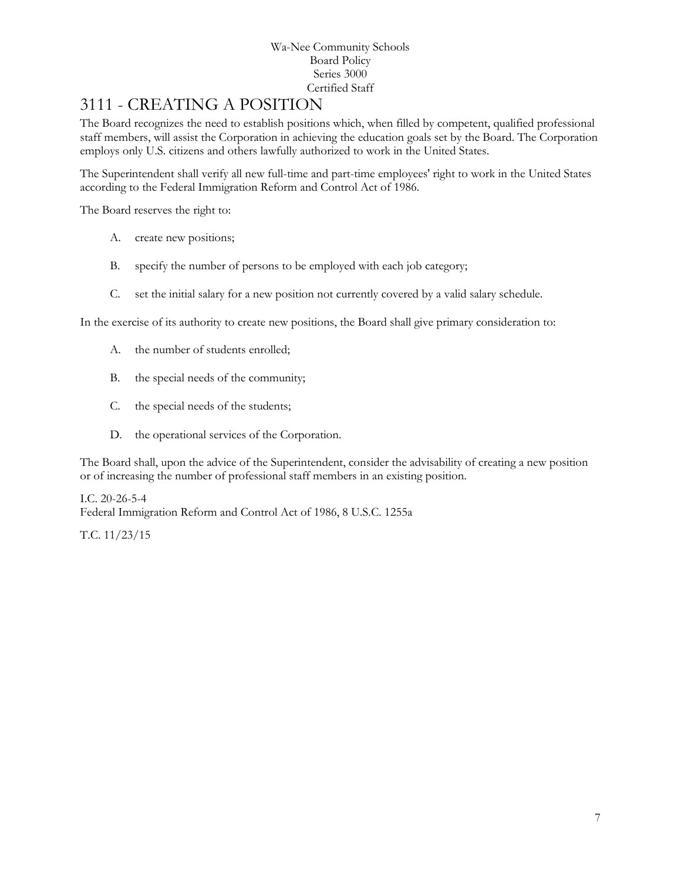# <span id="page-6-0"></span>3111 - CREATING A POSITION

The Board recognizes the need to establish positions which, when filled by competent, qualified professional staff members, will assist the Corporation in achieving the education goals set by the Board. The Corporation employs only U.S. citizens and others lawfully authorized to work in the United States.

The Superintendent shall verify all new full-time and part-time employees' right to work in the United States according to the Federal Immigration Reform and Control Act of 1986.

The Board reserves the right to:

- A. create new positions;
- B. specify the number of persons to be employed with each job category;
- C. set the initial salary for a new position not currently covered by a valid salary schedule.

In the exercise of its authority to create new positions, the Board shall give primary consideration to:

- A. the number of students enrolled;
- B. the special needs of the community;
- C. the special needs of the students;
- D. the operational services of the Corporation.

The Board shall, upon the advice of the Superintendent, consider the advisability of creating a new position or of increasing the number of professional staff members in an existing position.

I.C. 20-26-5-4 Federal Immigration Reform and Control Act of 1986, 8 U.S.C. 1255a

T.C. 11/23/15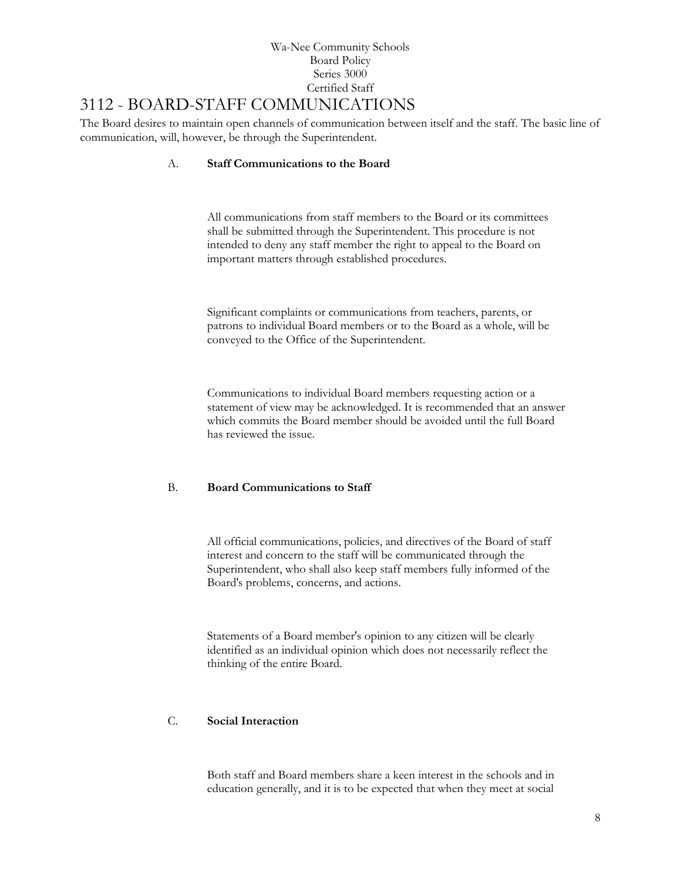# <span id="page-7-0"></span>3112 - BOARD-STAFF COMMUNICATIONS

The Board desires to maintain open channels of communication between itself and the staff. The basic line of communication, will, however, be through the Superintendent.

# A. **Staff Communications to the Board**

All communications from staff members to the Board or its committees shall be submitted through the Superintendent. This procedure is not intended to deny any staff member the right to appeal to the Board on important matters through established procedures.

Significant complaints or communications from teachers, parents, or patrons to individual Board members or to the Board as a whole, will be conveyed to the Office of the Superintendent.

Communications to individual Board members requesting action or a statement of view may be acknowledged. It is recommended that an answer which commits the Board member should be avoided until the full Board has reviewed the issue.

# B. **Board Communications to Staff**

All official communications, policies, and directives of the Board of staff interest and concern to the staff will be communicated through the Superintendent, who shall also keep staff members fully informed of the Board's problems, concerns, and actions.

Statements of a Board member's opinion to any citizen will be clearly identified as an individual opinion which does not necessarily reflect the thinking of the entire Board.

# C. **Social Interaction**

Both staff and Board members share a keen interest in the schools and in education generally, and it is to be expected that when they meet at social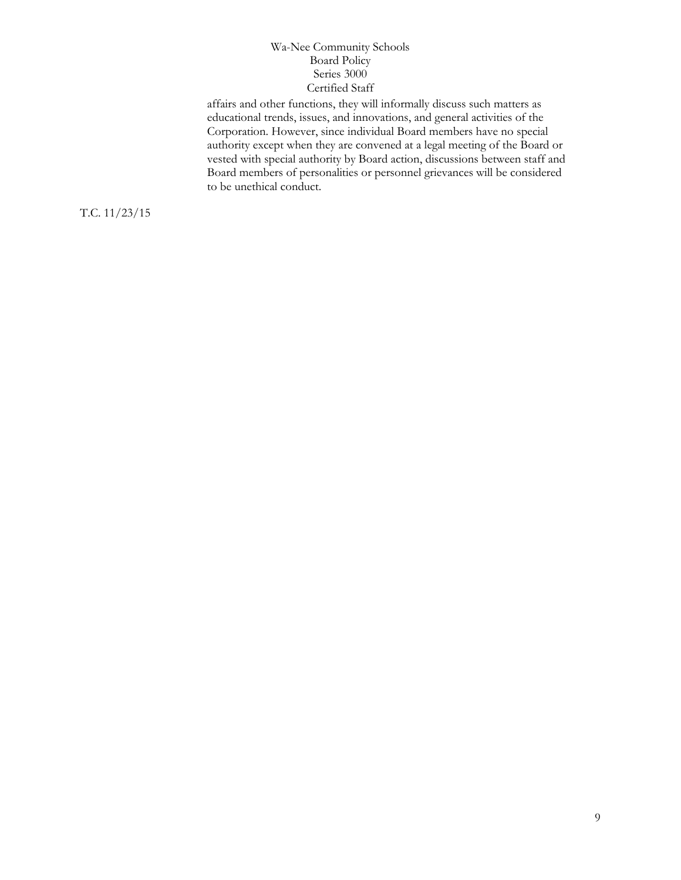affairs and other functions, they will informally discuss such matters as educational trends, issues, and innovations, and general activities of the Corporation. However, since individual Board members have no special authority except when they are convened at a legal meeting of the Board or vested with special authority by Board action, discussions between staff and Board members of personalities or personnel grievances will be considered to be unethical conduct.

T.C. 11/23/15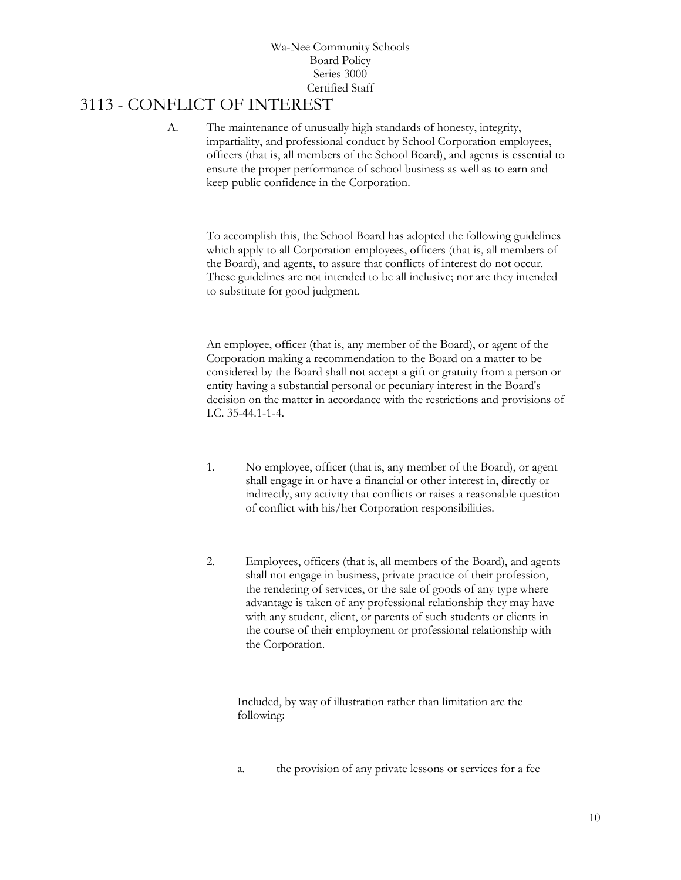# <span id="page-9-0"></span>3113 - CONFLICT OF INTEREST

A. The maintenance of unusually high standards of honesty, integrity, impartiality, and professional conduct by School Corporation employees, officers (that is, all members of the School Board), and agents is essential to ensure the proper performance of school business as well as to earn and keep public confidence in the Corporation.

To accomplish this, the School Board has adopted the following guidelines which apply to all Corporation employees, officers (that is, all members of the Board), and agents, to assure that conflicts of interest do not occur. These guidelines are not intended to be all inclusive; nor are they intended to substitute for good judgment.

An employee, officer (that is, any member of the Board), or agent of the Corporation making a recommendation to the Board on a matter to be considered by the Board shall not accept a gift or gratuity from a person or entity having a substantial personal or pecuniary interest in the Board's decision on the matter in accordance with the restrictions and provisions of I.C. 35-44.1-1-4.

- 1. No employee, officer (that is, any member of the Board), or agent shall engage in or have a financial or other interest in, directly or indirectly, any activity that conflicts or raises a reasonable question of conflict with his/her Corporation responsibilities.
- 2. Employees, officers (that is, all members of the Board), and agents shall not engage in business, private practice of their profession, the rendering of services, or the sale of goods of any type where advantage is taken of any professional relationship they may have with any student, client, or parents of such students or clients in the course of their employment or professional relationship with the Corporation.

Included, by way of illustration rather than limitation are the following:

a. the provision of any private lessons or services for a fee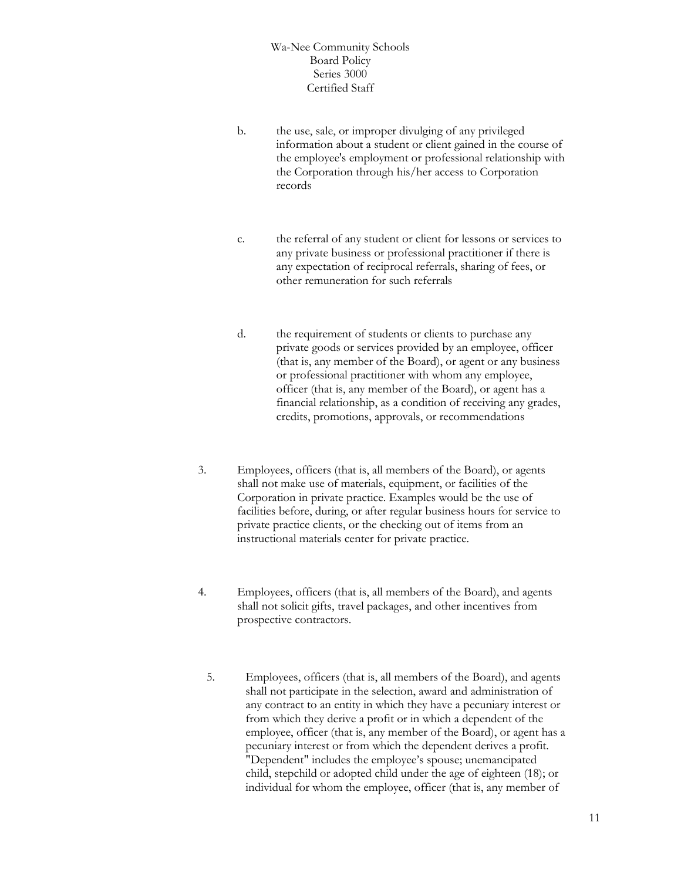- b. the use, sale, or improper divulging of any privileged information about a student or client gained in the course of the employee's employment or professional relationship with the Corporation through his/her access to Corporation records
- c. the referral of any student or client for lessons or services to any private business or professional practitioner if there is any expectation of reciprocal referrals, sharing of fees, or other remuneration for such referrals
- d. the requirement of students or clients to purchase any private goods or services provided by an employee, officer (that is, any member of the Board), or agent or any business or professional practitioner with whom any employee, officer (that is, any member of the Board), or agent has a financial relationship, as a condition of receiving any grades, credits, promotions, approvals, or recommendations
- 3. Employees, officers (that is, all members of the Board), or agents shall not make use of materials, equipment, or facilities of the Corporation in private practice. Examples would be the use of facilities before, during, or after regular business hours for service to private practice clients, or the checking out of items from an instructional materials center for private practice.
- 4. Employees, officers (that is, all members of the Board), and agents shall not solicit gifts, travel packages, and other incentives from prospective contractors.
	- 5. Employees, officers (that is, all members of the Board), and agents shall not participate in the selection, award and administration of any contract to an entity in which they have a pecuniary interest or from which they derive a profit or in which a dependent of the employee, officer (that is, any member of the Board), or agent has a pecuniary interest or from which the dependent derives a profit. "Dependent" includes the employee's spouse; unemancipated child, stepchild or adopted child under the age of eighteen (18); or individual for whom the employee, officer (that is, any member of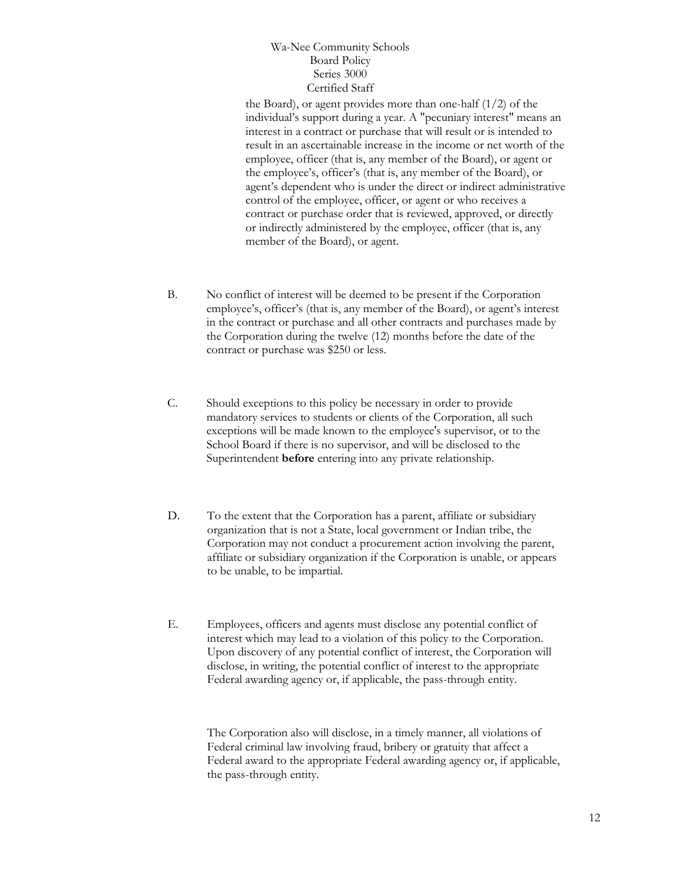the Board), or agent provides more than one-half (1/2) of the individual's support during a year. A "pecuniary interest" means an interest in a contract or purchase that will result or is intended to result in an ascertainable increase in the income or net worth of the employee, officer (that is, any member of the Board), or agent or the employee's, officer's (that is, any member of the Board), or agent's dependent who is under the direct or indirect administrative control of the employee, officer, or agent or who receives a contract or purchase order that is reviewed, approved, or directly or indirectly administered by the employee, officer (that is, any member of the Board), or agent.

- B. No conflict of interest will be deemed to be present if the Corporation employee's, officer's (that is, any member of the Board), or agent's interest in the contract or purchase and all other contracts and purchases made by the Corporation during the twelve (12) months before the date of the contract or purchase was \$250 or less.
- C. Should exceptions to this policy be necessary in order to provide mandatory services to students or clients of the Corporation, all such exceptions will be made known to the employee's supervisor, or to the School Board if there is no supervisor, and will be disclosed to the Superintendent **before** entering into any private relationship.
- D. To the extent that the Corporation has a parent, affiliate or subsidiary organization that is not a State, local government or Indian tribe, the Corporation may not conduct a procurement action involving the parent, affiliate or subsidiary organization if the Corporation is unable, or appears to be unable, to be impartial.
- E. Employees, officers and agents must disclose any potential conflict of interest which may lead to a violation of this policy to the Corporation. Upon discovery of any potential conflict of interest, the Corporation will disclose, in writing, the potential conflict of interest to the appropriate Federal awarding agency or, if applicable, the pass-through entity.

The Corporation also will disclose, in a timely manner, all violations of Federal criminal law involving fraud, bribery or gratuity that affect a Federal award to the appropriate Federal awarding agency or, if applicable, the pass-through entity.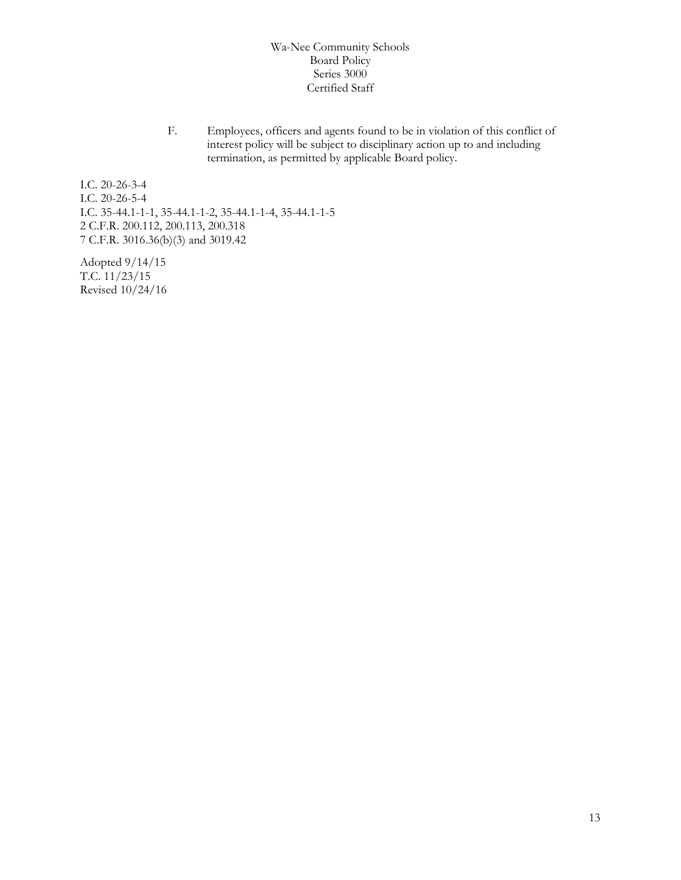F. Employees, officers and agents found to be in violation of this conflict of interest policy will be subject to disciplinary action up to and including termination, as permitted by applicable Board policy.

I.C. 20-26-3-4 I.C. 20-26-5-4 I.C. 35-44.1-1-1, 35-44.1-1-2, 35-44.1-1-4, 35-44.1-1-5 2 C.F.R. 200.112, 200.113, 200.318 7 C.F.R. 3016.36(b)(3) and 3019.42

Adopted 9/14/15 T.C. 11/23/15 Revised 10/24/16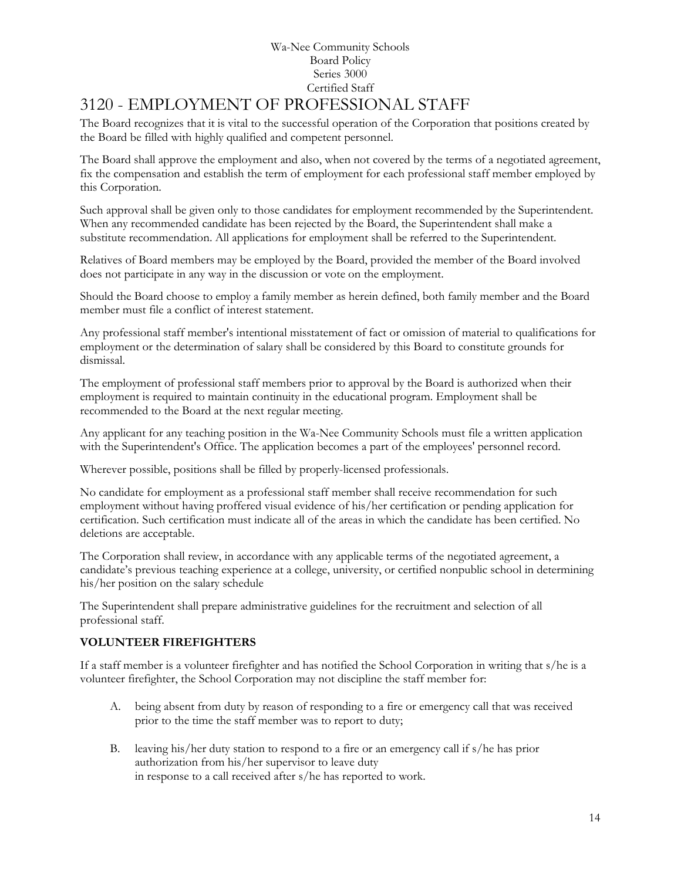# <span id="page-13-0"></span>3120 - EMPLOYMENT OF PROFESSIONAL STAFF

The Board recognizes that it is vital to the successful operation of the Corporation that positions created by the Board be filled with highly qualified and competent personnel.

The Board shall approve the employment and also, when not covered by the terms of a negotiated agreement, fix the compensation and establish the term of employment for each professional staff member employed by this Corporation.

Such approval shall be given only to those candidates for employment recommended by the Superintendent. When any recommended candidate has been rejected by the Board, the Superintendent shall make a substitute recommendation. All applications for employment shall be referred to the Superintendent.

Relatives of Board members may be employed by the Board, provided the member of the Board involved does not participate in any way in the discussion or vote on the employment.

Should the Board choose to employ a family member as herein defined, both family member and the Board member must file a conflict of interest statement.

Any professional staff member's intentional misstatement of fact or omission of material to qualifications for employment or the determination of salary shall be considered by this Board to constitute grounds for dismissal.

The employment of professional staff members prior to approval by the Board is authorized when their employment is required to maintain continuity in the educational program. Employment shall be recommended to the Board at the next regular meeting.

Any applicant for any teaching position in the Wa-Nee Community Schools must file a written application with the Superintendent's Office. The application becomes a part of the employees' personnel record.

Wherever possible, positions shall be filled by properly-licensed professionals.

No candidate for employment as a professional staff member shall receive recommendation for such employment without having proffered visual evidence of his/her certification or pending application for certification. Such certification must indicate all of the areas in which the candidate has been certified. No deletions are acceptable.

The Corporation shall review, in accordance with any applicable terms of the negotiated agreement, a candidate's previous teaching experience at a college, university, or certified nonpublic school in determining his/her position on the salary schedule

The Superintendent shall prepare administrative guidelines for the recruitment and selection of all professional staff.

# **VOLUNTEER FIREFIGHTERS**

If a staff member is a volunteer firefighter and has notified the School Corporation in writing that s/he is a volunteer firefighter, the School Corporation may not discipline the staff member for:

- A. being absent from duty by reason of responding to a fire or emergency call that was received prior to the time the staff member was to report to duty;
- B. leaving his/her duty station to respond to a fire or an emergency call if s/he has prior authorization from his/her supervisor to leave duty in response to a call received after s/he has reported to work.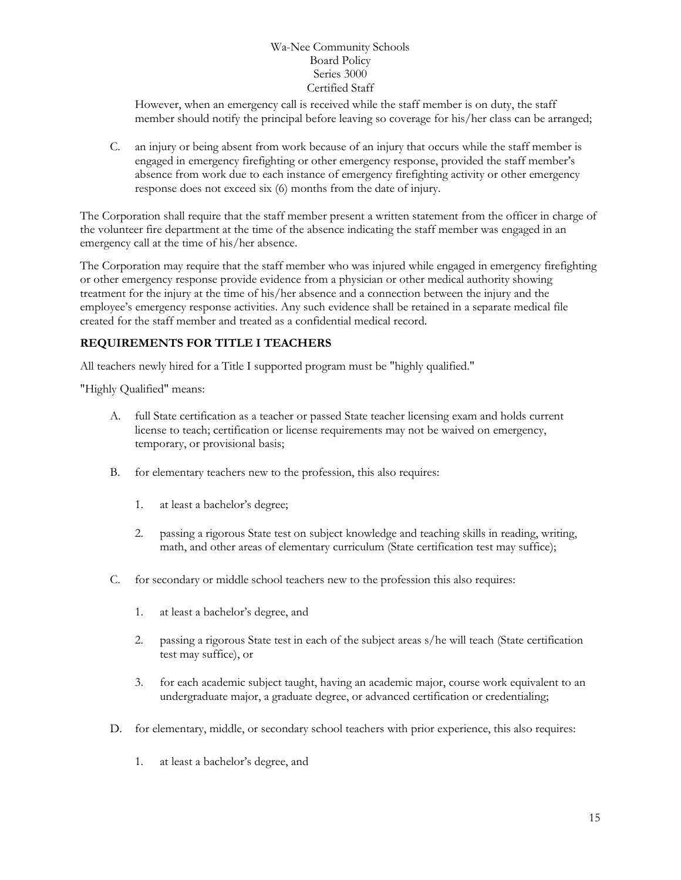However, when an emergency call is received while the staff member is on duty, the staff member should notify the principal before leaving so coverage for his/her class can be arranged;

C. an injury or being absent from work because of an injury that occurs while the staff member is engaged in emergency firefighting or other emergency response, provided the staff member's absence from work due to each instance of emergency firefighting activity or other emergency response does not exceed six (6) months from the date of injury.

The Corporation shall require that the staff member present a written statement from the officer in charge of the volunteer fire department at the time of the absence indicating the staff member was engaged in an emergency call at the time of his/her absence.

The Corporation may require that the staff member who was injured while engaged in emergency firefighting or other emergency response provide evidence from a physician or other medical authority showing treatment for the injury at the time of his/her absence and a connection between the injury and the employee's emergency response activities. Any such evidence shall be retained in a separate medical file created for the staff member and treated as a confidential medical record.

# **REQUIREMENTS FOR TITLE I TEACHERS**

All teachers newly hired for a Title I supported program must be "highly qualified."

"Highly Qualified" means:

- A. full State certification as a teacher or passed State teacher licensing exam and holds current license to teach; certification or license requirements may not be waived on emergency, temporary, or provisional basis;
- B. for elementary teachers new to the profession, this also requires:
	- 1. at least a bachelor's degree;
	- 2. passing a rigorous State test on subject knowledge and teaching skills in reading, writing, math, and other areas of elementary curriculum (State certification test may suffice);
- C. for secondary or middle school teachers new to the profession this also requires:
	- 1. at least a bachelor's degree, and
	- 2. passing a rigorous State test in each of the subject areas s/he will teach (State certification test may suffice), or
	- 3. for each academic subject taught, having an academic major, course work equivalent to an undergraduate major, a graduate degree, or advanced certification or credentialing;
- D. for elementary, middle, or secondary school teachers with prior experience, this also requires:
	- 1. at least a bachelor's degree, and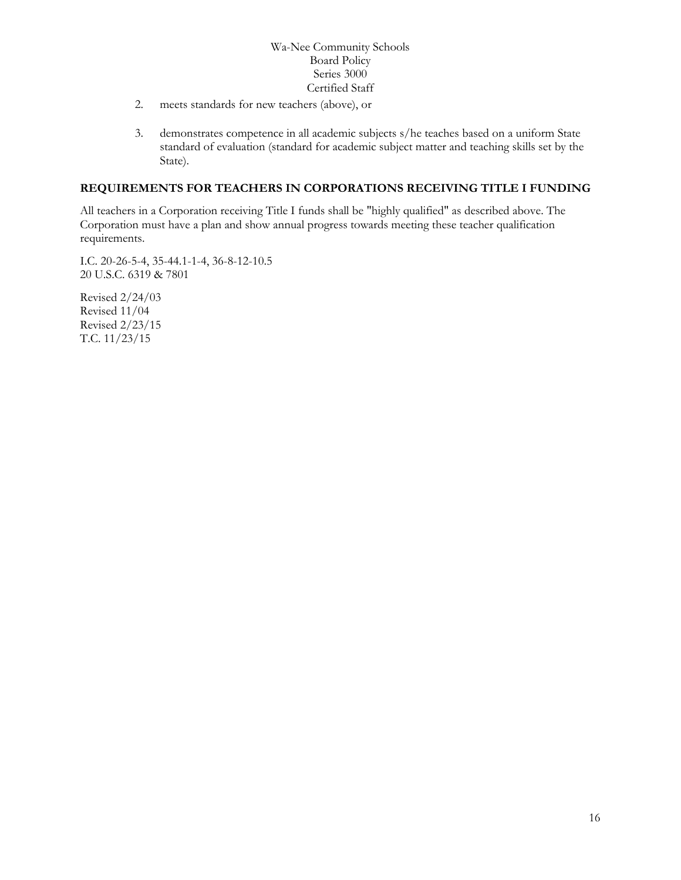- 2. meets standards for new teachers (above), or
- 3. demonstrates competence in all academic subjects s/he teaches based on a uniform State standard of evaluation (standard for academic subject matter and teaching skills set by the State).

## **REQUIREMENTS FOR TEACHERS IN CORPORATIONS RECEIVING TITLE I FUNDING**

All teachers in a Corporation receiving Title I funds shall be "highly qualified" as described above. The Corporation must have a plan and show annual progress towards meeting these teacher qualification requirements.

I.C. 20-26-5-4, 35-44.1-1-4, 36-8-12-10.5 20 U.S.C. 6319 & 7801

Revised 2/24/03 Revised 11/04 Revised 2/23/15 T.C. 11/23/15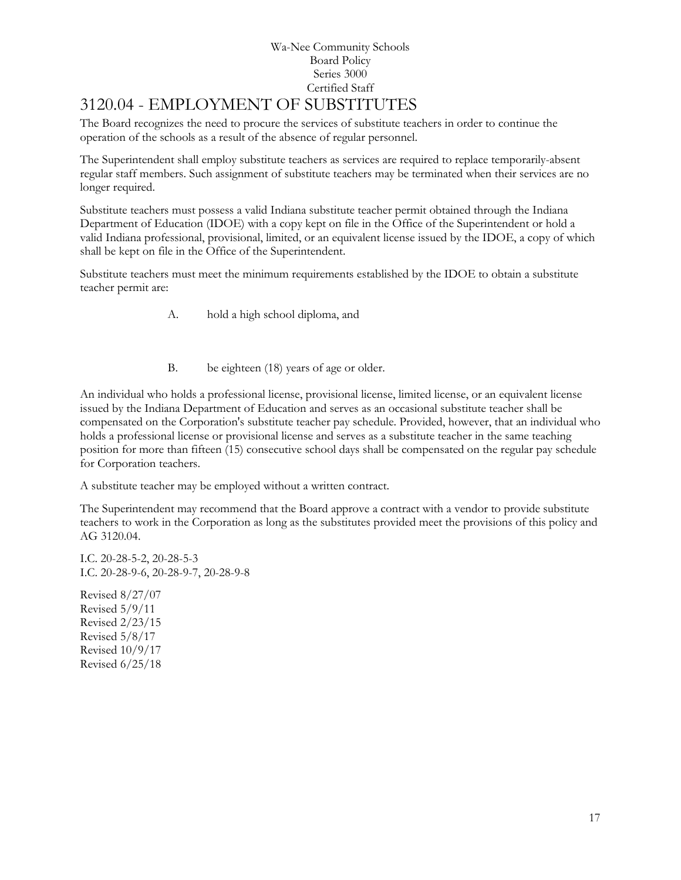# Wa-Nee Community Schools Board Policy Series 3000 Certified Staff [3120.04](http://www.neola.com/wanee-in/search/ag/ag3120.04.htm) - EMPLOYMENT OF SUBSTITUTES

<span id="page-16-0"></span>The Board recognizes the need to procure the services of substitute teachers in order to continue the operation of the schools as a result of the absence of regular personnel.

The Superintendent shall employ substitute teachers as services are required to replace temporarily-absent regular staff members. Such assignment of substitute teachers may be terminated when their services are no longer required.

Substitute teachers must possess a valid Indiana substitute teacher permit obtained through the Indiana Department of Education (IDOE) with a copy kept on file in the Office of the Superintendent or hold a valid Indiana professional, provisional, limited, or an equivalent license issued by the IDOE, a copy of which shall be kept on file in the Office of the Superintendent.

Substitute teachers must meet the minimum requirements established by the IDOE to obtain a substitute teacher permit are:

A. hold a high school diploma, and

B. be eighteen (18) years of age or older.

An individual who holds a professional license, provisional license, limited license, or an equivalent license issued by the Indiana Department of Education and serves as an occasional substitute teacher shall be compensated on the Corporation's substitute teacher pay schedule. Provided, however, that an individual who holds a professional license or provisional license and serves as a substitute teacher in the same teaching position for more than fifteen (15) consecutive school days shall be compensated on the regular pay schedule for Corporation teachers.

A substitute teacher may be employed without a written contract.

The Superintendent may recommend that the Board approve a contract with a vendor to provide substitute teachers to work in the Corporation as long as the substitutes provided meet the provisions of this policy and AG 3120.04.

I.C. 20-28-5-2, 20-28-5-3 I.C. 20-28-9-6, 20-28-9-7, 20-28-9-8

Revised 8/27/07 Revised 5/9/11 Revised 2/23/15 Revised 5/8/17 Revised 10/9/17 Revised 6/25/18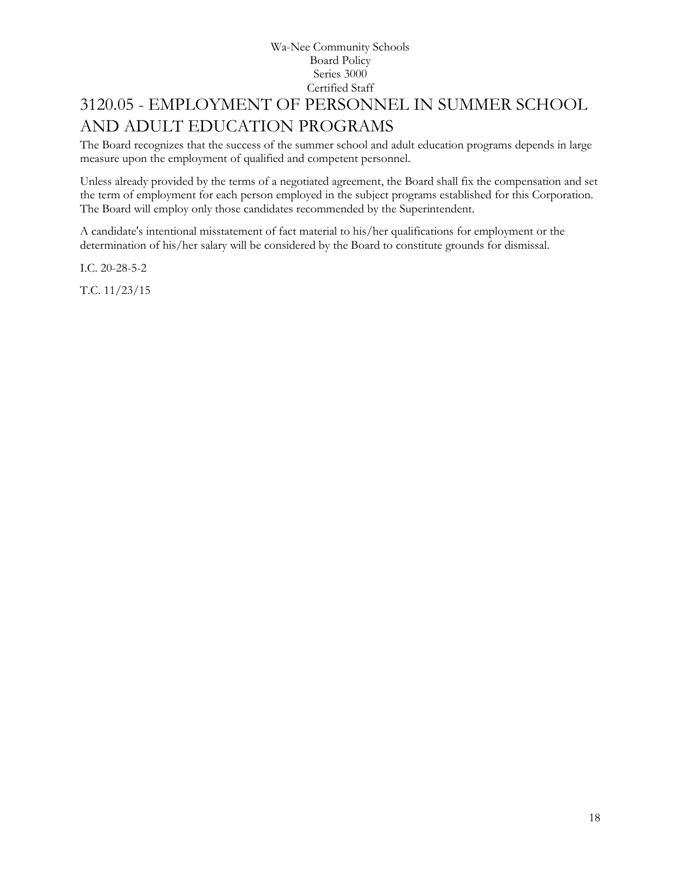# <span id="page-17-0"></span>[3120.05](http://www.neola.com/wanee-in/search/ag/ag3120.05.htm) - EMPLOYMENT OF PERSONNEL IN SUMMER SCHOOL AND ADULT EDUCATION PROGRAMS

The Board recognizes that the success of the summer school and adult education programs depends in large measure upon the employment of qualified and competent personnel.

Unless already provided by the terms of a negotiated agreement, the Board shall fix the compensation and set the term of employment for each person employed in the subject programs established for this Corporation. The Board will employ only those candidates recommended by the Superintendent.

A candidate's intentional misstatement of fact material to his/her qualifications for employment or the determination of his/her salary will be considered by the Board to constitute grounds for dismissal.

I.C. 20-28-5-2

T.C. 11/23/15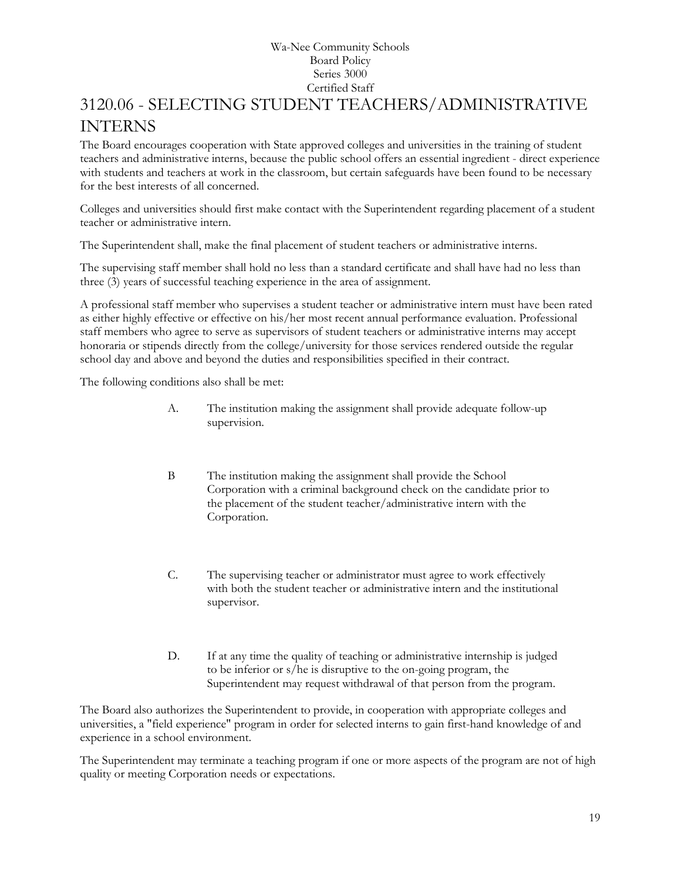# <span id="page-18-0"></span>3120.06 - SELECTING STUDENT TEACHERS/ADMINISTRATIVE INTERNS

The Board encourages cooperation with State approved colleges and universities in the training of student teachers and administrative interns, because the public school offers an essential ingredient - direct experience with students and teachers at work in the classroom, but certain safeguards have been found to be necessary for the best interests of all concerned.

Colleges and universities should first make contact with the Superintendent regarding placement of a student teacher or administrative intern.

The Superintendent shall, make the final placement of student teachers or administrative interns.

The supervising staff member shall hold no less than a standard certificate and shall have had no less than three (3) years of successful teaching experience in the area of assignment.

A professional staff member who supervises a student teacher or administrative intern must have been rated as either highly effective or effective on his/her most recent annual performance evaluation. Professional staff members who agree to serve as supervisors of student teachers or administrative interns may accept honoraria or stipends directly from the college/university for those services rendered outside the regular school day and above and beyond the duties and responsibilities specified in their contract.

The following conditions also shall be met:

- A. The institution making the assignment shall provide adequate follow-up supervision.
- B The institution making the assignment shall provide the School Corporation with a criminal background check on the candidate prior to the placement of the student teacher/administrative intern with the Corporation.
- C. The supervising teacher or administrator must agree to work effectively with both the student teacher or administrative intern and the institutional supervisor.
- D. If at any time the quality of teaching or administrative internship is judged to be inferior or s/he is disruptive to the on-going program, the Superintendent may request withdrawal of that person from the program.

The Board also authorizes the Superintendent to provide, in cooperation with appropriate colleges and universities, a "field experience" program in order for selected interns to gain first-hand knowledge of and experience in a school environment.

The Superintendent may terminate a teaching program if one or more aspects of the program are not of high quality or meeting Corporation needs or expectations.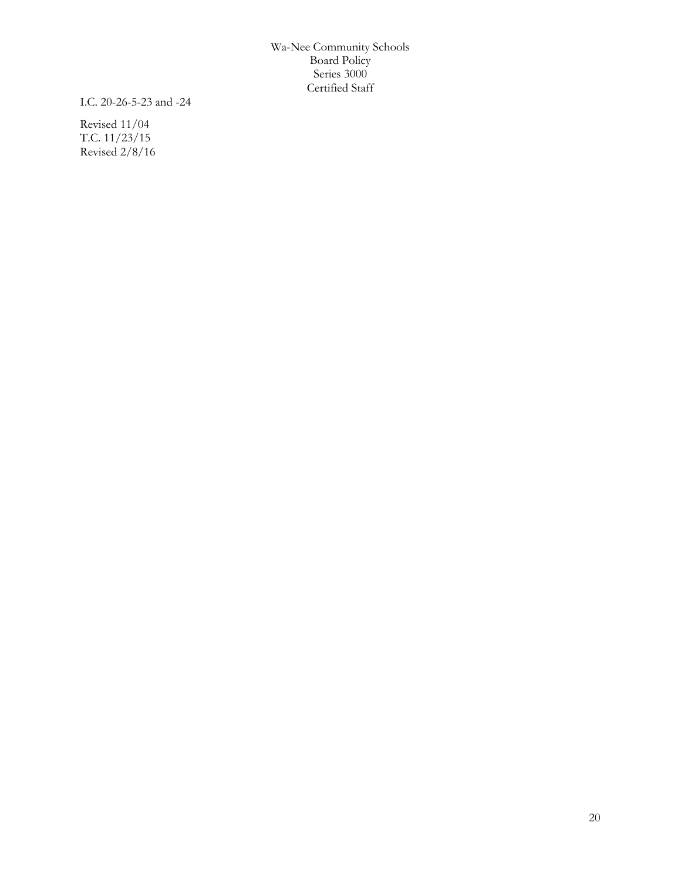I.C. 20-26-5-23 and -24

Revised 11/04 T.C. 11/23/15 Revised 2/8/16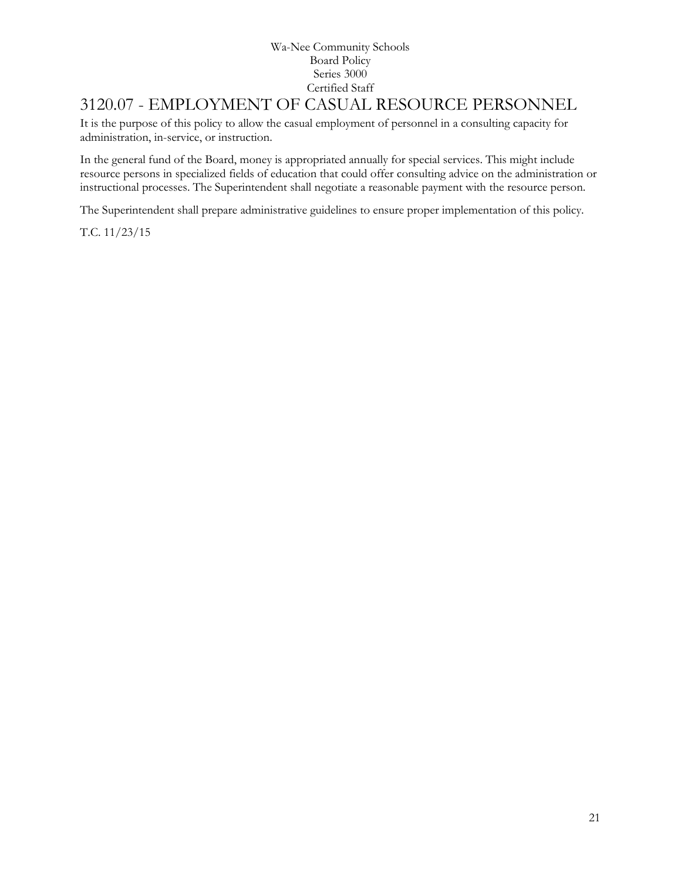# <span id="page-20-0"></span>3120.07 - EMPLOYMENT OF CASUAL RESOURCE PERSONNEL

It is the purpose of this policy to allow the casual employment of personnel in a consulting capacity for administration, in-service, or instruction.

In the general fund of the Board, money is appropriated annually for special services. This might include resource persons in specialized fields of education that could offer consulting advice on the administration or instructional processes. The Superintendent shall negotiate a reasonable payment with the resource person.

The Superintendent shall prepare administrative guidelines to ensure proper implementation of this policy.

T.C. 11/23/15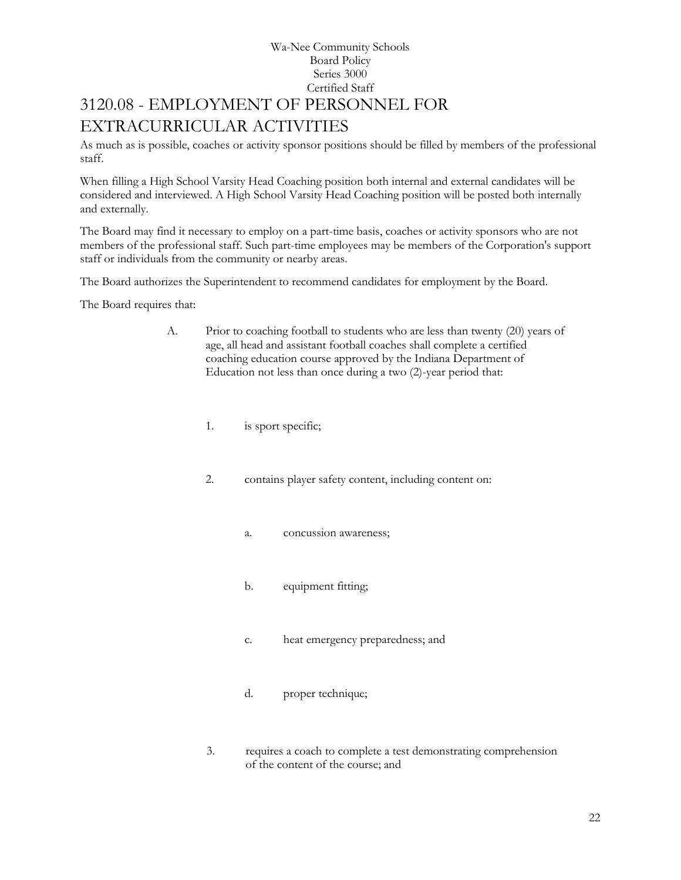# Wa-Nee Community Schools Board Policy Series 3000 Certified Staff 3120.08 - EMPLOYMENT OF PERSONNEL FOR EXTRACURRICULAR ACTIVITIES

<span id="page-21-0"></span>As much as is possible, coaches or activity sponsor positions should be filled by members of the professional staff.

When filling a High School Varsity Head Coaching position both internal and external candidates will be considered and interviewed. A High School Varsity Head Coaching position will be posted both internally and externally.

The Board may find it necessary to employ on a part-time basis, coaches or activity sponsors who are not members of the professional staff. Such part-time employees may be members of the Corporation's support staff or individuals from the community or nearby areas.

The Board authorizes the Superintendent to recommend candidates for employment by the Board.

The Board requires that:

- A. Prior to coaching football to students who are less than twenty (20) years of age, all head and assistant football coaches shall complete a certified coaching education course approved by the Indiana Department of Education not less than once during a two (2)-year period that:
	- 1. is sport specific;
	- 2. contains player safety content, including content on:
		- a. concussion awareness;
		- b. equipment fitting;
		- c. heat emergency preparedness; and
		- d. proper technique;
	- 3. requires a coach to complete a test demonstrating comprehension of the content of the course; and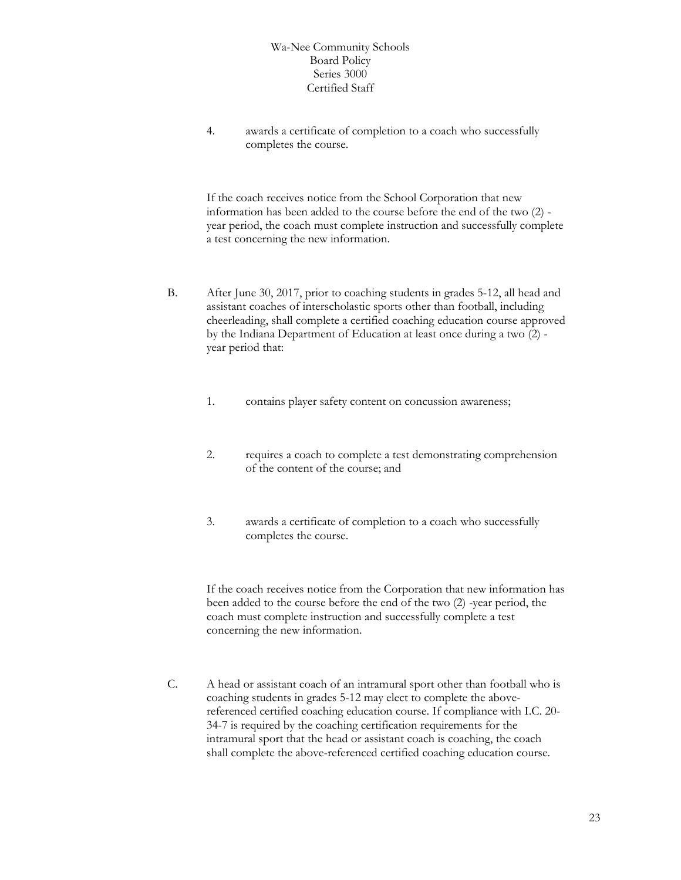4. awards a certificate of completion to a coach who successfully completes the course.

If the coach receives notice from the School Corporation that new information has been added to the course before the end of the two (2) year period, the coach must complete instruction and successfully complete a test concerning the new information.

- B. After June 30, 2017, prior to coaching students in grades 5-12, all head and assistant coaches of interscholastic sports other than football, including cheerleading, shall complete a certified coaching education course approved by the Indiana Department of Education at least once during a two (2) year period that:
	- 1. contains player safety content on concussion awareness;
	- 2. requires a coach to complete a test demonstrating comprehension of the content of the course; and
	- 3. awards a certificate of completion to a coach who successfully completes the course.

If the coach receives notice from the Corporation that new information has been added to the course before the end of the two (2) -year period, the coach must complete instruction and successfully complete a test concerning the new information.

C. A head or assistant coach of an intramural sport other than football who is coaching students in grades 5-12 may elect to complete the abovereferenced certified coaching education course. If compliance with I.C. 20- 34-7 is required by the coaching certification requirements for the intramural sport that the head or assistant coach is coaching, the coach shall complete the above-referenced certified coaching education course.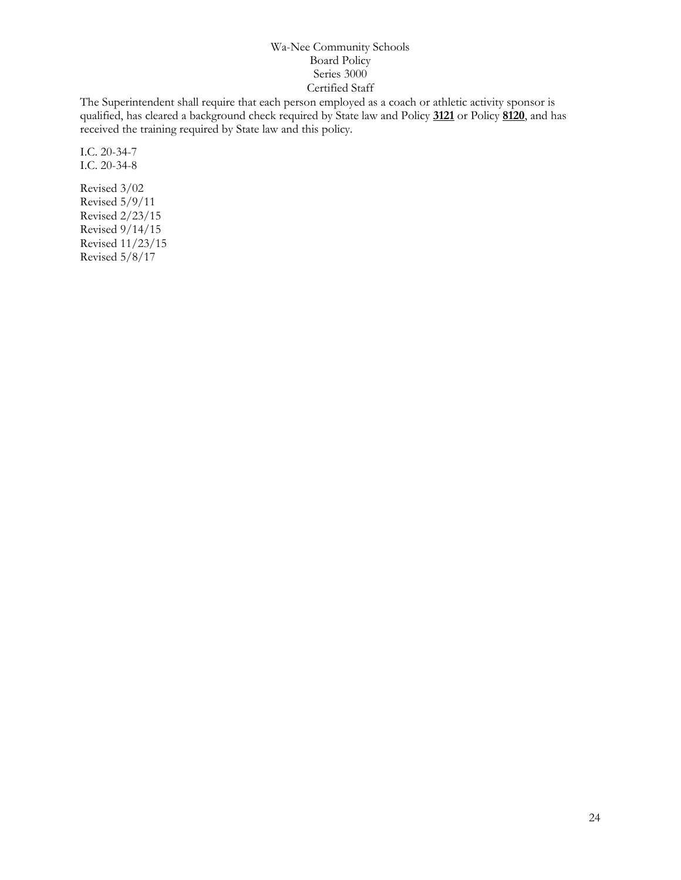The Superintendent shall require that each person employed as a coach or athletic activity sponsor is qualified, has cleared a background check required by State law and Policy **[3121](http://www.neola.com/wanee-in/search/policies/po3121.htm)** or Policy **[8120](http://www.neola.com/wanee-in/search/policies/po8120.htm)**, and has received the training required by State law and this policy.

I.C. 20-34-7 I.C. 20-34-8

Revised 3/02 Revised 5/9/11 Revised 2/23/15 Revised 9/14/15 Revised 11/23/15 Revised 5/8/17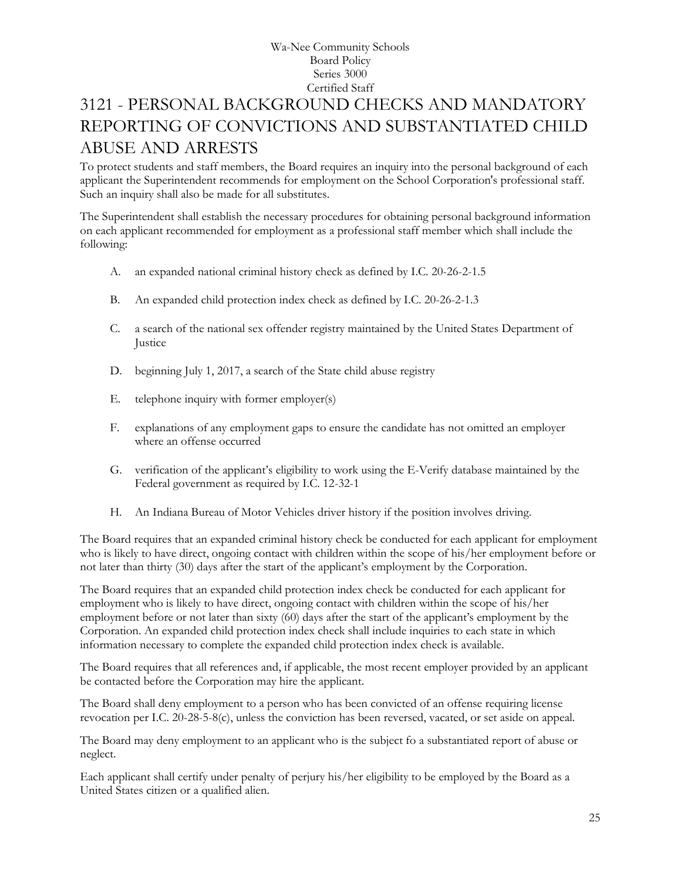# <span id="page-24-0"></span>[3121](http://www.neola.com/wanee-in/search/ag/ag3121.htm) - PERSONAL BACKGROUND CHECKS AND MANDATORY REPORTING OF CONVICTIONS AND SUBSTANTIATED CHILD ABUSE AND ARRESTS

To protect students and staff members, the Board requires an inquiry into the personal background of each applicant the Superintendent recommends for employment on the School Corporation's professional staff. Such an inquiry shall also be made for all substitutes.

The Superintendent shall establish the necessary procedures for obtaining personal background information on each applicant recommended for employment as a professional staff member which shall include the following:

- A. an expanded national criminal history check as defined by I.C. 20-26-2-1.5
- B. An expanded child protection index check as defined by I.C. 20-26-2-1.3
- C. a search of the national sex offender registry maintained by the United States Department of Justice
- D. beginning July 1, 2017, a search of the State child abuse registry
- E. telephone inquiry with former employer(s)
- F. explanations of any employment gaps to ensure the candidate has not omitted an employer where an offense occurred
- G. verification of the applicant's eligibility to work using the E-Verify database maintained by the Federal government as required by I.C. 12-32-1
- H. An Indiana Bureau of Motor Vehicles driver history if the position involves driving.

The Board requires that an expanded criminal history check be conducted for each applicant for employment who is likely to have direct, ongoing contact with children within the scope of his/her employment before or not later than thirty (30) days after the start of the applicant's employment by the Corporation.

The Board requires that an expanded child protection index check be conducted for each applicant for employment who is likely to have direct, ongoing contact with children within the scope of his/her employment before or not later than sixty (60) days after the start of the applicant's employment by the Corporation. An expanded child protection index check shall include inquiries to each state in which information necessary to complete the expanded child protection index check is available.

The Board requires that all references and, if applicable, the most recent employer provided by an applicant be contacted before the Corporation may hire the applicant.

The Board shall deny employment to a person who has been convicted of an offense requiring license revocation per I.C. 20-28-5-8(c), unless the conviction has been reversed, vacated, or set aside on appeal.

The Board may deny employment to an applicant who is the subject fo a substantiated report of abuse or neglect.

Each applicant shall certify under penalty of perjury his/her eligibility to be employed by the Board as a United States citizen or a qualified alien.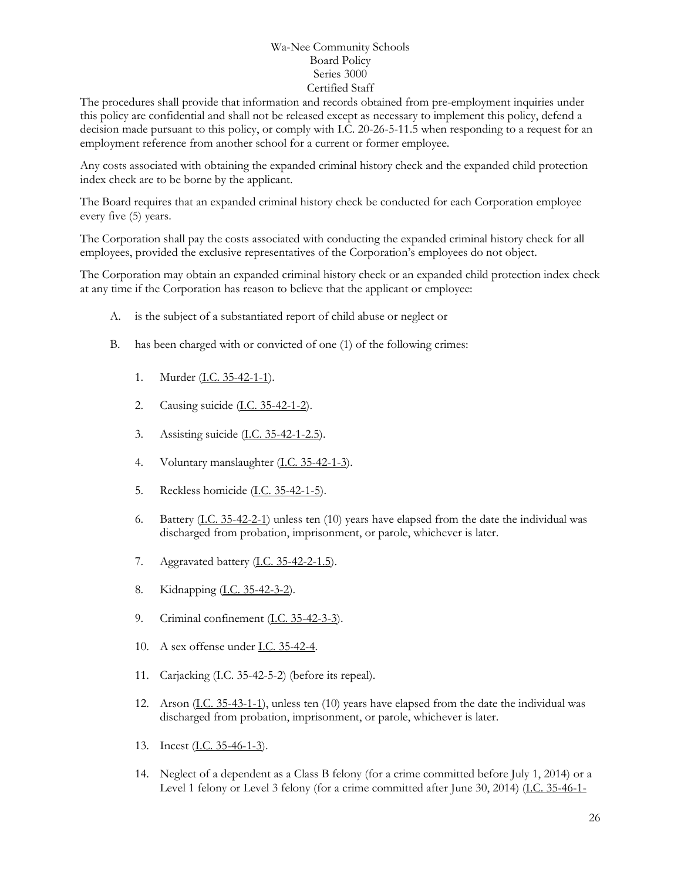The procedures shall provide that information and records obtained from pre-employment inquiries under this policy are confidential and shall not be released except as necessary to implement this policy, defend a decision made pursuant to this policy, or comply with I.C. 20-26-5-11.5 when responding to a request for an employment reference from another school for a current or former employee.

Any costs associated with obtaining the expanded criminal history check and the expanded child protection index check are to be borne by the applicant.

The Board requires that an expanded criminal history check be conducted for each Corporation employee every five (5) years.

The Corporation shall pay the costs associated with conducting the expanded criminal history check for all employees, provided the exclusive representatives of the Corporation's employees do not object.

The Corporation may obtain an expanded criminal history check or an expanded child protection index check at any time if the Corporation has reason to believe that the applicant or employee:

- A. is the subject of a substantiated report of child abuse or neglect or
- B. has been charged with or convicted of one (1) of the following crimes:
	- 1. Murder [\(I.C. 35-42-1-1\)](http://iga.in.gov/legislative/laws/2017/ic/titles/020/t_blank#35-42-1-1).
	- 2. Causing suicide [\(I.C. 35-42-1-2\)](http://iga.in.gov/legislative/laws/2017/ic/titles/020/t_blank#35-42-1-2).
	- 3. Assisting suicide [\(I.C. 35-42-1-2.5\)](http://iga.in.gov/legislative/laws/2017/ic/titles/020/t_blank#35-42-1-2.5).
	- 4. Voluntary manslaughter [\(I.C. 35-42-1-3\)](http://iga.in.gov/legislative/laws/2017/ic/titles/020/t_blank#35-42-1-3).
	- 5. Reckless homicide [\(I.C. 35-42-1-5\)](http://iga.in.gov/legislative/laws/2017/ic/titles/020/t_blank#35-42-1-5).
	- 6. Battery [\(I.C. 35-42-2-1\)](http://iga.in.gov/legislative/laws/2017/ic/titles/020/t_blank#35-42-2-1) unless ten (10) years have elapsed from the date the individual was discharged from probation, imprisonment, or parole, whichever is later.
	- 7. Aggravated battery [\(I.C. 35-42-2-1.5\)](http://iga.in.gov/legislative/laws/2017/ic/titles/020/t_blank#35-42-2-1.5).
	- 8. Kidnapping [\(I.C. 35-42-3-2\)](http://iga.in.gov/legislative/laws/2017/ic/titles/020/t_blank#35-42-3-2).
	- 9. Criminal confinement [\(I.C. 35-42-3-3\)](http://iga.in.gov/legislative/laws/2017/ic/titles/020/t_blank#35-42-3-3).
	- 10. A sex offense under [I.C. 35-42-4.](http://iga.in.gov/legislative/laws/2017/ic/titles/020/t_blank#35-42-4)
	- 11. Carjacking (I.C. 35-42-5-2) (before its repeal).
	- 12. Arson [\(I.C. 35-43-1-1\)](http://iga.in.gov/legislative/laws/2017/ic/titles/020/t_blank#35-43-1-1), unless ten (10) years have elapsed from the date the individual was discharged from probation, imprisonment, or parole, whichever is later.
	- 13. Incest [\(I.C. 35-46-1-3\)](http://iga.in.gov/legislative/laws/2017/ic/titles/020/t_blank#35-46-1-3).
	- 14. Neglect of a dependent as a Class B felony (for a crime committed before July 1, 2014) or a Level 1 felony or Level 3 felony (for a crime committed after June 30, 2014) [\(I.C. 35-46-1-](http://iga.in.gov/legislative/laws/2017/ic/titles/020/t_blank#35-46-1-4)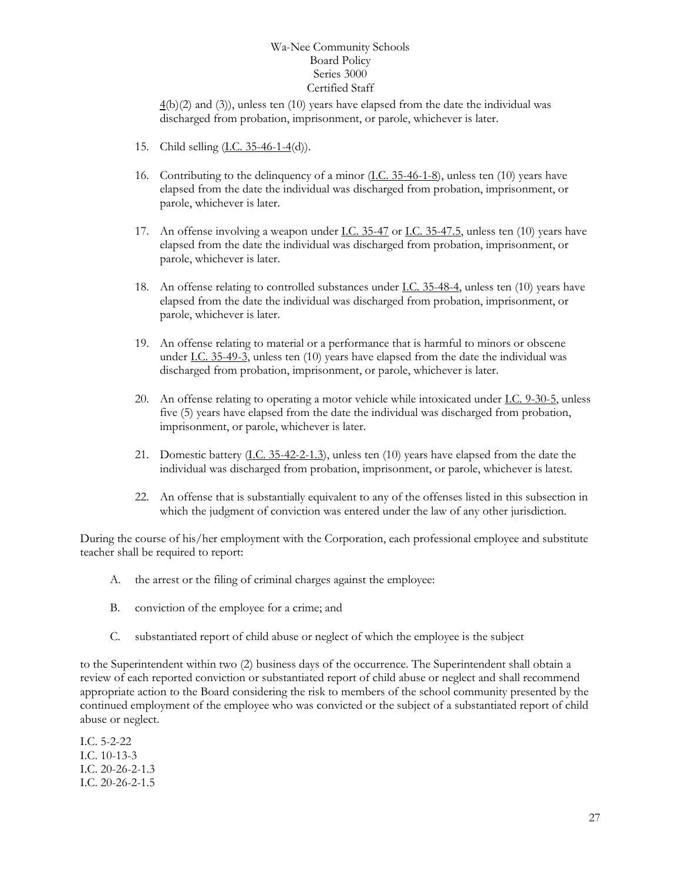$4(b)(2)$  $4(b)(2)$  and (3)), unless ten (10) years have elapsed from the date the individual was discharged from probation, imprisonment, or parole, whichever is later.

- 15. Child selling [\(I.C. 35-46-1-4\(](http://iga.in.gov/legislative/laws/2017/ic/titles/020/t_blank#35-46-1-4)d)).
- 16. Contributing to the delinquency of a minor [\(I.C. 35-46-1-8\)](http://iga.in.gov/legislative/laws/2017/ic/titles/020/t_blank#35-46-1-8), unless ten (10) years have elapsed from the date the individual was discharged from probation, imprisonment, or parole, whichever is later.
- 17. An offense involving a weapon under <u>I.C. 35-47</u> or <u>I.C. 35-47.5</u>, unless ten (10) years have elapsed from the date the individual was discharged from probation, imprisonment, or parole, whichever is later.
- 18. An offense relating to controlled substances under **I.C. 35-48-4**, unless ten (10) years have elapsed from the date the individual was discharged from probation, imprisonment, or parole, whichever is later.
- 19. An offense relating to material or a performance that is harmful to minors or obscene under [I.C. 35-49-3,](http://iga.in.gov/legislative/laws/2017/ic/titles/020/t_blank#35-49-3) unless ten (10) years have elapsed from the date the individual was discharged from probation, imprisonment, or parole, whichever is later.
- 20. An offense relating to operating a motor vehicle while intoxicated under [I.C. 9-30-5,](http://iga.in.gov/legislative/laws/2017/ic/titles/020/t_blank#9-30-5) unless five (5) years have elapsed from the date the individual was discharged from probation, imprisonment, or parole, whichever is later.
- 21. Domestic battery [\(I.C. 35-42-2-1.3\)](http://iga.in.gov/legislative/laws/2017/ic/titles/020/t_blank#35-42-2-1.3), unless ten (10) years have elapsed from the date the individual was discharged from probation, imprisonment, or parole, whichever is latest.
- 22. An offense that is substantially equivalent to any of the offenses listed in this subsection in which the judgment of conviction was entered under the law of any other jurisdiction.

During the course of his/her employment with the Corporation, each professional employee and substitute teacher shall be required to report:

- A. the arrest or the filing of criminal charges against the employee:
- B. conviction of the employee for a crime; and
- C. substantiated report of child abuse or neglect of which the employee is the subject

to the Superintendent within two (2) business days of the occurrence. The Superintendent shall obtain a review of each reported conviction or substantiated report of child abuse or neglect and shall recommend appropriate action to the Board considering the risk to members of the school community presented by the continued employment of the employee who was convicted or the subject of a substantiated report of child abuse or neglect.

I.C. 5-2-22 I.C. 10-13-3 I.C. 20-26-2-1.3 I.C. 20-26-2-1.5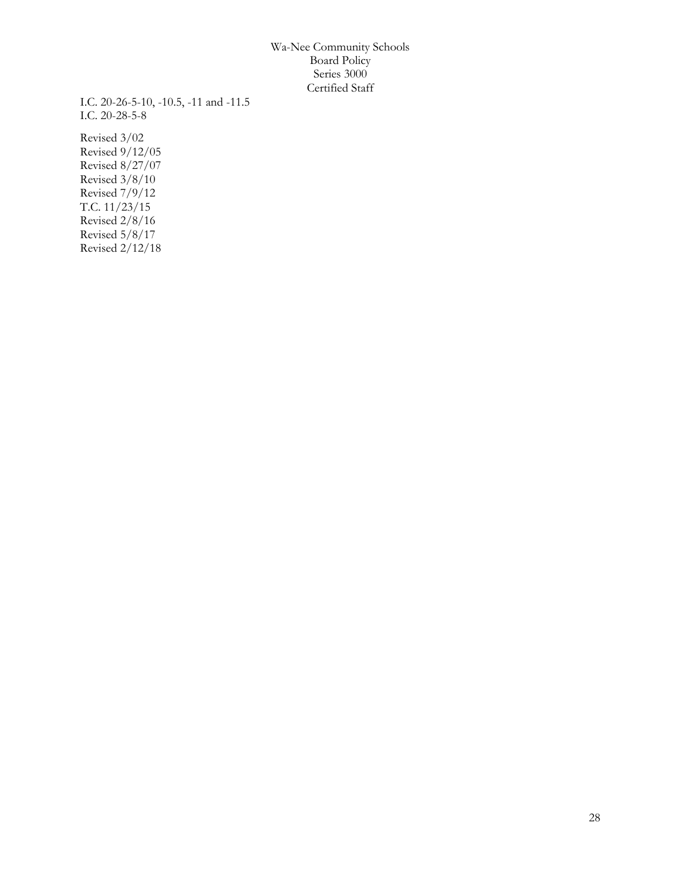I.C. 20-26-5-10, -10.5, -11 and -11.5 I.C. 20-28-5-8

Revised 3/02 Revised 9/12/05 Revised 8/27/07 Revised 3/8/10 Revised 7/9/12 T.C. 11/23/15 Revised 2/8/16 Revised 5/8/17 Revised 2/12/18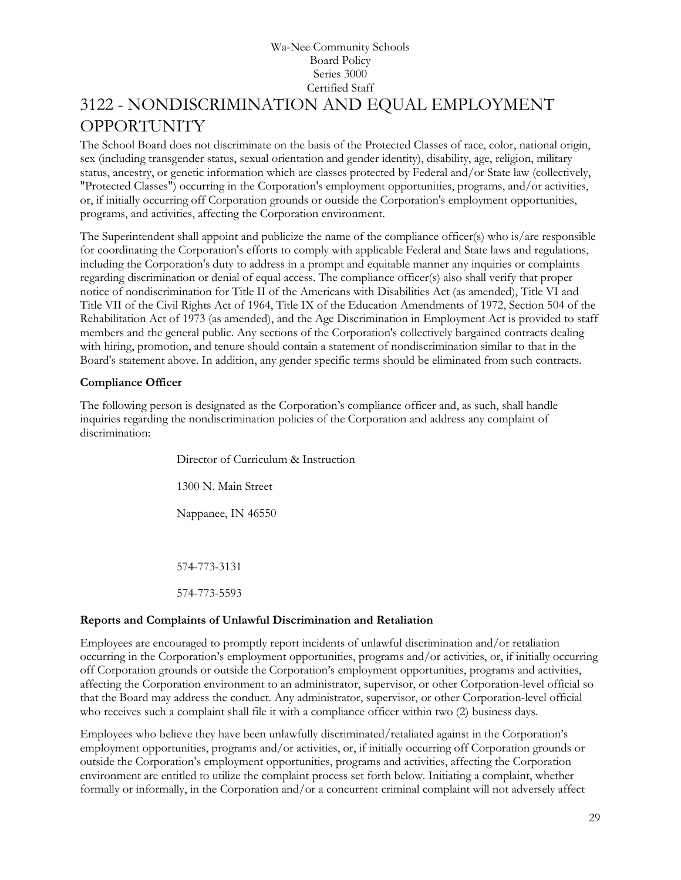# Wa-Nee Community Schools Board Policy Series 3000 Certified Staff [3122](http://www.neola.com/wanee-in/search/ag/ag3122.htm) - NONDISCRIMINATION AND EQUAL EMPLOYMENT OPPORTUNITY

<span id="page-28-0"></span>The School Board does not discriminate on the basis of the Protected Classes of race, color, national origin, sex (including transgender status, sexual orientation and gender identity), disability, age, religion, military status, ancestry, or genetic information which are classes protected by Federal and/or State law (collectively, "Protected Classes") occurring in the Corporation's employment opportunities, programs, and/or activities, or, if initially occurring off Corporation grounds or outside the Corporation's employment opportunities, programs, and activities, affecting the Corporation environment.

The Superintendent shall appoint and publicize the name of the compliance officer(s) who is/are responsible for coordinating the Corporation's efforts to comply with applicable Federal and State laws and regulations, including the Corporation's duty to address in a prompt and equitable manner any inquiries or complaints regarding discrimination or denial of equal access. The compliance officer(s) also shall verify that proper notice of nondiscrimination for Title II of the Americans with Disabilities Act (as amended), Title VI and Title VII of the Civil Rights Act of 1964, Title IX of the Education Amendments of 1972, Section 504 of the Rehabilitation Act of 1973 (as amended), and the Age Discrimination in Employment Act is provided to staff members and the general public. Any sections of the Corporation's collectively bargained contracts dealing with hiring, promotion, and tenure should contain a statement of nondiscrimination similar to that in the Board's statement above. In addition, any gender specific terms should be eliminated from such contracts.

# **Compliance Officer**

The following person is designated as the Corporation's compliance officer and, as such, shall handle inquiries regarding the nondiscrimination policies of the Corporation and address any complaint of discrimination:

> Director of Curriculum & Instruction 1300 N. Main Street Nappanee, IN 46550 574-773-3131 574-773-5593

# **Reports and Complaints of Unlawful Discrimination and Retaliation**

Employees are encouraged to promptly report incidents of unlawful discrimination and/or retaliation occurring in the Corporation's employment opportunities, programs and/or activities, or, if initially occurring off Corporation grounds or outside the Corporation's employment opportunities, programs and activities, affecting the Corporation environment to an administrator, supervisor, or other Corporation-level official so that the Board may address the conduct. Any administrator, supervisor, or other Corporation-level official who receives such a complaint shall file it with a compliance officer within two (2) business days.

Employees who believe they have been unlawfully discriminated/retaliated against in the Corporation's employment opportunities, programs and/or activities, or, if initially occurring off Corporation grounds or outside the Corporation's employment opportunities, programs and activities, affecting the Corporation environment are entitled to utilize the complaint process set forth below. Initiating a complaint, whether formally or informally, in the Corporation and/or a concurrent criminal complaint will not adversely affect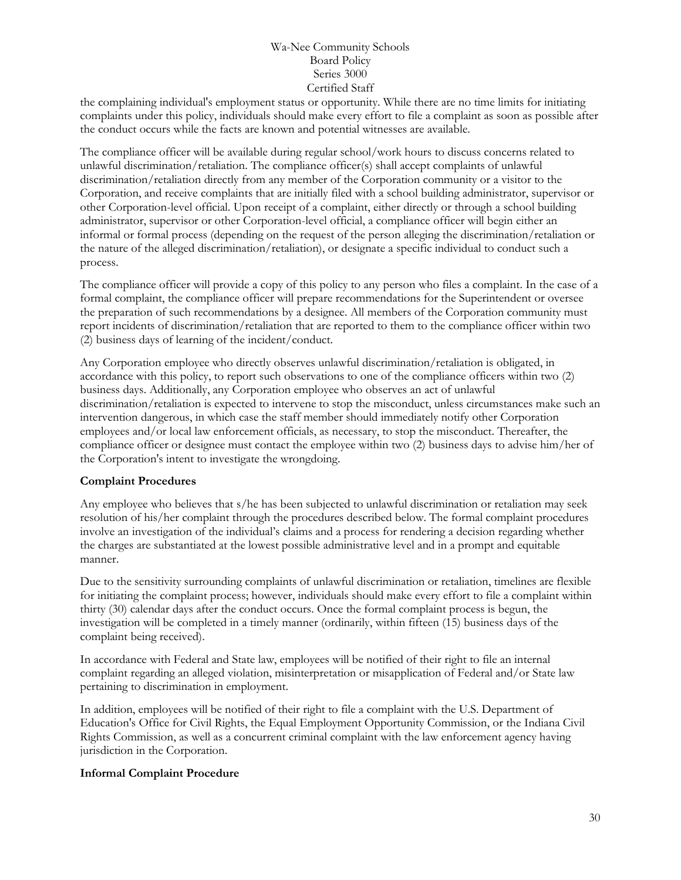the complaining individual's employment status or opportunity. While there are no time limits for initiating complaints under this policy, individuals should make every effort to file a complaint as soon as possible after the conduct occurs while the facts are known and potential witnesses are available.

The compliance officer will be available during regular school/work hours to discuss concerns related to unlawful discrimination/retaliation. The compliance officer(s) shall accept complaints of unlawful discrimination/retaliation directly from any member of the Corporation community or a visitor to the Corporation, and receive complaints that are initially filed with a school building administrator, supervisor or other Corporation-level official. Upon receipt of a complaint, either directly or through a school building administrator, supervisor or other Corporation-level official, a compliance officer will begin either an informal or formal process (depending on the request of the person alleging the discrimination/retaliation or the nature of the alleged discrimination/retaliation), or designate a specific individual to conduct such a process.

The compliance officer will provide a copy of this policy to any person who files a complaint. In the case of a formal complaint, the compliance officer will prepare recommendations for the Superintendent or oversee the preparation of such recommendations by a designee. All members of the Corporation community must report incidents of discrimination/retaliation that are reported to them to the compliance officer within two (2) business days of learning of the incident/conduct.

Any Corporation employee who directly observes unlawful discrimination/retaliation is obligated, in accordance with this policy, to report such observations to one of the compliance officers within two (2) business days. Additionally, any Corporation employee who observes an act of unlawful discrimination/retaliation is expected to intervene to stop the misconduct, unless circumstances make such an intervention dangerous, in which case the staff member should immediately notify other Corporation employees and/or local law enforcement officials, as necessary, to stop the misconduct. Thereafter, the compliance officer or designee must contact the employee within two (2) business days to advise him/her of the Corporation's intent to investigate the wrongdoing.

# **Complaint Procedures**

Any employee who believes that s/he has been subjected to unlawful discrimination or retaliation may seek resolution of his/her complaint through the procedures described below. The formal complaint procedures involve an investigation of the individual's claims and a process for rendering a decision regarding whether the charges are substantiated at the lowest possible administrative level and in a prompt and equitable manner.

Due to the sensitivity surrounding complaints of unlawful discrimination or retaliation, timelines are flexible for initiating the complaint process; however, individuals should make every effort to file a complaint within thirty (30) calendar days after the conduct occurs. Once the formal complaint process is begun, the investigation will be completed in a timely manner (ordinarily, within fifteen (15) business days of the complaint being received).

In accordance with Federal and State law, employees will be notified of their right to file an internal complaint regarding an alleged violation, misinterpretation or misapplication of Federal and/or State law pertaining to discrimination in employment.

In addition, employees will be notified of their right to file a complaint with the U.S. Department of Education's Office for Civil Rights, the Equal Employment Opportunity Commission, or the Indiana Civil Rights Commission, as well as a concurrent criminal complaint with the law enforcement agency having jurisdiction in the Corporation.

# **Informal Complaint Procedure**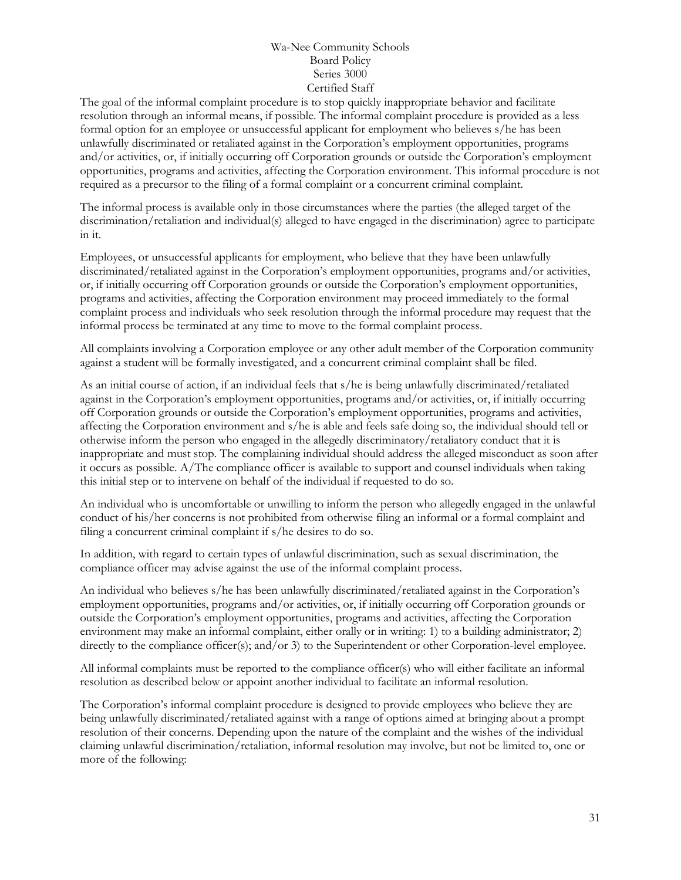The goal of the informal complaint procedure is to stop quickly inappropriate behavior and facilitate resolution through an informal means, if possible. The informal complaint procedure is provided as a less formal option for an employee or unsuccessful applicant for employment who believes s/he has been unlawfully discriminated or retaliated against in the Corporation's employment opportunities, programs and/or activities, or, if initially occurring off Corporation grounds or outside the Corporation's employment opportunities, programs and activities, affecting the Corporation environment. This informal procedure is not required as a precursor to the filing of a formal complaint or a concurrent criminal complaint.

The informal process is available only in those circumstances where the parties (the alleged target of the discrimination/retaliation and individual(s) alleged to have engaged in the discrimination) agree to participate in it.

Employees, or unsuccessful applicants for employment, who believe that they have been unlawfully discriminated/retaliated against in the Corporation's employment opportunities, programs and/or activities, or, if initially occurring off Corporation grounds or outside the Corporation's employment opportunities, programs and activities, affecting the Corporation environment may proceed immediately to the formal complaint process and individuals who seek resolution through the informal procedure may request that the informal process be terminated at any time to move to the formal complaint process.

All complaints involving a Corporation employee or any other adult member of the Corporation community against a student will be formally investigated, and a concurrent criminal complaint shall be filed.

As an initial course of action, if an individual feels that s/he is being unlawfully discriminated/retaliated against in the Corporation's employment opportunities, programs and/or activities, or, if initially occurring off Corporation grounds or outside the Corporation's employment opportunities, programs and activities, affecting the Corporation environment and s/he is able and feels safe doing so, the individual should tell or otherwise inform the person who engaged in the allegedly discriminatory/retaliatory conduct that it is inappropriate and must stop. The complaining individual should address the alleged misconduct as soon after it occurs as possible. A/The compliance officer is available to support and counsel individuals when taking this initial step or to intervene on behalf of the individual if requested to do so.

An individual who is uncomfortable or unwilling to inform the person who allegedly engaged in the unlawful conduct of his/her concerns is not prohibited from otherwise filing an informal or a formal complaint and filing a concurrent criminal complaint if s/he desires to do so.

In addition, with regard to certain types of unlawful discrimination, such as sexual discrimination, the compliance officer may advise against the use of the informal complaint process.

An individual who believes s/he has been unlawfully discriminated/retaliated against in the Corporation's employment opportunities, programs and/or activities, or, if initially occurring off Corporation grounds or outside the Corporation's employment opportunities, programs and activities, affecting the Corporation environment may make an informal complaint, either orally or in writing: 1) to a building administrator; 2) directly to the compliance officer(s); and/or 3) to the Superintendent or other Corporation-level employee.

All informal complaints must be reported to the compliance officer(s) who will either facilitate an informal resolution as described below or appoint another individual to facilitate an informal resolution.

The Corporation's informal complaint procedure is designed to provide employees who believe they are being unlawfully discriminated/retaliated against with a range of options aimed at bringing about a prompt resolution of their concerns. Depending upon the nature of the complaint and the wishes of the individual claiming unlawful discrimination/retaliation, informal resolution may involve, but not be limited to, one or more of the following: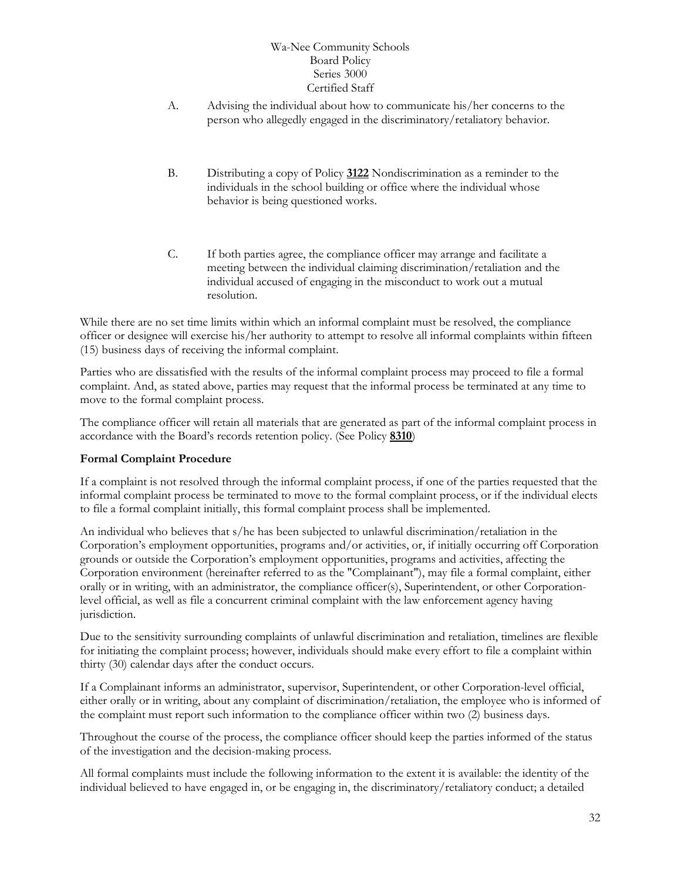- A. Advising the individual about how to communicate his/her concerns to the person who allegedly engaged in the discriminatory/retaliatory behavior.
- B. Distributing a copy of Policy **[3122](http://www.neola.com/wanee-in/search/policies/po3122.htm)** Nondiscrimination as a reminder to the individuals in the school building or office where the individual whose behavior is being questioned works.
- C. If both parties agree, the compliance officer may arrange and facilitate a meeting between the individual claiming discrimination/retaliation and the individual accused of engaging in the misconduct to work out a mutual resolution.

While there are no set time limits within which an informal complaint must be resolved, the compliance officer or designee will exercise his/her authority to attempt to resolve all informal complaints within fifteen (15) business days of receiving the informal complaint.

Parties who are dissatisfied with the results of the informal complaint process may proceed to file a formal complaint. And, as stated above, parties may request that the informal process be terminated at any time to move to the formal complaint process.

The compliance officer will retain all materials that are generated as part of the informal complaint process in accordance with the Board's records retention policy. (See Policy **[8310](http://www.neola.com/wanee-in/search/policies/po8310.htm)**)

# **Formal Complaint Procedure**

If a complaint is not resolved through the informal complaint process, if one of the parties requested that the informal complaint process be terminated to move to the formal complaint process, or if the individual elects to file a formal complaint initially, this formal complaint process shall be implemented.

An individual who believes that s/he has been subjected to unlawful discrimination/retaliation in the Corporation's employment opportunities, programs and/or activities, or, if initially occurring off Corporation grounds or outside the Corporation's employment opportunities, programs and activities, affecting the Corporation environment (hereinafter referred to as the "Complainant"), may file a formal complaint, either orally or in writing, with an administrator, the compliance officer(s), Superintendent, or other Corporationlevel official, as well as file a concurrent criminal complaint with the law enforcement agency having jurisdiction.

Due to the sensitivity surrounding complaints of unlawful discrimination and retaliation, timelines are flexible for initiating the complaint process; however, individuals should make every effort to file a complaint within thirty (30) calendar days after the conduct occurs.

If a Complainant informs an administrator, supervisor, Superintendent, or other Corporation-level official, either orally or in writing, about any complaint of discrimination/retaliation, the employee who is informed of the complaint must report such information to the compliance officer within two (2) business days.

Throughout the course of the process, the compliance officer should keep the parties informed of the status of the investigation and the decision-making process.

All formal complaints must include the following information to the extent it is available: the identity of the individual believed to have engaged in, or be engaging in, the discriminatory/retaliatory conduct; a detailed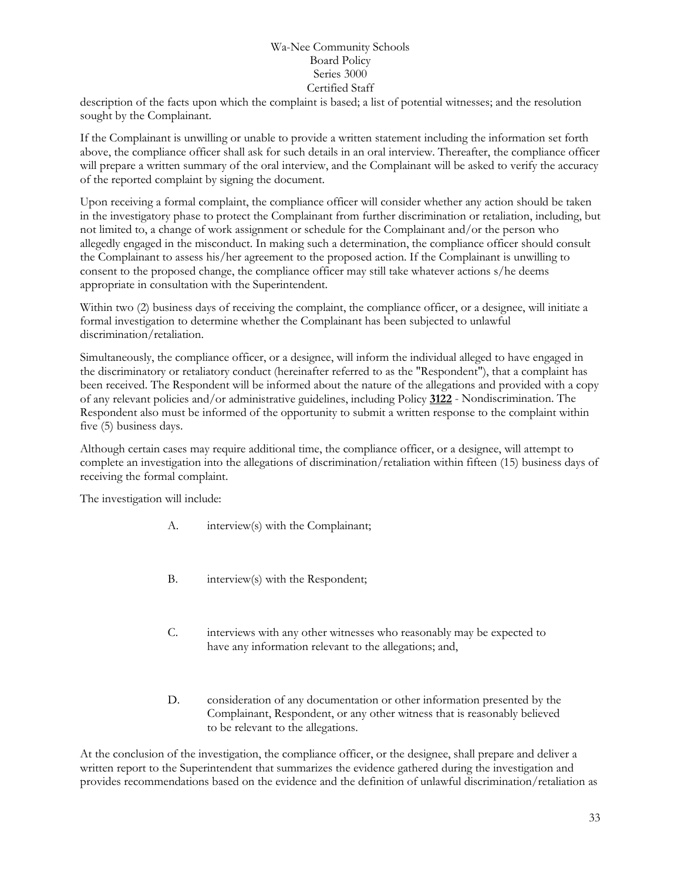description of the facts upon which the complaint is based; a list of potential witnesses; and the resolution sought by the Complainant.

If the Complainant is unwilling or unable to provide a written statement including the information set forth above, the compliance officer shall ask for such details in an oral interview. Thereafter, the compliance officer will prepare a written summary of the oral interview, and the Complainant will be asked to verify the accuracy of the reported complaint by signing the document.

Upon receiving a formal complaint, the compliance officer will consider whether any action should be taken in the investigatory phase to protect the Complainant from further discrimination or retaliation, including, but not limited to, a change of work assignment or schedule for the Complainant and/or the person who allegedly engaged in the misconduct. In making such a determination, the compliance officer should consult the Complainant to assess his/her agreement to the proposed action. If the Complainant is unwilling to consent to the proposed change, the compliance officer may still take whatever actions s/he deems appropriate in consultation with the Superintendent.

Within two (2) business days of receiving the complaint, the compliance officer, or a designee, will initiate a formal investigation to determine whether the Complainant has been subjected to unlawful discrimination/retaliation.

Simultaneously, the compliance officer, or a designee, will inform the individual alleged to have engaged in the discriminatory or retaliatory conduct (hereinafter referred to as the "Respondent"), that a complaint has been received. The Respondent will be informed about the nature of the allegations and provided with a copy of any relevant policies and/or administrative guidelines, including Policy **[3122](http://www.neola.com/wanee-in/search/policies/po3122.htm)** - Nondiscrimination. The Respondent also must be informed of the opportunity to submit a written response to the complaint within five (5) business days.

Although certain cases may require additional time, the compliance officer, or a designee, will attempt to complete an investigation into the allegations of discrimination/retaliation within fifteen (15) business days of receiving the formal complaint.

The investigation will include:

- A. interview(s) with the Complainant;
- B. interview(s) with the Respondent;
- C. interviews with any other witnesses who reasonably may be expected to have any information relevant to the allegations; and,
- D. consideration of any documentation or other information presented by the Complainant, Respondent, or any other witness that is reasonably believed to be relevant to the allegations.

At the conclusion of the investigation, the compliance officer, or the designee, shall prepare and deliver a written report to the Superintendent that summarizes the evidence gathered during the investigation and provides recommendations based on the evidence and the definition of unlawful discrimination/retaliation as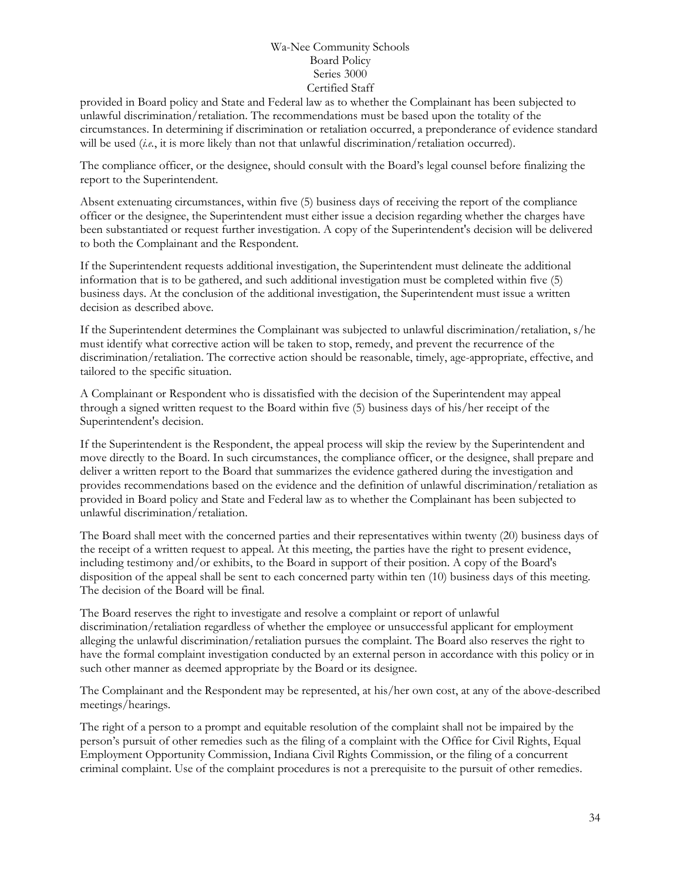provided in Board policy and State and Federal law as to whether the Complainant has been subjected to unlawful discrimination/retaliation. The recommendations must be based upon the totality of the circumstances. In determining if discrimination or retaliation occurred, a preponderance of evidence standard will be used (*i.e.*, it is more likely than not that unlawful discrimination/retaliation occurred).

The compliance officer, or the designee, should consult with the Board's legal counsel before finalizing the report to the Superintendent.

Absent extenuating circumstances, within five (5) business days of receiving the report of the compliance officer or the designee, the Superintendent must either issue a decision regarding whether the charges have been substantiated or request further investigation. A copy of the Superintendent's decision will be delivered to both the Complainant and the Respondent.

If the Superintendent requests additional investigation, the Superintendent must delineate the additional information that is to be gathered, and such additional investigation must be completed within five (5) business days. At the conclusion of the additional investigation, the Superintendent must issue a written decision as described above.

If the Superintendent determines the Complainant was subjected to unlawful discrimination/retaliation, s/he must identify what corrective action will be taken to stop, remedy, and prevent the recurrence of the discrimination/retaliation. The corrective action should be reasonable, timely, age-appropriate, effective, and tailored to the specific situation.

A Complainant or Respondent who is dissatisfied with the decision of the Superintendent may appeal through a signed written request to the Board within five (5) business days of his/her receipt of the Superintendent's decision.

If the Superintendent is the Respondent, the appeal process will skip the review by the Superintendent and move directly to the Board. In such circumstances, the compliance officer, or the designee, shall prepare and deliver a written report to the Board that summarizes the evidence gathered during the investigation and provides recommendations based on the evidence and the definition of unlawful discrimination/retaliation as provided in Board policy and State and Federal law as to whether the Complainant has been subjected to unlawful discrimination/retaliation.

The Board shall meet with the concerned parties and their representatives within twenty (20) business days of the receipt of a written request to appeal. At this meeting, the parties have the right to present evidence, including testimony and/or exhibits, to the Board in support of their position. A copy of the Board's disposition of the appeal shall be sent to each concerned party within ten (10) business days of this meeting. The decision of the Board will be final.

The Board reserves the right to investigate and resolve a complaint or report of unlawful discrimination/retaliation regardless of whether the employee or unsuccessful applicant for employment alleging the unlawful discrimination/retaliation pursues the complaint. The Board also reserves the right to have the formal complaint investigation conducted by an external person in accordance with this policy or in such other manner as deemed appropriate by the Board or its designee.

The Complainant and the Respondent may be represented, at his/her own cost, at any of the above-described meetings/hearings.

The right of a person to a prompt and equitable resolution of the complaint shall not be impaired by the person's pursuit of other remedies such as the filing of a complaint with the Office for Civil Rights, Equal Employment Opportunity Commission, Indiana Civil Rights Commission, or the filing of a concurrent criminal complaint. Use of the complaint procedures is not a prerequisite to the pursuit of other remedies.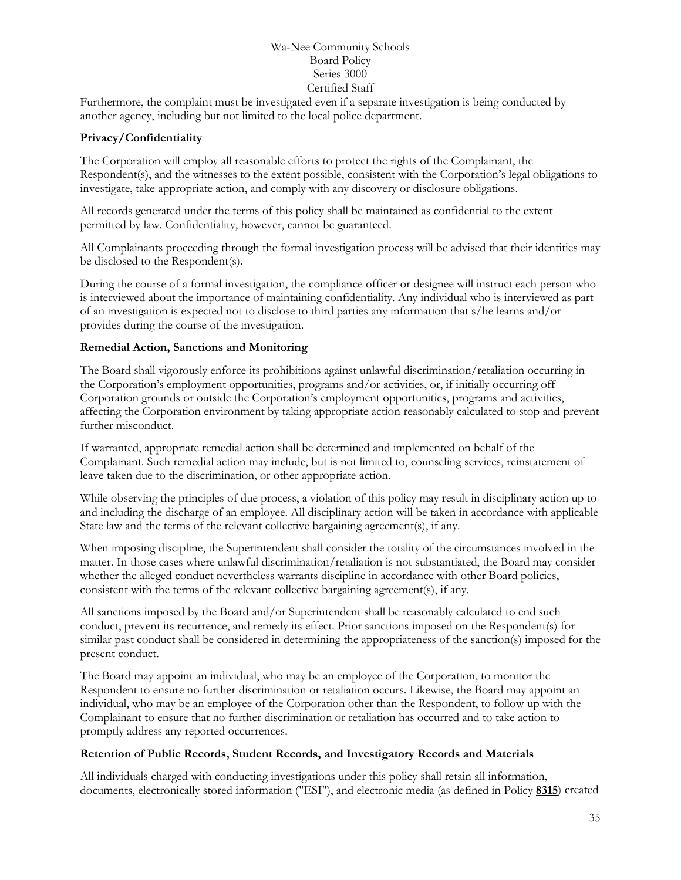Furthermore, the complaint must be investigated even if a separate investigation is being conducted by another agency, including but not limited to the local police department.

# **Privacy/Confidentiality**

The Corporation will employ all reasonable efforts to protect the rights of the Complainant, the Respondent(s), and the witnesses to the extent possible, consistent with the Corporation's legal obligations to investigate, take appropriate action, and comply with any discovery or disclosure obligations.

All records generated under the terms of this policy shall be maintained as confidential to the extent permitted by law. Confidentiality, however, cannot be guaranteed.

All Complainants proceeding through the formal investigation process will be advised that their identities may be disclosed to the Respondent(s).

During the course of a formal investigation, the compliance officer or designee will instruct each person who is interviewed about the importance of maintaining confidentiality. Any individual who is interviewed as part of an investigation is expected not to disclose to third parties any information that s/he learns and/or provides during the course of the investigation.

# **Remedial Action, Sanctions and Monitoring**

The Board shall vigorously enforce its prohibitions against unlawful discrimination/retaliation occurring in the Corporation's employment opportunities, programs and/or activities, or, if initially occurring off Corporation grounds or outside the Corporation's employment opportunities, programs and activities, affecting the Corporation environment by taking appropriate action reasonably calculated to stop and prevent further misconduct.

If warranted, appropriate remedial action shall be determined and implemented on behalf of the Complainant. Such remedial action may include, but is not limited to, counseling services, reinstatement of leave taken due to the discrimination, or other appropriate action.

While observing the principles of due process, a violation of this policy may result in disciplinary action up to and including the discharge of an employee. All disciplinary action will be taken in accordance with applicable State law and the terms of the relevant collective bargaining agreement(s), if any.

When imposing discipline, the Superintendent shall consider the totality of the circumstances involved in the matter. In those cases where unlawful discrimination/retaliation is not substantiated, the Board may consider whether the alleged conduct nevertheless warrants discipline in accordance with other Board policies, consistent with the terms of the relevant collective bargaining agreement(s), if any.

All sanctions imposed by the Board and/or Superintendent shall be reasonably calculated to end such conduct, prevent its recurrence, and remedy its effect. Prior sanctions imposed on the Respondent(s) for similar past conduct shall be considered in determining the appropriateness of the sanction(s) imposed for the present conduct.

The Board may appoint an individual, who may be an employee of the Corporation, to monitor the Respondent to ensure no further discrimination or retaliation occurs. Likewise, the Board may appoint an individual, who may be an employee of the Corporation other than the Respondent, to follow up with the Complainant to ensure that no further discrimination or retaliation has occurred and to take action to promptly address any reported occurrences.

# **Retention of Public Records, Student Records, and Investigatory Records and Materials**

All individuals charged with conducting investigations under this policy shall retain all information, documents, electronically stored information ("ESI"), and electronic media (as defined in Policy **[8315](http://www.neola.com/wanee-in/search/policies/po8315.htm)**) created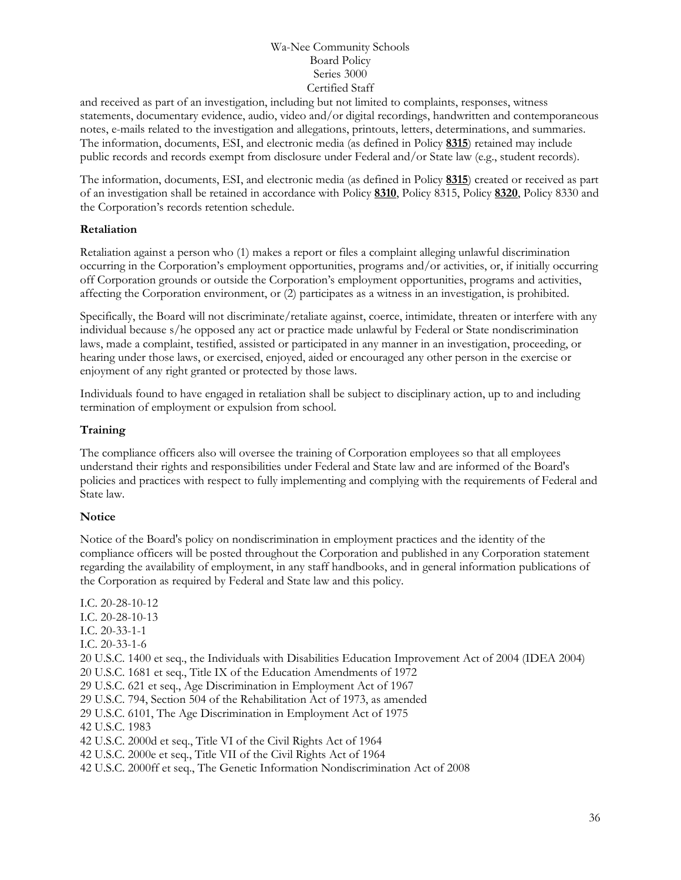and received as part of an investigation, including but not limited to complaints, responses, witness statements, documentary evidence, audio, video and/or digital recordings, handwritten and contemporaneous notes, e-mails related to the investigation and allegations, printouts, letters, determinations, and summaries. The information, documents, ESI, and electronic media (as defined in Policy **[8315](http://www.neola.com/wanee-in/search/policies/po8315.htm)**) retained may include public records and records exempt from disclosure under Federal and/or State law (e.g., student records).

The information, documents, ESI, and electronic media (as defined in Policy **[8315](http://www.neola.com/wanee-in/search/policies/po8315.htm)**) created or received as part of an investigation shall be retained in accordance with Policy **[8310](http://www.neola.com/wanee-in/search/policies/po8310.htm)**, Policy 8315, Policy **[8320](http://www.neola.com/wanee-in/search/policies/po8320.htm)**, Policy 8330 and the Corporation's records retention schedule.

# **Retaliation**

Retaliation against a person who (1) makes a report or files a complaint alleging unlawful discrimination occurring in the Corporation's employment opportunities, programs and/or activities, or, if initially occurring off Corporation grounds or outside the Corporation's employment opportunities, programs and activities, affecting the Corporation environment, or (2) participates as a witness in an investigation, is prohibited.

Specifically, the Board will not discriminate/retaliate against, coerce, intimidate, threaten or interfere with any individual because s/he opposed any act or practice made unlawful by Federal or State nondiscrimination laws, made a complaint, testified, assisted or participated in any manner in an investigation, proceeding, or hearing under those laws, or exercised, enjoyed, aided or encouraged any other person in the exercise or enjoyment of any right granted or protected by those laws.

Individuals found to have engaged in retaliation shall be subject to disciplinary action, up to and including termination of employment or expulsion from school.

# **Training**

The compliance officers also will oversee the training of Corporation employees so that all employees understand their rights and responsibilities under Federal and State law and are informed of the Board's policies and practices with respect to fully implementing and complying with the requirements of Federal and State law.

# **Notice**

Notice of the Board's policy on nondiscrimination in employment practices and the identity of the compliance officers will be posted throughout the Corporation and published in any Corporation statement regarding the availability of employment, in any staff handbooks, and in general information publications of the Corporation as required by Federal and State law and this policy.

- I.C. 20-28-10-12 I.C. 20-28-10-13 I.C. 20-33-1-1 I.C. 20-33-1-6 20 U.S.C. 1400 et seq., the Individuals with Disabilities Education Improvement Act of 2004 (IDEA 2004) 20 U.S.C. 1681 et seq., Title IX of the Education Amendments of 1972 29 U.S.C. 621 et seq., Age Discrimination in Employment Act of 1967 29 U.S.C. 794, Section 504 of the Rehabilitation Act of 1973, as amended 29 U.S.C. 6101, The Age Discrimination in Employment Act of 1975 42 U.S.C. 1983 42 U.S.C. 2000d et seq., Title VI of the Civil Rights Act of 1964 42 U.S.C. 2000e et seq., Title VII of the Civil Rights Act of 1964
- 42 U.S.C. 2000ff et seq., The Genetic Information Nondiscrimination Act of 2008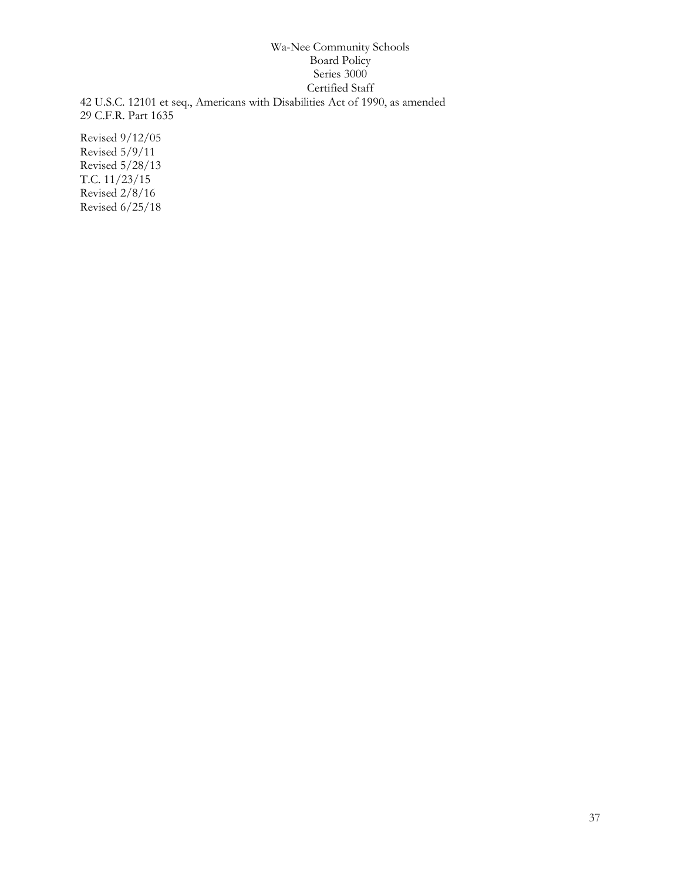42 U.S.C. 12101 et seq., Americans with Disabilities Act of 1990, as amended 29 C.F.R. Part 1635

Revised 9/12/05 Revised 5/9/11 Revised 5/28/13 T.C. 11/23/15 Revised 2/8/16 Revised 6/25/18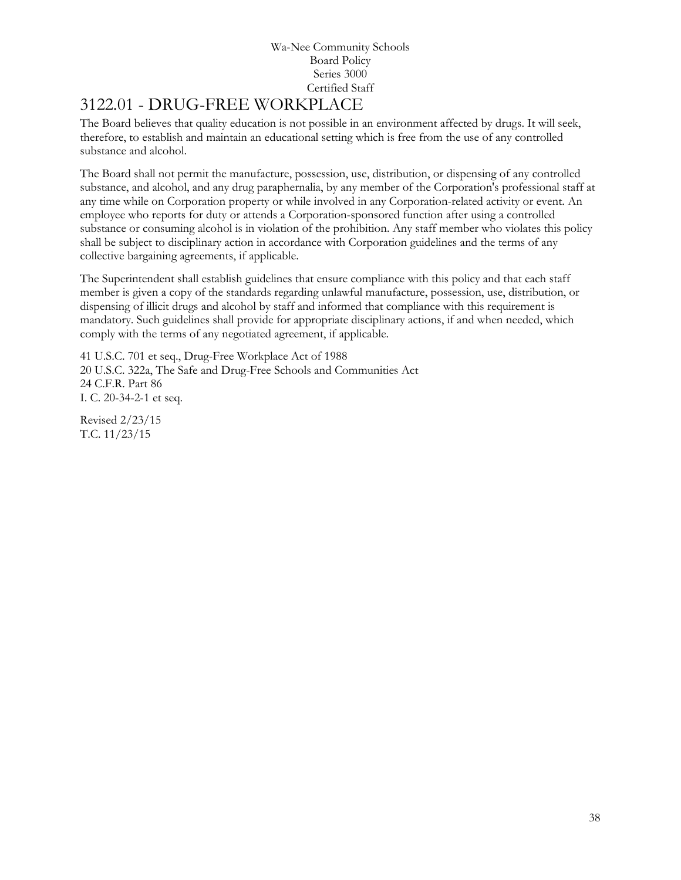# [3122.01](http://www.neola.com/wanee-in/search/ag/ag3122.01.htm) - DRUG-FREE WORKPLACE

The Board believes that quality education is not possible in an environment affected by drugs. It will seek, therefore, to establish and maintain an educational setting which is free from the use of any controlled substance and alcohol.

The Board shall not permit the manufacture, possession, use, distribution, or dispensing of any controlled substance, and alcohol, and any drug paraphernalia, by any member of the Corporation's professional staff at any time while on Corporation property or while involved in any Corporation-related activity or event. An employee who reports for duty or attends a Corporation-sponsored function after using a controlled substance or consuming alcohol is in violation of the prohibition. Any staff member who violates this policy shall be subject to disciplinary action in accordance with Corporation guidelines and the terms of any collective bargaining agreements, if applicable.

The Superintendent shall establish guidelines that ensure compliance with this policy and that each staff member is given a copy of the standards regarding unlawful manufacture, possession, use, distribution, or dispensing of illicit drugs and alcohol by staff and informed that compliance with this requirement is mandatory. Such guidelines shall provide for appropriate disciplinary actions, if and when needed, which comply with the terms of any negotiated agreement, if applicable.

41 U.S.C. 701 et seq., Drug-Free Workplace Act of 1988 20 U.S.C. 322a, The Safe and Drug-Free Schools and Communities Act 24 C.F.R. Part 86 I. C. 20-34-2-1 et seq.

Revised 2/23/15 T.C. 11/23/15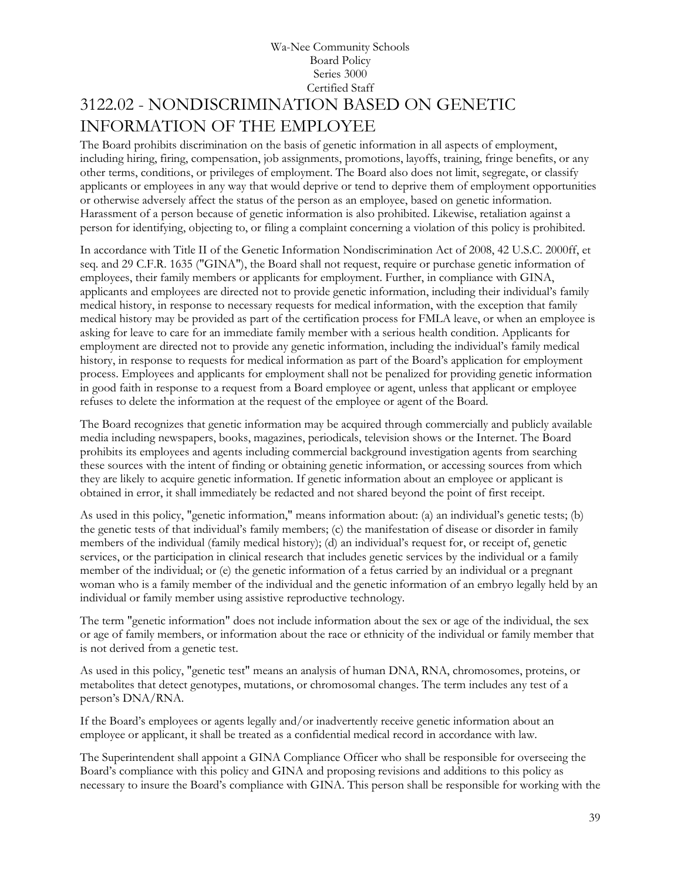## Wa-Nee Community Schools Board Policy Series 3000 Certified Staff 3122.02 - NONDISCRIMINATION BASED ON GENETIC INFORMATION OF THE EMPLOYEE

The Board prohibits discrimination on the basis of genetic information in all aspects of employment, including hiring, firing, compensation, job assignments, promotions, layoffs, training, fringe benefits, or any other terms, conditions, or privileges of employment. The Board also does not limit, segregate, or classify applicants or employees in any way that would deprive or tend to deprive them of employment opportunities or otherwise adversely affect the status of the person as an employee, based on genetic information. Harassment of a person because of genetic information is also prohibited. Likewise, retaliation against a person for identifying, objecting to, or filing a complaint concerning a violation of this policy is prohibited.

In accordance with Title II of the Genetic Information Nondiscrimination Act of 2008, 42 U.S.C. 2000ff, et seq. and 29 C.F.R. 1635 ("GINA"), the Board shall not request, require or purchase genetic information of employees, their family members or applicants for employment. Further, in compliance with GINA, applicants and employees are directed not to provide genetic information, including their individual's family medical history, in response to necessary requests for medical information, with the exception that family medical history may be provided as part of the certification process for FMLA leave, or when an employee is asking for leave to care for an immediate family member with a serious health condition. Applicants for employment are directed not to provide any genetic information, including the individual's family medical history, in response to requests for medical information as part of the Board's application for employment process. Employees and applicants for employment shall not be penalized for providing genetic information in good faith in response to a request from a Board employee or agent, unless that applicant or employee refuses to delete the information at the request of the employee or agent of the Board.

The Board recognizes that genetic information may be acquired through commercially and publicly available media including newspapers, books, magazines, periodicals, television shows or the Internet. The Board prohibits its employees and agents including commercial background investigation agents from searching these sources with the intent of finding or obtaining genetic information, or accessing sources from which they are likely to acquire genetic information. If genetic information about an employee or applicant is obtained in error, it shall immediately be redacted and not shared beyond the point of first receipt.

As used in this policy, "genetic information," means information about: (a) an individual's genetic tests; (b) the genetic tests of that individual's family members; (c) the manifestation of disease or disorder in family members of the individual (family medical history); (d) an individual's request for, or receipt of, genetic services, or the participation in clinical research that includes genetic services by the individual or a family member of the individual; or (e) the genetic information of a fetus carried by an individual or a pregnant woman who is a family member of the individual and the genetic information of an embryo legally held by an individual or family member using assistive reproductive technology.

The term "genetic information" does not include information about the sex or age of the individual, the sex or age of family members, or information about the race or ethnicity of the individual or family member that is not derived from a genetic test.

As used in this policy, "genetic test" means an analysis of human DNA, RNA, chromosomes, proteins, or metabolites that detect genotypes, mutations, or chromosomal changes. The term includes any test of a person's DNA/RNA.

If the Board's employees or agents legally and/or inadvertently receive genetic information about an employee or applicant, it shall be treated as a confidential medical record in accordance with law.

The Superintendent shall appoint a GINA Compliance Officer who shall be responsible for overseeing the Board's compliance with this policy and GINA and proposing revisions and additions to this policy as necessary to insure the Board's compliance with GINA. This person shall be responsible for working with the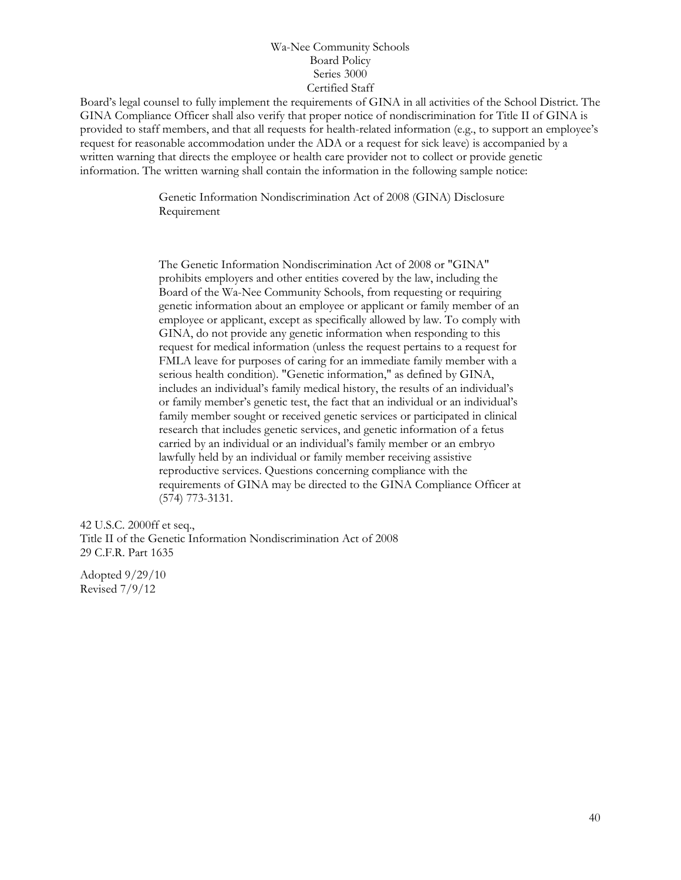Board's legal counsel to fully implement the requirements of GINA in all activities of the School District. The GINA Compliance Officer shall also verify that proper notice of nondiscrimination for Title II of GINA is provided to staff members, and that all requests for health-related information (e.g., to support an employee's request for reasonable accommodation under the ADA or a request for sick leave) is accompanied by a written warning that directs the employee or health care provider not to collect or provide genetic information. The written warning shall contain the information in the following sample notice:

> Genetic Information Nondiscrimination Act of 2008 (GINA) Disclosure Requirement

The Genetic Information Nondiscrimination Act of 2008 or "GINA" prohibits employers and other entities covered by the law, including the Board of the Wa-Nee Community Schools, from requesting or requiring genetic information about an employee or applicant or family member of an employee or applicant, except as specifically allowed by law. To comply with GINA, do not provide any genetic information when responding to this request for medical information (unless the request pertains to a request for FMLA leave for purposes of caring for an immediate family member with a serious health condition). "Genetic information," as defined by GINA, includes an individual's family medical history, the results of an individual's or family member's genetic test, the fact that an individual or an individual's family member sought or received genetic services or participated in clinical research that includes genetic services, and genetic information of a fetus carried by an individual or an individual's family member or an embryo lawfully held by an individual or family member receiving assistive reproductive services. Questions concerning compliance with the requirements of GINA may be directed to the GINA Compliance Officer at (574) 773-3131.

42 U.S.C. 2000ff et seq., Title II of the Genetic Information Nondiscrimination Act of 2008 29 C.F.R. Part 1635

Adopted 9/29/10 Revised 7/9/12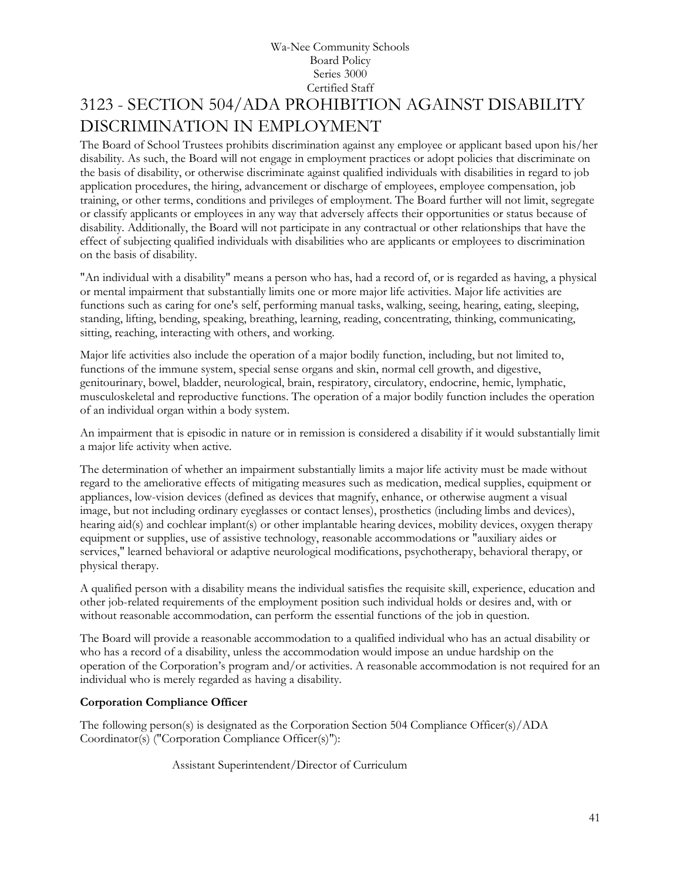## Wa-Nee Community Schools Board Policy Series 3000 Certified Staff 3123 - SECTION 504/ADA PROHIBITION AGAINST DISABILITY DISCRIMINATION IN EMPLOYMENT

The Board of School Trustees prohibits discrimination against any employee or applicant based upon his/her disability. As such, the Board will not engage in employment practices or adopt policies that discriminate on the basis of disability, or otherwise discriminate against qualified individuals with disabilities in regard to job application procedures, the hiring, advancement or discharge of employees, employee compensation, job training, or other terms, conditions and privileges of employment. The Board further will not limit, segregate or classify applicants or employees in any way that adversely affects their opportunities or status because of disability. Additionally, the Board will not participate in any contractual or other relationships that have the effect of subjecting qualified individuals with disabilities who are applicants or employees to discrimination on the basis of disability.

"An individual with a disability" means a person who has, had a record of, or is regarded as having, a physical or mental impairment that substantially limits one or more major life activities. Major life activities are functions such as caring for one's self, performing manual tasks, walking, seeing, hearing, eating, sleeping, standing, lifting, bending, speaking, breathing, learning, reading, concentrating, thinking, communicating, sitting, reaching, interacting with others, and working.

Major life activities also include the operation of a major bodily function, including, but not limited to, functions of the immune system, special sense organs and skin, normal cell growth, and digestive, genitourinary, bowel, bladder, neurological, brain, respiratory, circulatory, endocrine, hemic, lymphatic, musculoskeletal and reproductive functions. The operation of a major bodily function includes the operation of an individual organ within a body system.

An impairment that is episodic in nature or in remission is considered a disability if it would substantially limit a major life activity when active.

The determination of whether an impairment substantially limits a major life activity must be made without regard to the ameliorative effects of mitigating measures such as medication, medical supplies, equipment or appliances, low-vision devices (defined as devices that magnify, enhance, or otherwise augment a visual image, but not including ordinary eyeglasses or contact lenses), prosthetics (including limbs and devices), hearing aid(s) and cochlear implant(s) or other implantable hearing devices, mobility devices, oxygen therapy equipment or supplies, use of assistive technology, reasonable accommodations or "auxiliary aides or services," learned behavioral or adaptive neurological modifications, psychotherapy, behavioral therapy, or physical therapy.

A qualified person with a disability means the individual satisfies the requisite skill, experience, education and other job-related requirements of the employment position such individual holds or desires and, with or without reasonable accommodation, can perform the essential functions of the job in question.

The Board will provide a reasonable accommodation to a qualified individual who has an actual disability or who has a record of a disability, unless the accommodation would impose an undue hardship on the operation of the Corporation's program and/or activities. A reasonable accommodation is not required for an individual who is merely regarded as having a disability.

### **Corporation Compliance Officer**

The following person(s) is designated as the Corporation Section 504 Compliance Officer(s)/ADA Coordinator(s) ("Corporation Compliance Officer(s)"):

Assistant Superintendent/Director of Curriculum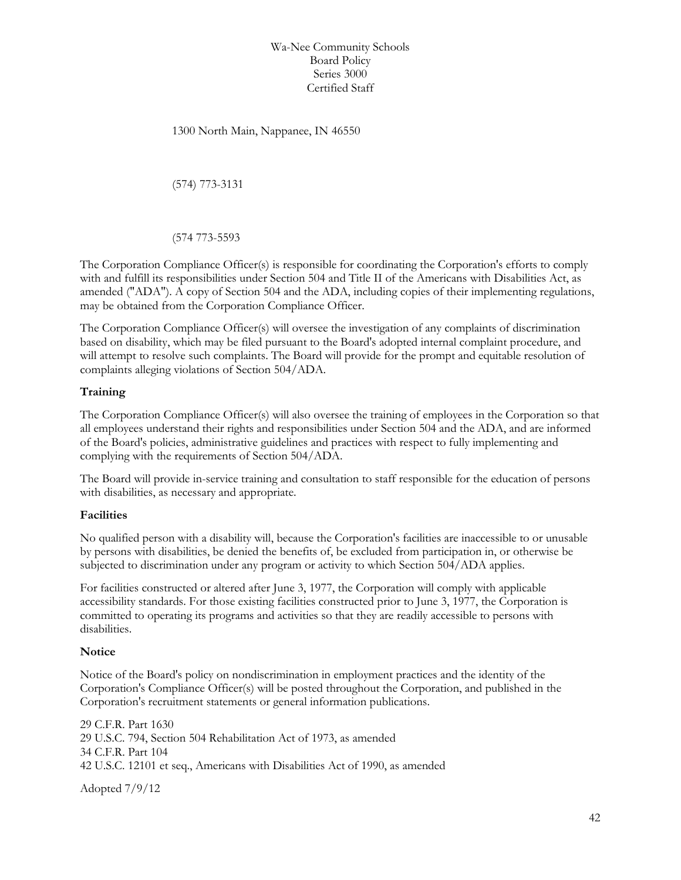1300 North Main, Nappanee, IN 46550

(574) 773-3131

(574 773-5593

The Corporation Compliance Officer(s) is responsible for coordinating the Corporation's efforts to comply with and fulfill its responsibilities under Section 504 and Title II of the Americans with Disabilities Act, as amended ("ADA"). A copy of Section 504 and the ADA, including copies of their implementing regulations, may be obtained from the Corporation Compliance Officer.

The Corporation Compliance Officer(s) will oversee the investigation of any complaints of discrimination based on disability, which may be filed pursuant to the Board's adopted internal complaint procedure, and will attempt to resolve such complaints. The Board will provide for the prompt and equitable resolution of complaints alleging violations of Section 504/ADA.

### **Training**

The Corporation Compliance Officer(s) will also oversee the training of employees in the Corporation so that all employees understand their rights and responsibilities under Section 504 and the ADA, and are informed of the Board's policies, administrative guidelines and practices with respect to fully implementing and complying with the requirements of Section 504/ADA.

The Board will provide in-service training and consultation to staff responsible for the education of persons with disabilities, as necessary and appropriate.

#### **Facilities**

No qualified person with a disability will, because the Corporation's facilities are inaccessible to or unusable by persons with disabilities, be denied the benefits of, be excluded from participation in, or otherwise be subjected to discrimination under any program or activity to which Section 504/ADA applies.

For facilities constructed or altered after June 3, 1977, the Corporation will comply with applicable accessibility standards. For those existing facilities constructed prior to June 3, 1977, the Corporation is committed to operating its programs and activities so that they are readily accessible to persons with disabilities.

#### **Notice**

Notice of the Board's policy on nondiscrimination in employment practices and the identity of the Corporation's Compliance Officer(s) will be posted throughout the Corporation, and published in the Corporation's recruitment statements or general information publications.

29 C.F.R. Part 1630 29 U.S.C. 794, Section 504 Rehabilitation Act of 1973, as amended 34 C.F.R. Part 104 42 U.S.C. 12101 et seq., Americans with Disabilities Act of 1990, as amended

Adopted 7/9/12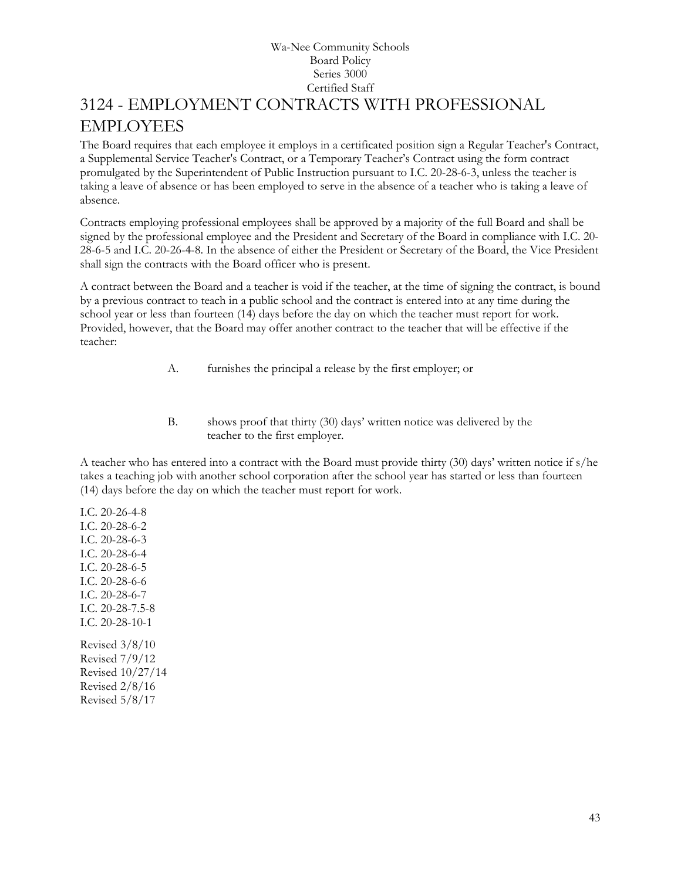## Wa-Nee Community Schools Board Policy Series 3000 Certified Staff 3124 - EMPLOYMENT CONTRACTS WITH PROFESSIONAL EMPLOYEES

The Board requires that each employee it employs in a certificated position sign a Regular Teacher's Contract, a Supplemental Service Teacher's Contract, or a Temporary Teacher's Contract using the form contract promulgated by the Superintendent of Public Instruction pursuant to I.C. 20-28-6-3, unless the teacher is taking a leave of absence or has been employed to serve in the absence of a teacher who is taking a leave of absence.

Contracts employing professional employees shall be approved by a majority of the full Board and shall be signed by the professional employee and the President and Secretary of the Board in compliance with I.C. 20- 28-6-5 and I.C. 20-26-4-8. In the absence of either the President or Secretary of the Board, the Vice President shall sign the contracts with the Board officer who is present.

A contract between the Board and a teacher is void if the teacher, at the time of signing the contract, is bound by a previous contract to teach in a public school and the contract is entered into at any time during the school year or less than fourteen (14) days before the day on which the teacher must report for work. Provided, however, that the Board may offer another contract to the teacher that will be effective if the teacher:

- A. furnishes the principal a release by the first employer; or
- B. shows proof that thirty (30) days' written notice was delivered by the teacher to the first employer.

A teacher who has entered into a contract with the Board must provide thirty (30) days' written notice if s/he takes a teaching job with another school corporation after the school year has started or less than fourteen (14) days before the day on which the teacher must report for work.

I.C. 20-26-4-8 I.C. 20-28-6-2 I.C. 20-28-6-3 I.C. 20-28-6-4 I.C. 20-28-6-5 I.C. 20-28-6-6 I.C. 20-28-6-7 I.C. 20-28-7.5-8 I.C. 20-28-10-1 Revised 3/8/10 Revised 7/9/12 Revised 10/27/14 Revised 2/8/16

Revised 5/8/17

43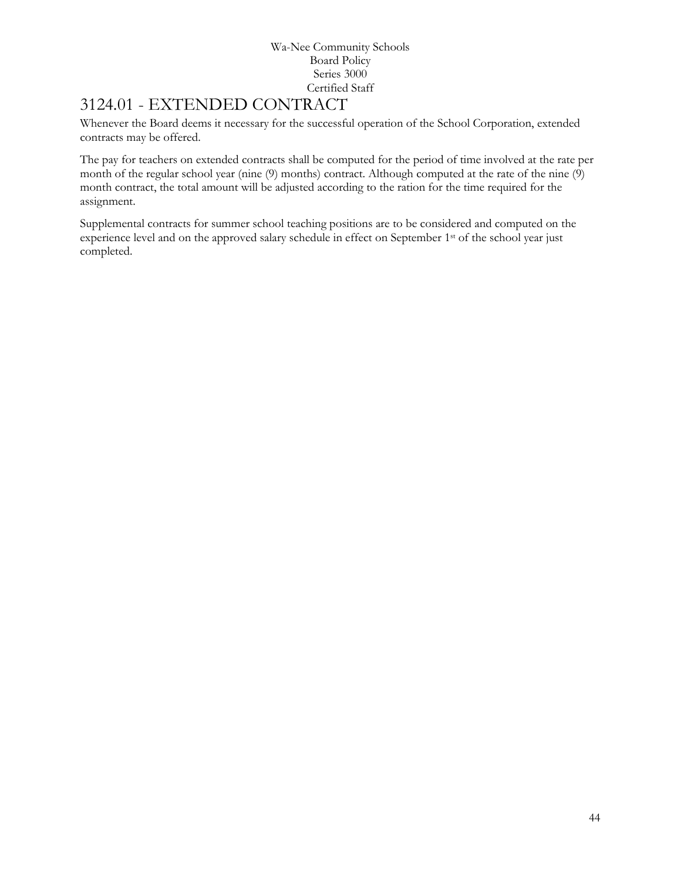# 3124.01 - EXTENDED CONTRACT

Whenever the Board deems it necessary for the successful operation of the School Corporation, extended contracts may be offered.

The pay for teachers on extended contracts shall be computed for the period of time involved at the rate per month of the regular school year (nine (9) months) contract. Although computed at the rate of the nine (9) month contract, the total amount will be adjusted according to the ration for the time required for the assignment.

Supplemental contracts for summer school teaching positions are to be considered and computed on the experience level and on the approved salary schedule in effect on September 1<sup>st</sup> of the school year just completed.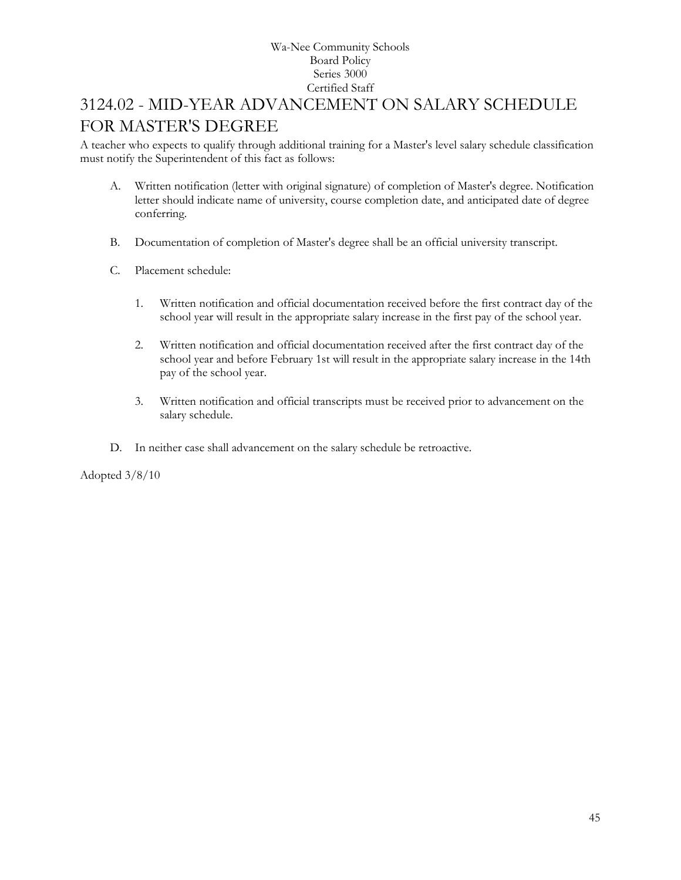# 3124.02 - MID-YEAR ADVANCEMENT ON SALARY SCHEDULE FOR MASTER'S DEGREE

A teacher who expects to qualify through additional training for a Master's level salary schedule classification must notify the Superintendent of this fact as follows:

- A. Written notification (letter with original signature) of completion of Master's degree. Notification letter should indicate name of university, course completion date, and anticipated date of degree conferring.
- B. Documentation of completion of Master's degree shall be an official university transcript.
- C. Placement schedule:
	- 1. Written notification and official documentation received before the first contract day of the school year will result in the appropriate salary increase in the first pay of the school year.
	- 2. Written notification and official documentation received after the first contract day of the school year and before February 1st will result in the appropriate salary increase in the 14th pay of the school year.
	- 3. Written notification and official transcripts must be received prior to advancement on the salary schedule.
- D. In neither case shall advancement on the salary schedule be retroactive.

Adopted 3/8/10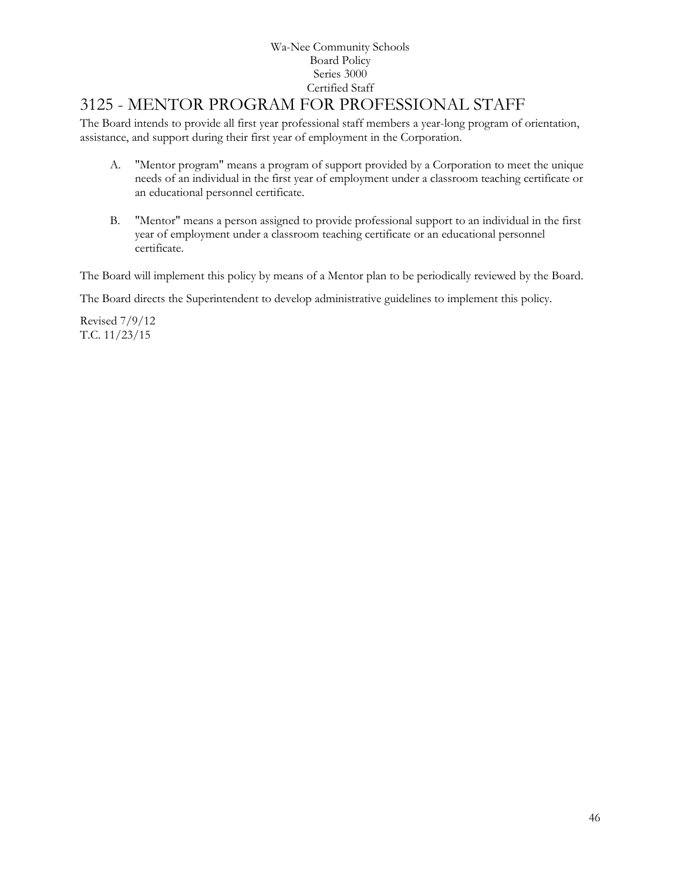# 3125 - MENTOR PROGRAM FOR PROFESSIONAL STAFF

The Board intends to provide all first year professional staff members a year-long program of orientation, assistance, and support during their first year of employment in the Corporation.

- A. "Mentor program" means a program of support provided by a Corporation to meet the unique needs of an individual in the first year of employment under a classroom teaching certificate or an educational personnel certificate.
- B. "Mentor" means a person assigned to provide professional support to an individual in the first year of employment under a classroom teaching certificate or an educational personnel certificate.

The Board will implement this policy by means of a Mentor plan to be periodically reviewed by the Board.

The Board directs the Superintendent to develop administrative guidelines to implement this policy.

Revised 7/9/12 T.C. 11/23/15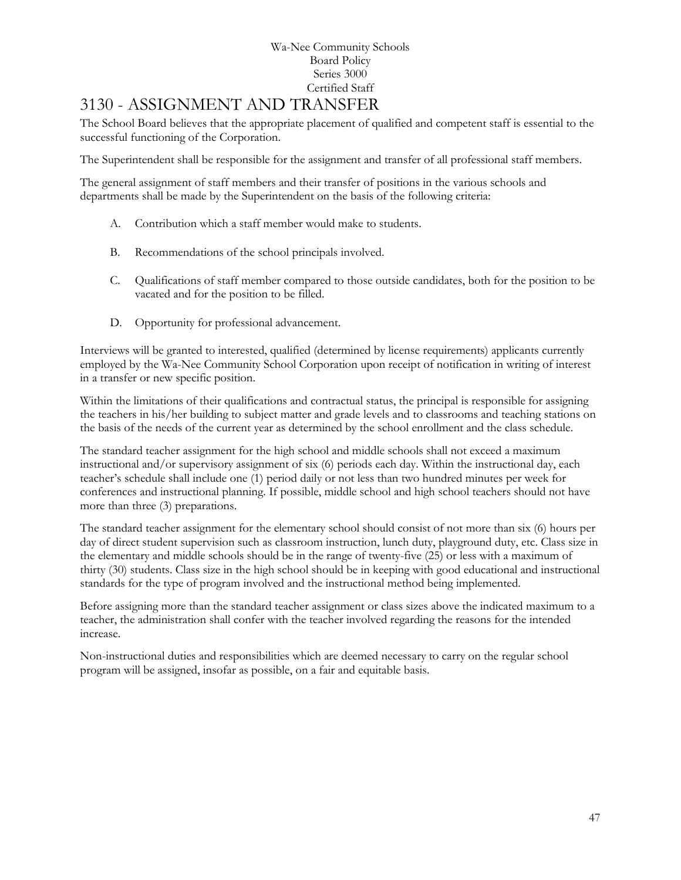# [3130](http://www.neola.com/wanee-in/search/ag/ag3130.htm) - ASSIGNMENT AND TRANSFER

The School Board believes that the appropriate placement of qualified and competent staff is essential to the successful functioning of the Corporation.

The Superintendent shall be responsible for the assignment and transfer of all professional staff members.

The general assignment of staff members and their transfer of positions in the various schools and departments shall be made by the Superintendent on the basis of the following criteria:

- A. Contribution which a staff member would make to students.
- B. Recommendations of the school principals involved.
- C. Qualifications of staff member compared to those outside candidates, both for the position to be vacated and for the position to be filled.
- D. Opportunity for professional advancement.

Interviews will be granted to interested, qualified (determined by license requirements) applicants currently employed by the Wa-Nee Community School Corporation upon receipt of notification in writing of interest in a transfer or new specific position.

Within the limitations of their qualifications and contractual status, the principal is responsible for assigning the teachers in his/her building to subject matter and grade levels and to classrooms and teaching stations on the basis of the needs of the current year as determined by the school enrollment and the class schedule.

The standard teacher assignment for the high school and middle schools shall not exceed a maximum instructional and/or supervisory assignment of six (6) periods each day. Within the instructional day, each teacher's schedule shall include one (1) period daily or not less than two hundred minutes per week for conferences and instructional planning. If possible, middle school and high school teachers should not have more than three (3) preparations.

The standard teacher assignment for the elementary school should consist of not more than six (6) hours per day of direct student supervision such as classroom instruction, lunch duty, playground duty, etc. Class size in the elementary and middle schools should be in the range of twenty-five (25) or less with a maximum of thirty (30) students. Class size in the high school should be in keeping with good educational and instructional standards for the type of program involved and the instructional method being implemented.

Before assigning more than the standard teacher assignment or class sizes above the indicated maximum to a teacher, the administration shall confer with the teacher involved regarding the reasons for the intended increase.

Non-instructional duties and responsibilities which are deemed necessary to carry on the regular school program will be assigned, insofar as possible, on a fair and equitable basis.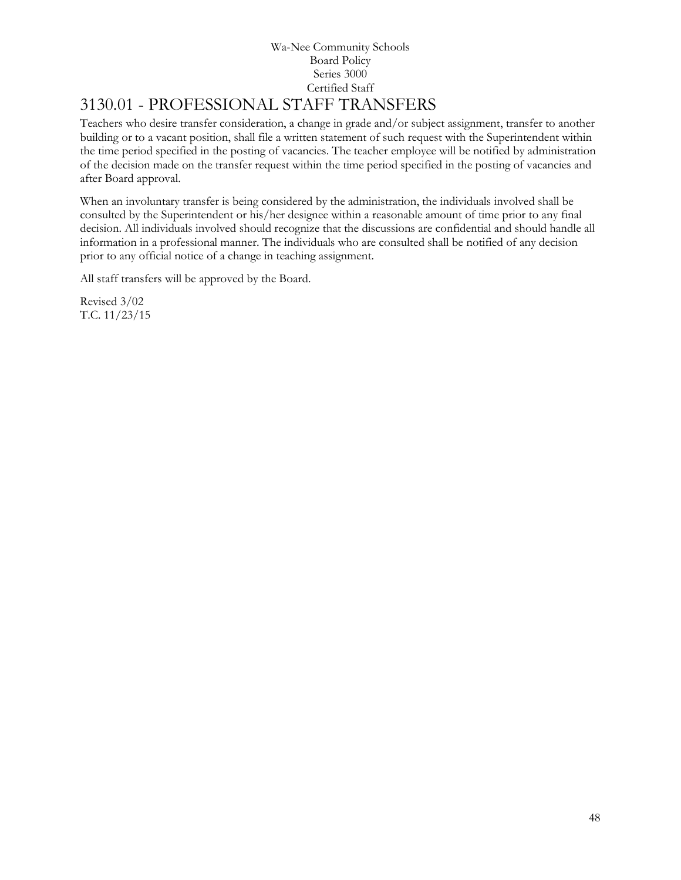# 3130.01 - PROFESSIONAL STAFF TRANSFERS

Teachers who desire transfer consideration, a change in grade and/or subject assignment, transfer to another building or to a vacant position, shall file a written statement of such request with the Superintendent within the time period specified in the posting of vacancies. The teacher employee will be notified by administration of the decision made on the transfer request within the time period specified in the posting of vacancies and after Board approval.

When an involuntary transfer is being considered by the administration, the individuals involved shall be consulted by the Superintendent or his/her designee within a reasonable amount of time prior to any final decision. All individuals involved should recognize that the discussions are confidential and should handle all information in a professional manner. The individuals who are consulted shall be notified of any decision prior to any official notice of a change in teaching assignment.

All staff transfers will be approved by the Board.

Revised 3/02 T.C. 11/23/15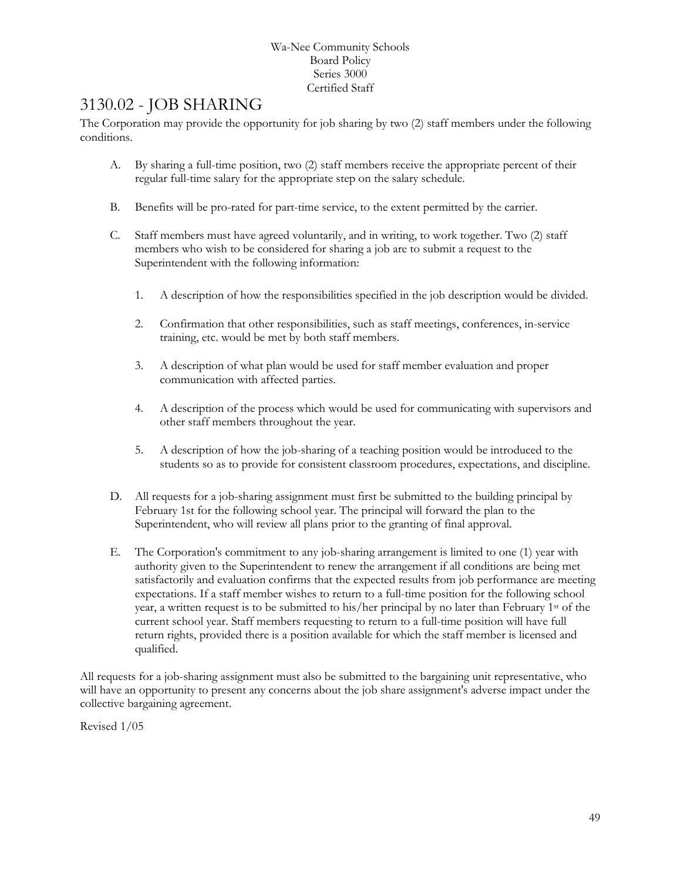# [3130.02](http://www.neola.com/wanee-in/search/policies/po3130.02.htm) - JOB SHARING

The Corporation may provide the opportunity for job sharing by two (2) staff members under the following conditions.

- A. By sharing a full-time position, two (2) staff members receive the appropriate percent of their regular full-time salary for the appropriate step on the salary schedule.
- B. Benefits will be pro-rated for part-time service, to the extent permitted by the carrier.
- C. Staff members must have agreed voluntarily, and in writing, to work together. Two (2) staff members who wish to be considered for sharing a job are to submit a request to the Superintendent with the following information:
	- 1. A description of how the responsibilities specified in the job description would be divided.
	- 2. Confirmation that other responsibilities, such as staff meetings, conferences, in-service training, etc. would be met by both staff members.
	- 3. A description of what plan would be used for staff member evaluation and proper communication with affected parties.
	- 4. A description of the process which would be used for communicating with supervisors and other staff members throughout the year.
	- 5. A description of how the job-sharing of a teaching position would be introduced to the students so as to provide for consistent classroom procedures, expectations, and discipline.
- D. All requests for a job-sharing assignment must first be submitted to the building principal by February 1st for the following school year. The principal will forward the plan to the Superintendent, who will review all plans prior to the granting of final approval.
- E. The Corporation's commitment to any job-sharing arrangement is limited to one (1) year with authority given to the Superintendent to renew the arrangement if all conditions are being met satisfactorily and evaluation confirms that the expected results from job performance are meeting expectations. If a staff member wishes to return to a full-time position for the following school year, a written request is to be submitted to his/her principal by no later than February 1st of the current school year. Staff members requesting to return to a full-time position will have full return rights, provided there is a position available for which the staff member is licensed and qualified.

All requests for a job-sharing assignment must also be submitted to the bargaining unit representative, who will have an opportunity to present any concerns about the job share assignment's adverse impact under the collective bargaining agreement.

Revised 1/05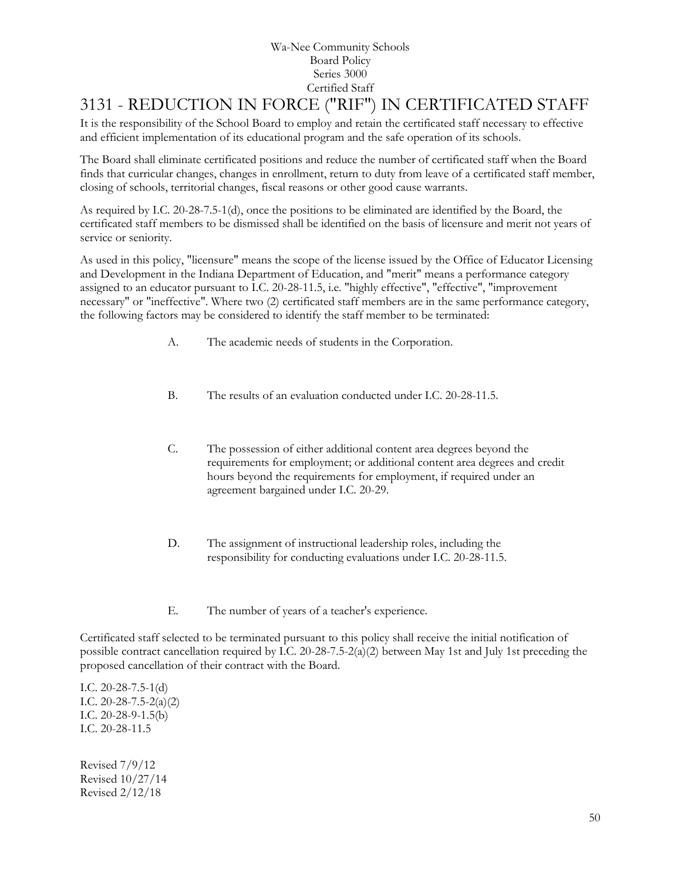# 3131 - REDUCTION IN FORCE ("RIF") IN CERTIFICATED STAFF

It is the responsibility of the School Board to employ and retain the certificated staff necessary to effective and efficient implementation of its educational program and the safe operation of its schools.

The Board shall eliminate certificated positions and reduce the number of certificated staff when the Board finds that curricular changes, changes in enrollment, return to duty from leave of a certificated staff member, closing of schools, territorial changes, fiscal reasons or other good cause warrants.

As required by I.C. 20-28-7.5-1(d), once the positions to be eliminated are identified by the Board, the certificated staff members to be dismissed shall be identified on the basis of licensure and merit not years of service or seniority.

As used in this policy, "licensure" means the scope of the license issued by the Office of Educator Licensing and Development in the Indiana Department of Education, and "merit" means a performance category assigned to an educator pursuant to I.C. 20-28-11.5, i.e. "highly effective", "effective", "improvement necessary" or "ineffective". Where two (2) certificated staff members are in the same performance category, the following factors may be considered to identify the staff member to be terminated:

- A. The academic needs of students in the Corporation.
- B. The results of an evaluation conducted under I.C. 20-28-11.5.
- C. The possession of either additional content area degrees beyond the requirements for employment; or additional content area degrees and credit hours beyond the requirements for employment, if required under an agreement bargained under I.C. 20-29.
- D. The assignment of instructional leadership roles, including the responsibility for conducting evaluations under I.C. 20-28-11.5.
- E. The number of years of a teacher's experience.

Certificated staff selected to be terminated pursuant to this policy shall receive the initial notification of possible contract cancellation required by I.C. 20-28-7.5-2(a)(2) between May 1st and July 1st preceding the proposed cancellation of their contract with the Board.

I.C. 20-28-7.5-1(d) I.C. 20-28-7.5-2(a)(2) I.C. 20-28-9-1.5(b) I.C. 20-28-11.5

Revised 7/9/12 Revised 10/27/14 Revised 2/12/18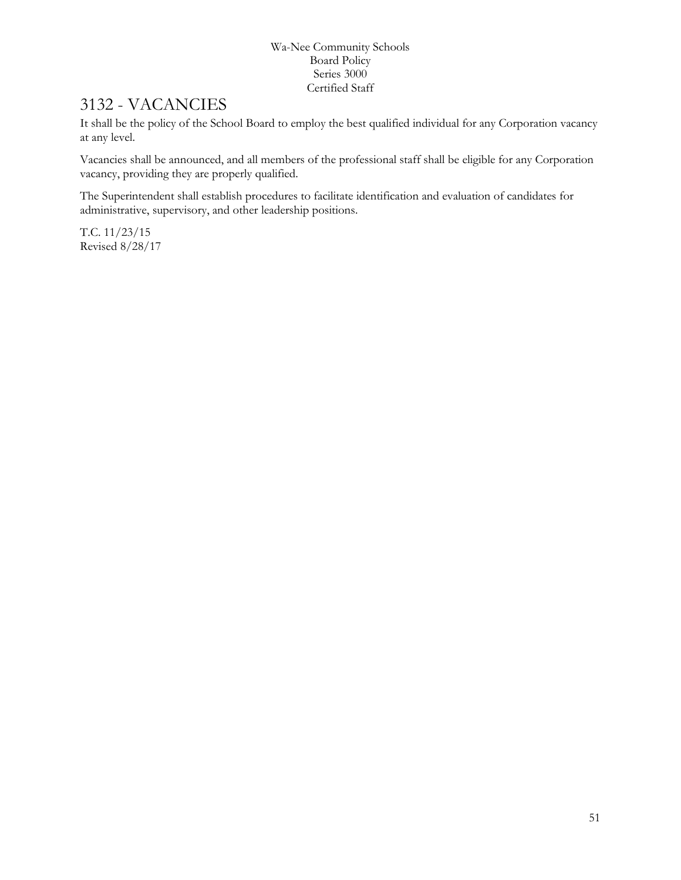## 3132 - VACANCIES

It shall be the policy of the School Board to employ the best qualified individual for any Corporation vacancy at any level.

Vacancies shall be announced, and all members of the professional staff shall be eligible for any Corporation vacancy, providing they are properly qualified.

The Superintendent shall establish procedures to facilitate identification and evaluation of candidates for administrative, supervisory, and other leadership positions.

T.C. 11/23/15 Revised 8/28/17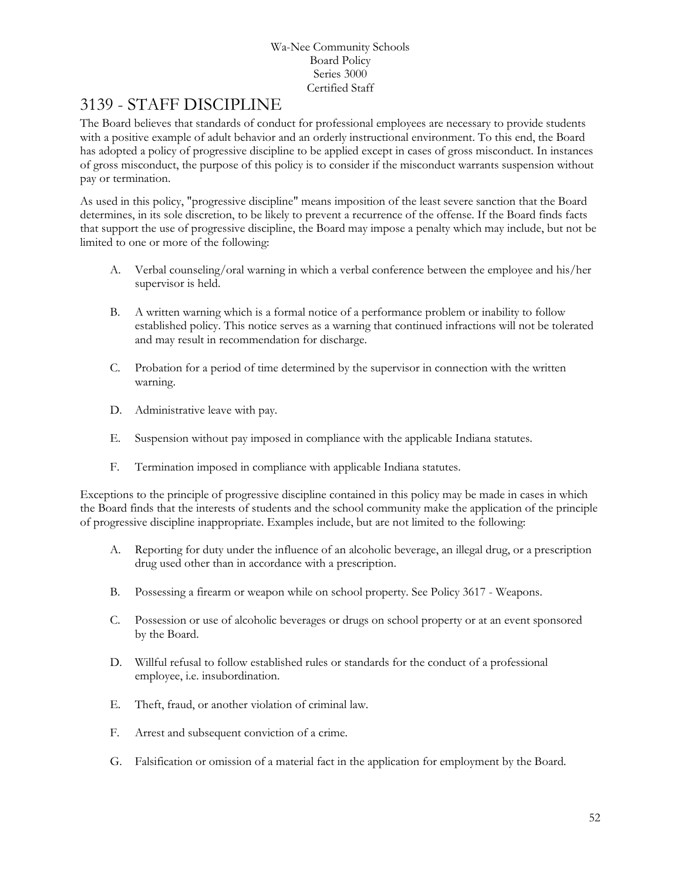# 3139 - STAFF DISCIPLINE

The Board believes that standards of conduct for professional employees are necessary to provide students with a positive example of adult behavior and an orderly instructional environment. To this end, the Board has adopted a policy of progressive discipline to be applied except in cases of gross misconduct. In instances of gross misconduct, the purpose of this policy is to consider if the misconduct warrants suspension without pay or termination.

As used in this policy, "progressive discipline" means imposition of the least severe sanction that the Board determines, in its sole discretion, to be likely to prevent a recurrence of the offense. If the Board finds facts that support the use of progressive discipline, the Board may impose a penalty which may include, but not be limited to one or more of the following:

- A. Verbal counseling/oral warning in which a verbal conference between the employee and his/her supervisor is held.
- B. A written warning which is a formal notice of a performance problem or inability to follow established policy. This notice serves as a warning that continued infractions will not be tolerated and may result in recommendation for discharge.
- C. Probation for a period of time determined by the supervisor in connection with the written warning.
- D. Administrative leave with pay.
- E. Suspension without pay imposed in compliance with the applicable Indiana statutes.
- F. Termination imposed in compliance with applicable Indiana statutes.

Exceptions to the principle of progressive discipline contained in this policy may be made in cases in which the Board finds that the interests of students and the school community make the application of the principle of progressive discipline inappropriate. Examples include, but are not limited to the following:

- A. Reporting for duty under the influence of an alcoholic beverage, an illegal drug, or a prescription drug used other than in accordance with a prescription.
- B. Possessing a firearm or weapon while on school property. See Policy 3617 Weapons.
- C. Possession or use of alcoholic beverages or drugs on school property or at an event sponsored by the Board.
- D. Willful refusal to follow established rules or standards for the conduct of a professional employee, i.e. insubordination.
- E. Theft, fraud, or another violation of criminal law.
- F. Arrest and subsequent conviction of a crime.
- G. Falsification or omission of a material fact in the application for employment by the Board.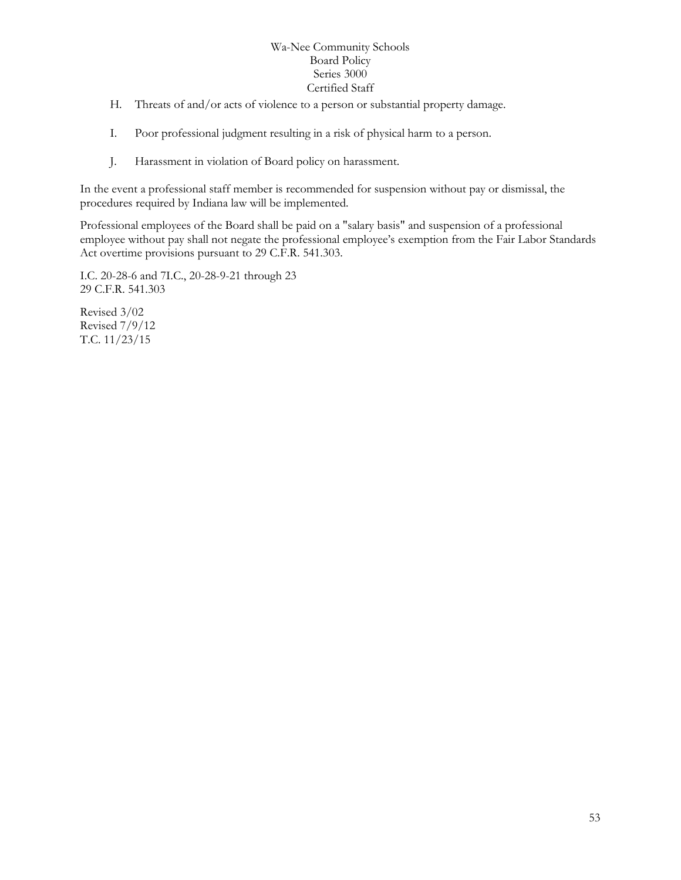- H. Threats of and/or acts of violence to a person or substantial property damage.
- I. Poor professional judgment resulting in a risk of physical harm to a person.
- J. Harassment in violation of Board policy on harassment.

In the event a professional staff member is recommended for suspension without pay or dismissal, the procedures required by Indiana law will be implemented.

Professional employees of the Board shall be paid on a "salary basis" and suspension of a professional employee without pay shall not negate the professional employee's exemption from the Fair Labor Standards Act overtime provisions pursuant to 29 C.F.R. 541.303.

I.C. 20-28-6 and 7I.C., 20-28-9-21 through 23 29 C.F.R. 541.303

Revised 3/02 Revised 7/9/12 T.C. 11/23/15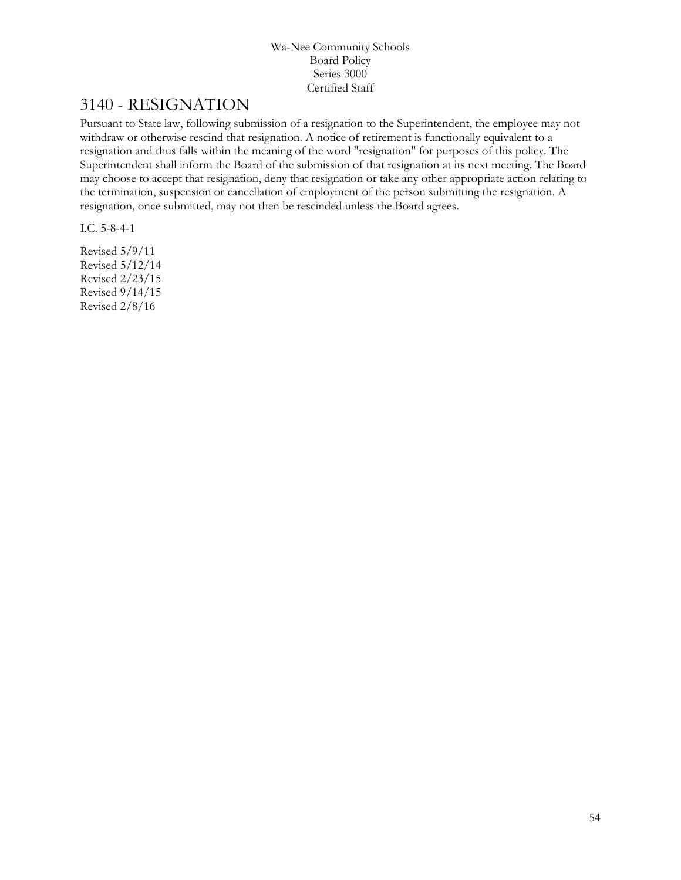# [3140](http://www.neola.com/wanee-in/search/ag/ag3140.htm) - RESIGNATION

Pursuant to State law, following submission of a resignation to the Superintendent, the employee may not withdraw or otherwise rescind that resignation. A notice of retirement is functionally equivalent to a resignation and thus falls within the meaning of the word "resignation" for purposes of this policy. The Superintendent shall inform the Board of the submission of that resignation at its next meeting. The Board may choose to accept that resignation, deny that resignation or take any other appropriate action relating to the termination, suspension or cancellation of employment of the person submitting the resignation. A resignation, once submitted, may not then be rescinded unless the Board agrees.

I.C. 5-8-4-1

Revised 5/9/11 Revised 5/12/14 Revised 2/23/15 Revised 9/14/15 Revised 2/8/16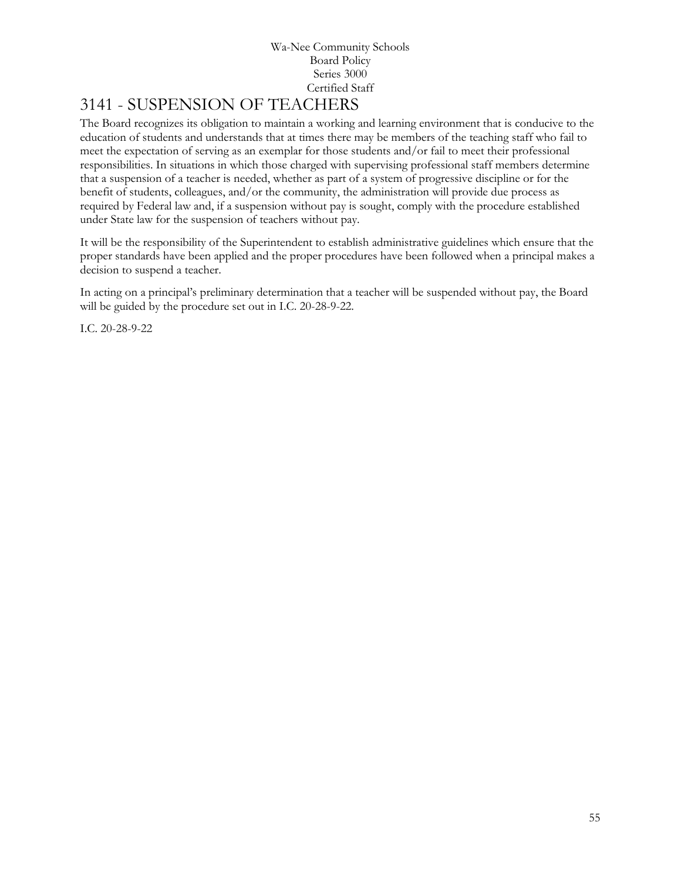# [3141](http://www.neola.com/wanee-in/search/ag/ag3141.htm) - SUSPENSION OF TEACHERS

The Board recognizes its obligation to maintain a working and learning environment that is conducive to the education of students and understands that at times there may be members of the teaching staff who fail to meet the expectation of serving as an exemplar for those students and/or fail to meet their professional responsibilities. In situations in which those charged with supervising professional staff members determine that a suspension of a teacher is needed, whether as part of a system of progressive discipline or for the benefit of students, colleagues, and/or the community, the administration will provide due process as required by Federal law and, if a suspension without pay is sought, comply with the procedure established under State law for the suspension of teachers without pay.

It will be the responsibility of the Superintendent to establish administrative guidelines which ensure that the proper standards have been applied and the proper procedures have been followed when a principal makes a decision to suspend a teacher.

In acting on a principal's preliminary determination that a teacher will be suspended without pay, the Board will be guided by the procedure set out in I.C. 20-28-9-22.

I.C. 20-28-9-22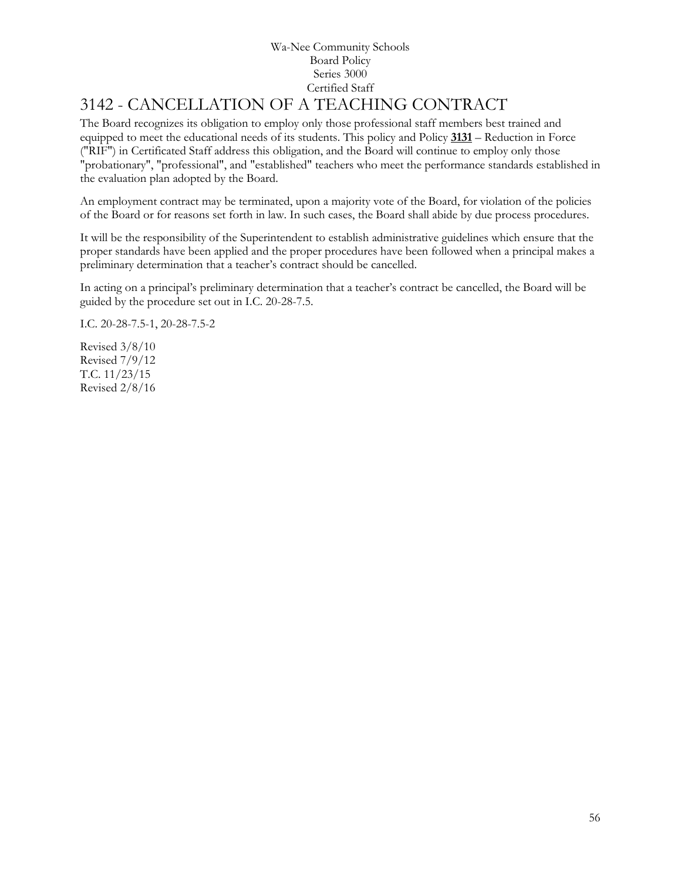# [3142](http://www.neola.com/wanee-in/search/ag/ag3142.htm) - CANCELLATION OF A TEACHING CONTRACT

The Board recognizes its obligation to employ only those professional staff members best trained and equipped to meet the educational needs of its students. This policy and Policy **[3131](http://www.neola.com/wanee-in/search/policies/po3131.htm)** – Reduction in Force ("RIF") in Certificated Staff address this obligation, and the Board will continue to employ only those "probationary", "professional", and "established" teachers who meet the performance standards established in the evaluation plan adopted by the Board.

An employment contract may be terminated, upon a majority vote of the Board, for violation of the policies of the Board or for reasons set forth in law. In such cases, the Board shall abide by due process procedures.

It will be the responsibility of the Superintendent to establish administrative guidelines which ensure that the proper standards have been applied and the proper procedures have been followed when a principal makes a preliminary determination that a teacher's contract should be cancelled.

In acting on a principal's preliminary determination that a teacher's contract be cancelled, the Board will be guided by the procedure set out in I.C. 20-28-7.5.

I.C. 20-28-7.5-1, 20-28-7.5-2

Revised 3/8/10 Revised 7/9/12 T.C. 11/23/15 Revised 2/8/16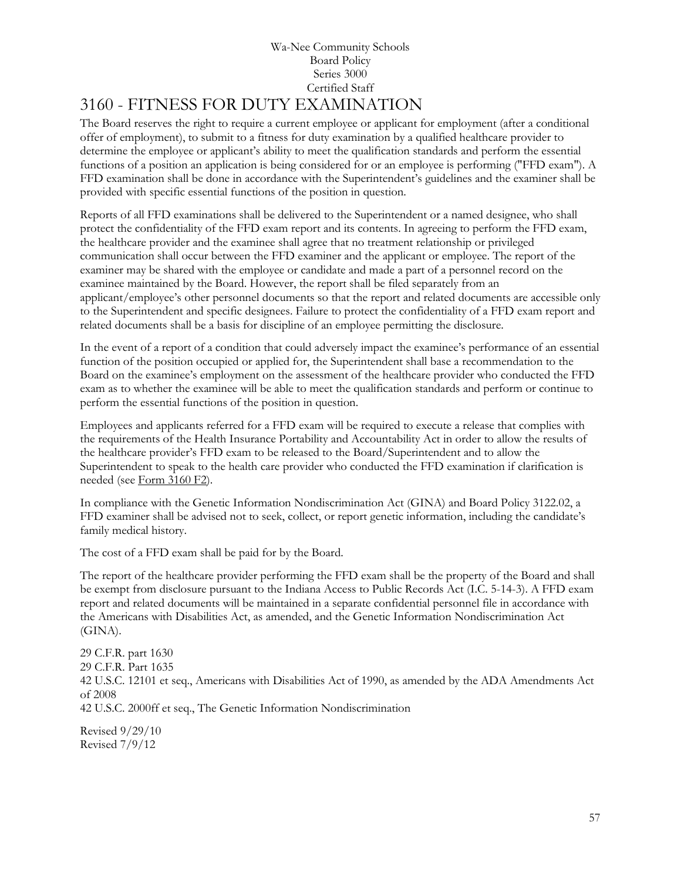#### Wa-Nee Community Schools Board Policy Series 3000 Certified Staff 3160 - FITNESS FOR DUTY EXAMINATION

The Board reserves the right to require a current employee or applicant for employment (after a conditional offer of employment), to submit to a fitness for duty examination by a qualified healthcare provider to determine the employee or applicant's ability to meet the qualification standards and perform the essential functions of a position an application is being considered for or an employee is performing ("FFD exam"). A FFD examination shall be done in accordance with the Superintendent's guidelines and the examiner shall be provided with specific essential functions of the position in question.

Reports of all FFD examinations shall be delivered to the Superintendent or a named designee, who shall protect the confidentiality of the FFD exam report and its contents. In agreeing to perform the FFD exam, the healthcare provider and the examinee shall agree that no treatment relationship or privileged communication shall occur between the FFD examiner and the applicant or employee. The report of the examiner may be shared with the employee or candidate and made a part of a personnel record on the examinee maintained by the Board. However, the report shall be filed separately from an applicant/employee's other personnel documents so that the report and related documents are accessible only to the Superintendent and specific designees. Failure to protect the confidentiality of a FFD exam report and related documents shall be a basis for discipline of an employee permitting the disclosure.

In the event of a report of a condition that could adversely impact the examinee's performance of an essential function of the position occupied or applied for, the Superintendent shall base a recommendation to the Board on the examinee's employment on the assessment of the healthcare provider who conducted the FFD exam as to whether the examinee will be able to meet the qualification standards and perform or continue to perform the essential functions of the position in question.

Employees and applicants referred for a FFD exam will be required to execute a release that complies with the requirements of the Health Insurance Portability and Accountability Act in order to allow the results of the healthcare provider's FFD exam to be released to the Board/Superintendent and to allow the Superintendent to speak to the health care provider who conducted the FFD examination if clarification is needed (see [Form 3160 F2\)](http://www.neola.com/wanee-in/search/forms/fm3160F2.pdf).

In compliance with the Genetic Information Nondiscrimination Act (GINA) and Board Policy 3122.02, a FFD examiner shall be advised not to seek, collect, or report genetic information, including the candidate's family medical history.

The cost of a FFD exam shall be paid for by the Board.

The report of the healthcare provider performing the FFD exam shall be the property of the Board and shall be exempt from disclosure pursuant to the Indiana Access to Public Records Act (I.C. 5-14-3). A FFD exam report and related documents will be maintained in a separate confidential personnel file in accordance with the Americans with Disabilities Act, as amended, and the Genetic Information Nondiscrimination Act (GINA).

29 C.F.R. part 1630 29 C.F.R. Part 1635 42 U.S.C. 12101 et seq., Americans with Disabilities Act of 1990, as amended by the ADA Amendments Act of 2008 42 U.S.C. 2000ff et seq., The Genetic Information Nondiscrimination

Revised 9/29/10 Revised 7/9/12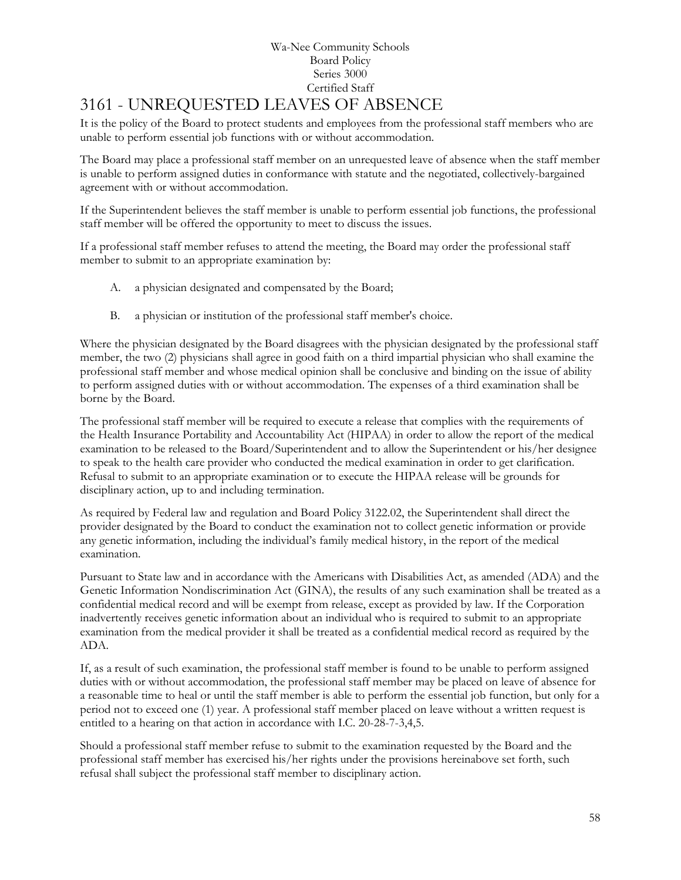# 3161 - UNREQUESTED LEAVES OF ABSENCE

It is the policy of the Board to protect students and employees from the professional staff members who are unable to perform essential job functions with or without accommodation.

The Board may place a professional staff member on an unrequested leave of absence when the staff member is unable to perform assigned duties in conformance with statute and the negotiated, collectively-bargained agreement with or without accommodation.

If the Superintendent believes the staff member is unable to perform essential job functions, the professional staff member will be offered the opportunity to meet to discuss the issues.

If a professional staff member refuses to attend the meeting, the Board may order the professional staff member to submit to an appropriate examination by:

- A. a physician designated and compensated by the Board;
- B. a physician or institution of the professional staff member's choice.

Where the physician designated by the Board disagrees with the physician designated by the professional staff member, the two (2) physicians shall agree in good faith on a third impartial physician who shall examine the professional staff member and whose medical opinion shall be conclusive and binding on the issue of ability to perform assigned duties with or without accommodation. The expenses of a third examination shall be borne by the Board.

The professional staff member will be required to execute a release that complies with the requirements of the Health Insurance Portability and Accountability Act (HIPAA) in order to allow the report of the medical examination to be released to the Board/Superintendent and to allow the Superintendent or his/her designee to speak to the health care provider who conducted the medical examination in order to get clarification. Refusal to submit to an appropriate examination or to execute the HIPAA release will be grounds for disciplinary action, up to and including termination.

As required by Federal law and regulation and Board Policy 3122.02, the Superintendent shall direct the provider designated by the Board to conduct the examination not to collect genetic information or provide any genetic information, including the individual's family medical history, in the report of the medical examination.

Pursuant to State law and in accordance with the Americans with Disabilities Act, as amended (ADA) and the Genetic Information Nondiscrimination Act (GINA), the results of any such examination shall be treated as a confidential medical record and will be exempt from release, except as provided by law. If the Corporation inadvertently receives genetic information about an individual who is required to submit to an appropriate examination from the medical provider it shall be treated as a confidential medical record as required by the ADA.

If, as a result of such examination, the professional staff member is found to be unable to perform assigned duties with or without accommodation, the professional staff member may be placed on leave of absence for a reasonable time to heal or until the staff member is able to perform the essential job function, but only for a period not to exceed one (1) year. A professional staff member placed on leave without a written request is entitled to a hearing on that action in accordance with I.C. 20-28-7-3,4,5.

Should a professional staff member refuse to submit to the examination requested by the Board and the professional staff member has exercised his/her rights under the provisions hereinabove set forth, such refusal shall subject the professional staff member to disciplinary action.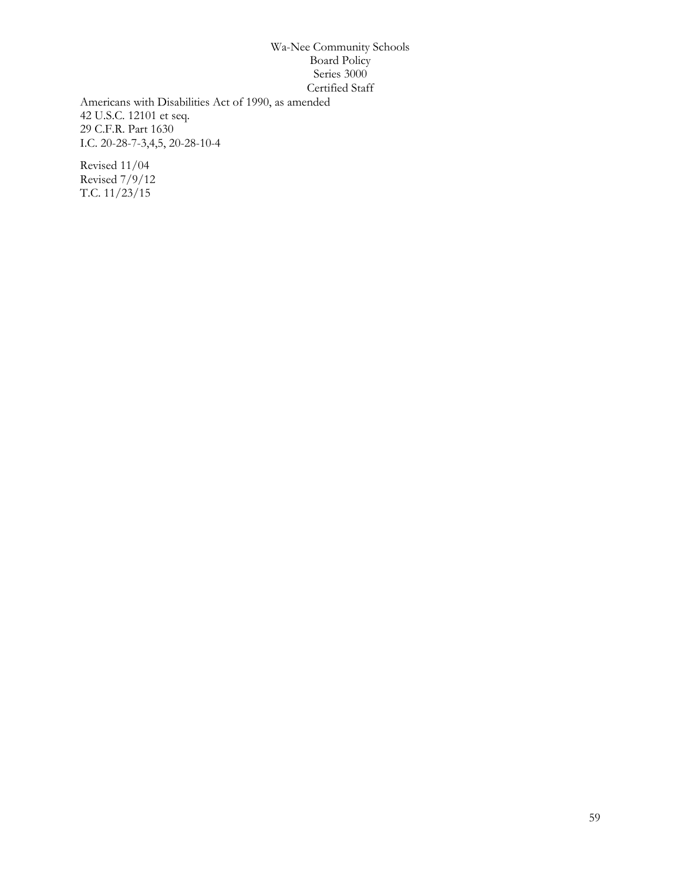Americans with Disabilities Act of 1990, as amended 42 U.S.C. 12101 et seq. 29 C.F.R. Part 1630 I.C. 20-28-7-3,4,5, 20-28-10-4

Revised 11/04 Revised 7/9/12 T.C. 11/23/15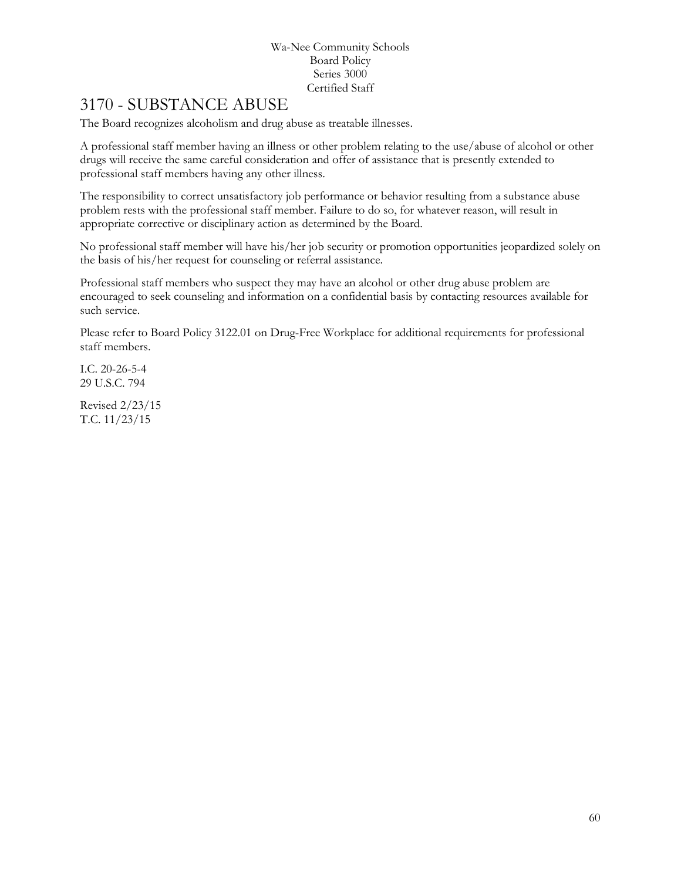# 3170 - SUBSTANCE ABUSE

The Board recognizes alcoholism and drug abuse as treatable illnesses.

A professional staff member having an illness or other problem relating to the use/abuse of alcohol or other drugs will receive the same careful consideration and offer of assistance that is presently extended to professional staff members having any other illness.

The responsibility to correct unsatisfactory job performance or behavior resulting from a substance abuse problem rests with the professional staff member. Failure to do so, for whatever reason, will result in appropriate corrective or disciplinary action as determined by the Board.

No professional staff member will have his/her job security or promotion opportunities jeopardized solely on the basis of his/her request for counseling or referral assistance.

Professional staff members who suspect they may have an alcohol or other drug abuse problem are encouraged to seek counseling and information on a confidential basis by contacting resources available for such service.

Please refer to Board Policy 3122.01 on Drug-Free Workplace for additional requirements for professional staff members.

I.C. 20-26-5-4 29 U.S.C. 794

Revised 2/23/15 T.C. 11/23/15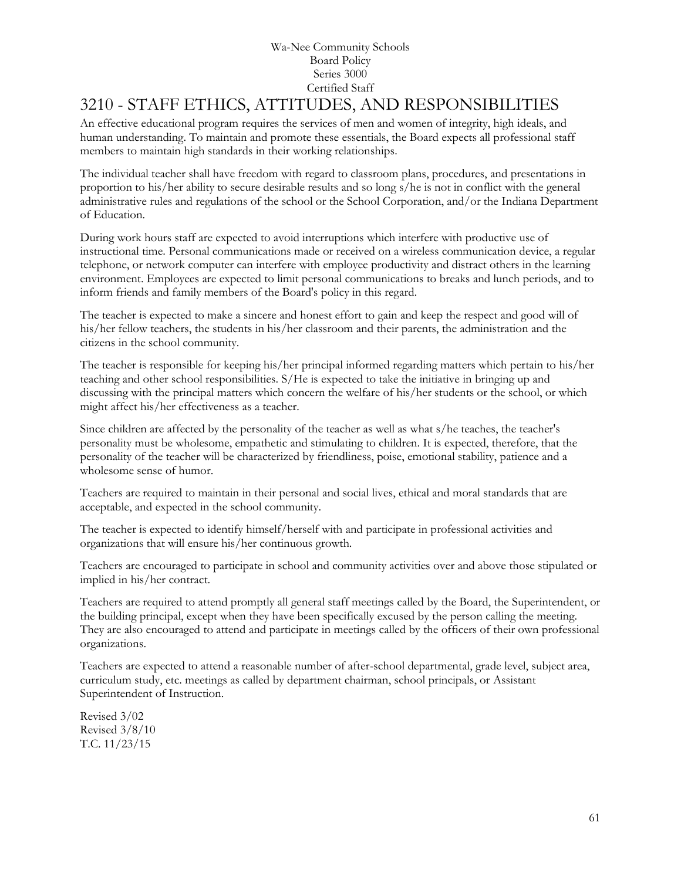# 3210 - STAFF ETHICS, ATTITUDES, AND RESPONSIBILITIES

An effective educational program requires the services of men and women of integrity, high ideals, and human understanding. To maintain and promote these essentials, the Board expects all professional staff members to maintain high standards in their working relationships.

The individual teacher shall have freedom with regard to classroom plans, procedures, and presentations in proportion to his/her ability to secure desirable results and so long s/he is not in conflict with the general administrative rules and regulations of the school or the School Corporation, and/or the Indiana Department of Education.

During work hours staff are expected to avoid interruptions which interfere with productive use of instructional time. Personal communications made or received on a wireless communication device, a regular telephone, or network computer can interfere with employee productivity and distract others in the learning environment. Employees are expected to limit personal communications to breaks and lunch periods, and to inform friends and family members of the Board's policy in this regard.

The teacher is expected to make a sincere and honest effort to gain and keep the respect and good will of his/her fellow teachers, the students in his/her classroom and their parents, the administration and the citizens in the school community.

The teacher is responsible for keeping his/her principal informed regarding matters which pertain to his/her teaching and other school responsibilities. S/He is expected to take the initiative in bringing up and discussing with the principal matters which concern the welfare of his/her students or the school, or which might affect his/her effectiveness as a teacher.

Since children are affected by the personality of the teacher as well as what s/he teaches, the teacher's personality must be wholesome, empathetic and stimulating to children. It is expected, therefore, that the personality of the teacher will be characterized by friendliness, poise, emotional stability, patience and a wholesome sense of humor.

Teachers are required to maintain in their personal and social lives, ethical and moral standards that are acceptable, and expected in the school community.

The teacher is expected to identify himself/herself with and participate in professional activities and organizations that will ensure his/her continuous growth.

Teachers are encouraged to participate in school and community activities over and above those stipulated or implied in his/her contract.

Teachers are required to attend promptly all general staff meetings called by the Board, the Superintendent, or the building principal, except when they have been specifically excused by the person calling the meeting. They are also encouraged to attend and participate in meetings called by the officers of their own professional organizations.

Teachers are expected to attend a reasonable number of after-school departmental, grade level, subject area, curriculum study, etc. meetings as called by department chairman, school principals, or Assistant Superintendent of Instruction.

Revised 3/02 Revised 3/8/10 T.C. 11/23/15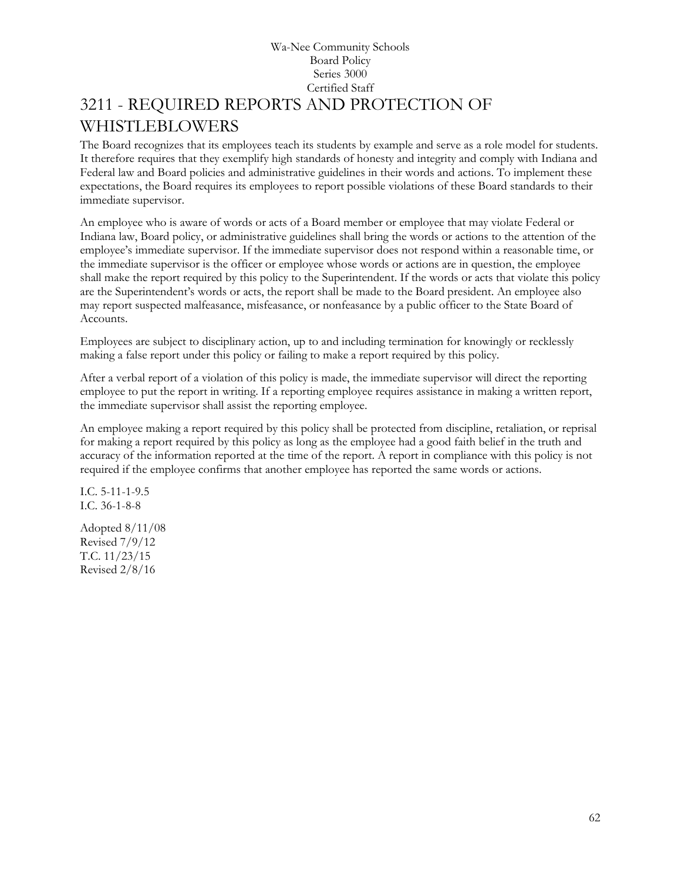## Wa-Nee Community Schools Board Policy Series 3000 Certified Staff [3211](http://www.neola.com/wanee-in/search/ag/ag3211.htm) - REQUIRED REPORTS AND PROTECTION OF WHISTLEBLOWERS

The Board recognizes that its employees teach its students by example and serve as a role model for students. It therefore requires that they exemplify high standards of honesty and integrity and comply with Indiana and Federal law and Board policies and administrative guidelines in their words and actions. To implement these expectations, the Board requires its employees to report possible violations of these Board standards to their immediate supervisor.

An employee who is aware of words or acts of a Board member or employee that may violate Federal or Indiana law, Board policy, or administrative guidelines shall bring the words or actions to the attention of the employee's immediate supervisor. If the immediate supervisor does not respond within a reasonable time, or the immediate supervisor is the officer or employee whose words or actions are in question, the employee shall make the report required by this policy to the Superintendent. If the words or acts that violate this policy are the Superintendent's words or acts, the report shall be made to the Board president. An employee also may report suspected malfeasance, misfeasance, or nonfeasance by a public officer to the State Board of Accounts.

Employees are subject to disciplinary action, up to and including termination for knowingly or recklessly making a false report under this policy or failing to make a report required by this policy.

After a verbal report of a violation of this policy is made, the immediate supervisor will direct the reporting employee to put the report in writing. If a reporting employee requires assistance in making a written report, the immediate supervisor shall assist the reporting employee.

An employee making a report required by this policy shall be protected from discipline, retaliation, or reprisal for making a report required by this policy as long as the employee had a good faith belief in the truth and accuracy of the information reported at the time of the report. A report in compliance with this policy is not required if the employee confirms that another employee has reported the same words or actions.

I.C. 5-11-1-9.5 I.C. 36-1-8-8

Adopted 8/11/08 Revised 7/9/12 T.C. 11/23/15 Revised 2/8/16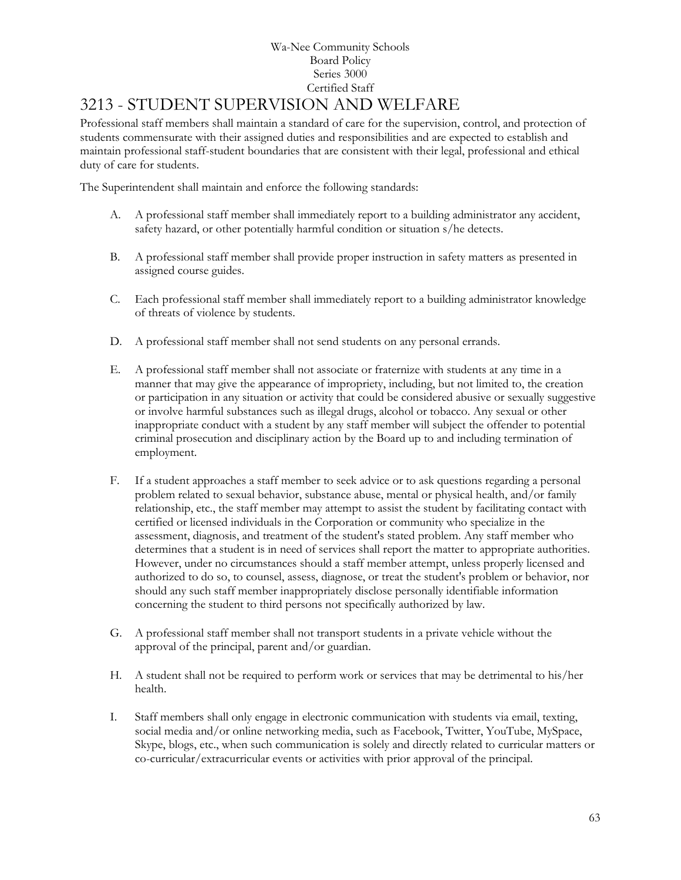# [3213](http://www.neola.com/wanee-in/search/ag/ag3213.htm) - STUDENT SUPERVISION AND WELFARE

Professional staff members shall maintain a standard of care for the supervision, control, and protection of students commensurate with their assigned duties and responsibilities and are expected to establish and maintain professional staff-student boundaries that are consistent with their legal, professional and ethical duty of care for students.

The Superintendent shall maintain and enforce the following standards:

- A. A professional staff member shall immediately report to a building administrator any accident, safety hazard, or other potentially harmful condition or situation s/he detects.
- B. A professional staff member shall provide proper instruction in safety matters as presented in assigned course guides.
- C. Each professional staff member shall immediately report to a building administrator knowledge of threats of violence by students.
- D. A professional staff member shall not send students on any personal errands.
- E. A professional staff member shall not associate or fraternize with students at any time in a manner that may give the appearance of impropriety, including, but not limited to, the creation or participation in any situation or activity that could be considered abusive or sexually suggestive or involve harmful substances such as illegal drugs, alcohol or tobacco. Any sexual or other inappropriate conduct with a student by any staff member will subject the offender to potential criminal prosecution and disciplinary action by the Board up to and including termination of employment.
- F. If a student approaches a staff member to seek advice or to ask questions regarding a personal problem related to sexual behavior, substance abuse, mental or physical health, and/or family relationship, etc., the staff member may attempt to assist the student by facilitating contact with certified or licensed individuals in the Corporation or community who specialize in the assessment, diagnosis, and treatment of the student's stated problem. Any staff member who determines that a student is in need of services shall report the matter to appropriate authorities. However, under no circumstances should a staff member attempt, unless properly licensed and authorized to do so, to counsel, assess, diagnose, or treat the student's problem or behavior, nor should any such staff member inappropriately disclose personally identifiable information concerning the student to third persons not specifically authorized by law.
- G. A professional staff member shall not transport students in a private vehicle without the approval of the principal, parent and/or guardian.
- H. A student shall not be required to perform work or services that may be detrimental to his/her health.
- I. Staff members shall only engage in electronic communication with students via email, texting, social media and/or online networking media, such as Facebook, Twitter, YouTube, MySpace, Skype, blogs, etc., when such communication is solely and directly related to curricular matters or co-curricular/extracurricular events or activities with prior approval of the principal.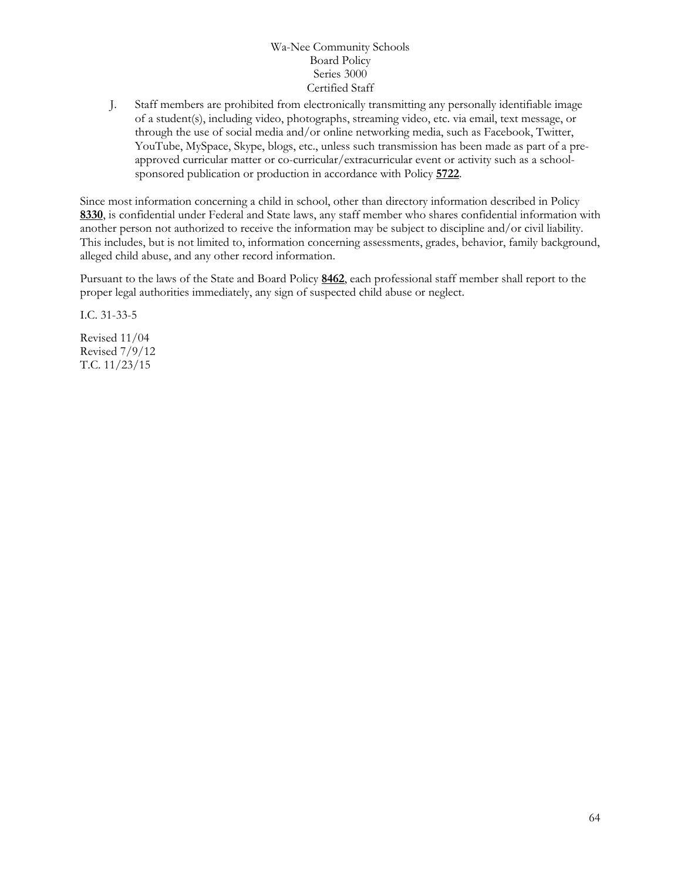J. Staff members are prohibited from electronically transmitting any personally identifiable image of a student(s), including video, photographs, streaming video, etc. via email, text message, or through the use of social media and/or online networking media, such as Facebook, Twitter, YouTube, MySpace, Skype, blogs, etc., unless such transmission has been made as part of a preapproved curricular matter or co-curricular/extracurricular event or activity such as a schoolsponsored publication or production in accordance with Policy **[5722](http://www.neola.com/wanee-in/search/policies/po5722.htm)**.

Since most information concerning a child in school, other than directory information described in Policy **[8330](http://www.neola.com/wanee-in/search/policies/po8330.htm)**, is confidential under Federal and State laws, any staff member who shares confidential information with another person not authorized to receive the information may be subject to discipline and/or civil liability. This includes, but is not limited to, information concerning assessments, grades, behavior, family background, alleged child abuse, and any other record information.

Pursuant to the laws of the State and Board Policy **[8462](http://www.neola.com/wanee-in/search/policies/po8462.htm)**, each professional staff member shall report to the proper legal authorities immediately, any sign of suspected child abuse or neglect.

I.C. 31-33-5

Revised 11/04 Revised 7/9/12 T.C. 11/23/15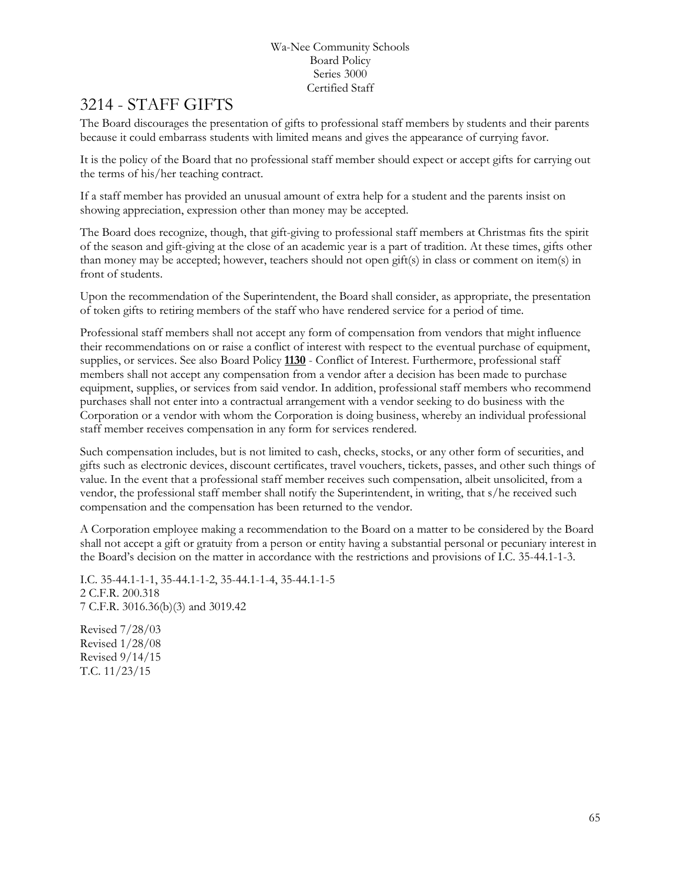# 3214 - STAFF GIFTS

The Board discourages the presentation of gifts to professional staff members by students and their parents because it could embarrass students with limited means and gives the appearance of currying favor.

It is the policy of the Board that no professional staff member should expect or accept gifts for carrying out the terms of his/her teaching contract.

If a staff member has provided an unusual amount of extra help for a student and the parents insist on showing appreciation, expression other than money may be accepted.

The Board does recognize, though, that gift-giving to professional staff members at Christmas fits the spirit of the season and gift-giving at the close of an academic year is a part of tradition. At these times, gifts other than money may be accepted; however, teachers should not open gift(s) in class or comment on item(s) in front of students.

Upon the recommendation of the Superintendent, the Board shall consider, as appropriate, the presentation of token gifts to retiring members of the staff who have rendered service for a period of time.

Professional staff members shall not accept any form of compensation from vendors that might influence their recommendations on or raise a conflict of interest with respect to the eventual purchase of equipment, supplies, or services. See also Board Policy **[1130](http://www.neola.com/wanee-in/search/policies/po1130.htm)** - Conflict of Interest. Furthermore, professional staff members shall not accept any compensation from a vendor after a decision has been made to purchase equipment, supplies, or services from said vendor. In addition, professional staff members who recommend purchases shall not enter into a contractual arrangement with a vendor seeking to do business with the Corporation or a vendor with whom the Corporation is doing business, whereby an individual professional staff member receives compensation in any form for services rendered.

Such compensation includes, but is not limited to cash, checks, stocks, or any other form of securities, and gifts such as electronic devices, discount certificates, travel vouchers, tickets, passes, and other such things of value. In the event that a professional staff member receives such compensation, albeit unsolicited, from a vendor, the professional staff member shall notify the Superintendent, in writing, that s/he received such compensation and the compensation has been returned to the vendor.

A Corporation employee making a recommendation to the Board on a matter to be considered by the Board shall not accept a gift or gratuity from a person or entity having a substantial personal or pecuniary interest in the Board's decision on the matter in accordance with the restrictions and provisions of I.C. 35-44.1-1-3.

I.C. 35-44.1-1-1, 35-44.1-1-2, 35-44.1-1-4, 35-44.1-1-5 2 C.F.R. 200.318 7 C.F.R. 3016.36(b)(3) and 3019.42

Revised 7/28/03 Revised 1/28/08 Revised 9/14/15 T.C. 11/23/15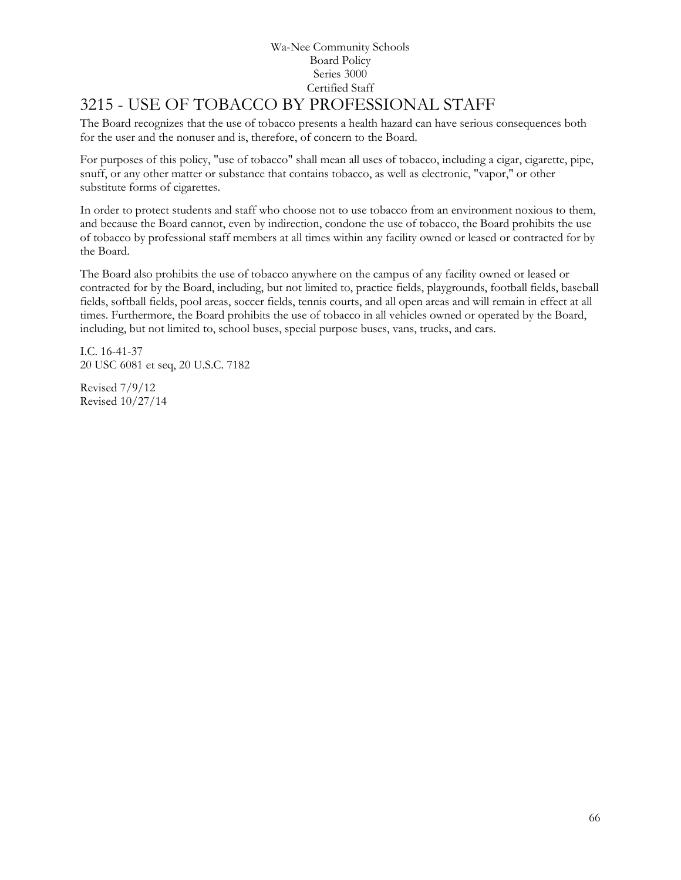# 3215 - USE OF TOBACCO BY PROFESSIONAL STAFF

The Board recognizes that the use of tobacco presents a health hazard can have serious consequences both for the user and the nonuser and is, therefore, of concern to the Board.

For purposes of this policy, "use of tobacco" shall mean all uses of tobacco, including a cigar, cigarette, pipe, snuff, or any other matter or substance that contains tobacco, as well as electronic, "vapor," or other substitute forms of cigarettes.

In order to protect students and staff who choose not to use tobacco from an environment noxious to them, and because the Board cannot, even by indirection, condone the use of tobacco, the Board prohibits the use of tobacco by professional staff members at all times within any facility owned or leased or contracted for by the Board.

The Board also prohibits the use of tobacco anywhere on the campus of any facility owned or leased or contracted for by the Board, including, but not limited to, practice fields, playgrounds, football fields, baseball fields, softball fields, pool areas, soccer fields, tennis courts, and all open areas and will remain in effect at all times. Furthermore, the Board prohibits the use of tobacco in all vehicles owned or operated by the Board, including, but not limited to, school buses, special purpose buses, vans, trucks, and cars.

I.C. 16-41-37 20 USC 6081 et seq, 20 U.S.C. 7182

Revised 7/9/12 Revised 10/27/14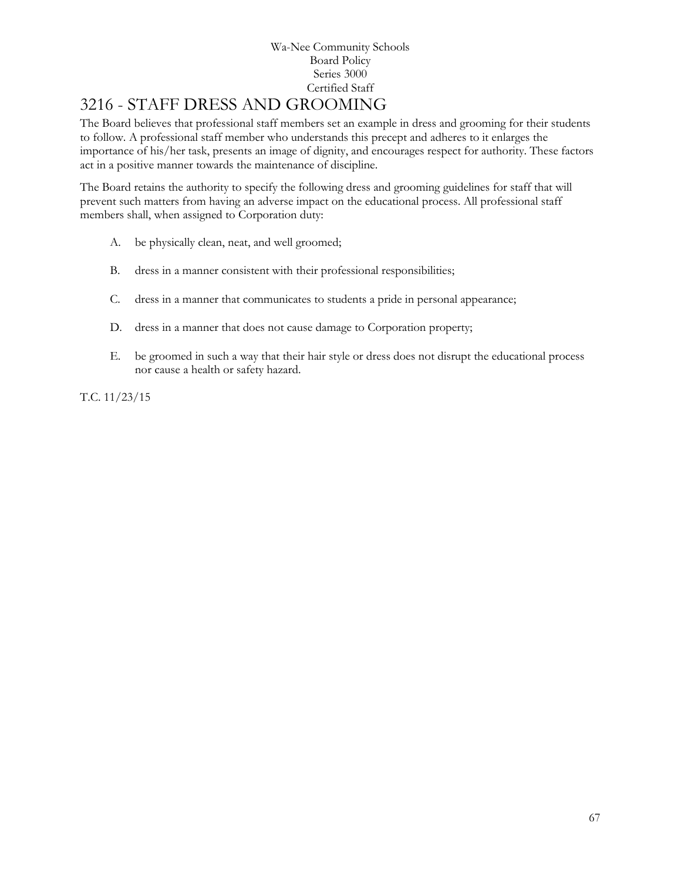# 3216 - STAFF DRESS AND GROOMING

The Board believes that professional staff members set an example in dress and grooming for their students to follow. A professional staff member who understands this precept and adheres to it enlarges the importance of his/her task, presents an image of dignity, and encourages respect for authority. These factors act in a positive manner towards the maintenance of discipline.

The Board retains the authority to specify the following dress and grooming guidelines for staff that will prevent such matters from having an adverse impact on the educational process. All professional staff members shall, when assigned to Corporation duty:

- A. be physically clean, neat, and well groomed;
- B. dress in a manner consistent with their professional responsibilities;
- C. dress in a manner that communicates to students a pride in personal appearance;
- D. dress in a manner that does not cause damage to Corporation property;
- E. be groomed in such a way that their hair style or dress does not disrupt the educational process nor cause a health or safety hazard.

T.C. 11/23/15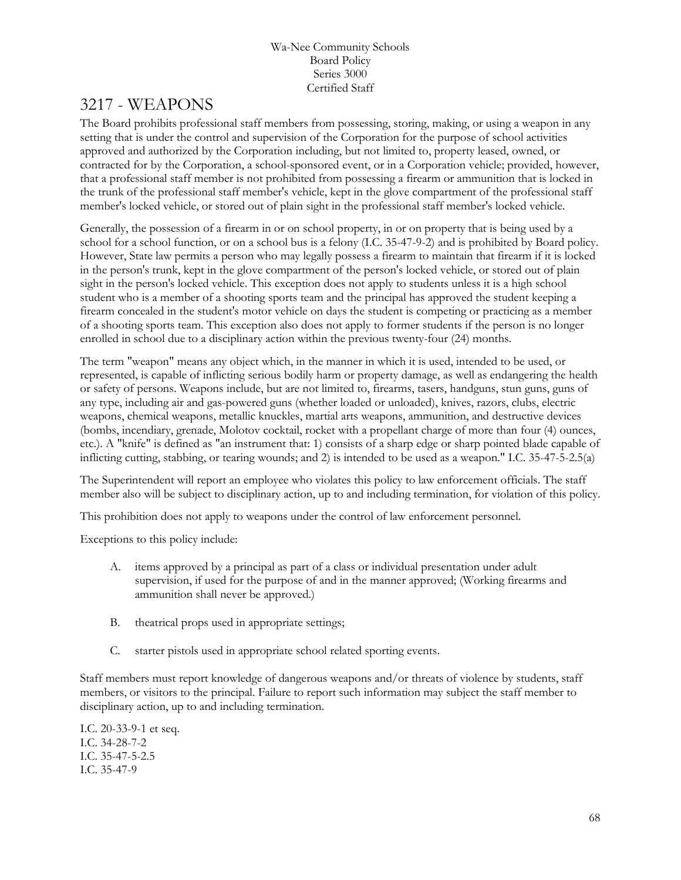# 3217 - WEAPONS

The Board prohibits professional staff members from possessing, storing, making, or using a weapon in any setting that is under the control and supervision of the Corporation for the purpose of school activities approved and authorized by the Corporation including, but not limited to, property leased, owned, or contracted for by the Corporation, a school-sponsored event, or in a Corporation vehicle; provided, however, that a professional staff member is not prohibited from possessing a firearm or ammunition that is locked in the trunk of the professional staff member's vehicle, kept in the glove compartment of the professional staff member's locked vehicle, or stored out of plain sight in the professional staff member's locked vehicle.

Generally, the possession of a firearm in or on school property, in or on property that is being used by a school for a school function, or on a school bus is a felony (I.C. 35-47-9-2) and is prohibited by Board policy. However, State law permits a person who may legally possess a firearm to maintain that firearm if it is locked in the person's trunk, kept in the glove compartment of the person's locked vehicle, or stored out of plain sight in the person's locked vehicle. This exception does not apply to students unless it is a high school student who is a member of a shooting sports team and the principal has approved the student keeping a firearm concealed in the student's motor vehicle on days the student is competing or practicing as a member of a shooting sports team. This exception also does not apply to former students if the person is no longer enrolled in school due to a disciplinary action within the previous twenty-four (24) months.

The term "weapon" means any object which, in the manner in which it is used, intended to be used, or represented, is capable of inflicting serious bodily harm or property damage, as well as endangering the health or safety of persons. Weapons include, but are not limited to, firearms, tasers, handguns, stun guns, guns of any type, including air and gas-powered guns (whether loaded or unloaded), knives, razors, clubs, electric weapons, chemical weapons, metallic knuckles, martial arts weapons, ammunition, and destructive devices (bombs, incendiary, grenade, Molotov cocktail, rocket with a propellant charge of more than four (4) ounces, etc.). A "knife" is defined as "an instrument that: 1) consists of a sharp edge or sharp pointed blade capable of inflicting cutting, stabbing, or tearing wounds; and 2) is intended to be used as a weapon." I.C. 35-47-5-2.5(a)

The Superintendent will report an employee who violates this policy to law enforcement officials. The staff member also will be subject to disciplinary action, up to and including termination, for violation of this policy.

This prohibition does not apply to weapons under the control of law enforcement personnel.

Exceptions to this policy include:

- A. items approved by a principal as part of a class or individual presentation under adult supervision, if used for the purpose of and in the manner approved; (Working firearms and ammunition shall never be approved.)
- B. theatrical props used in appropriate settings;
- C. starter pistols used in appropriate school related sporting events.

Staff members must report knowledge of dangerous weapons and/or threats of violence by students, staff members, or visitors to the principal. Failure to report such information may subject the staff member to disciplinary action, up to and including termination.

I.C. 20-33-9-1 et seq. I.C. 34-28-7-2 I.C. 35-47-5-2.5 I.C. 35-47-9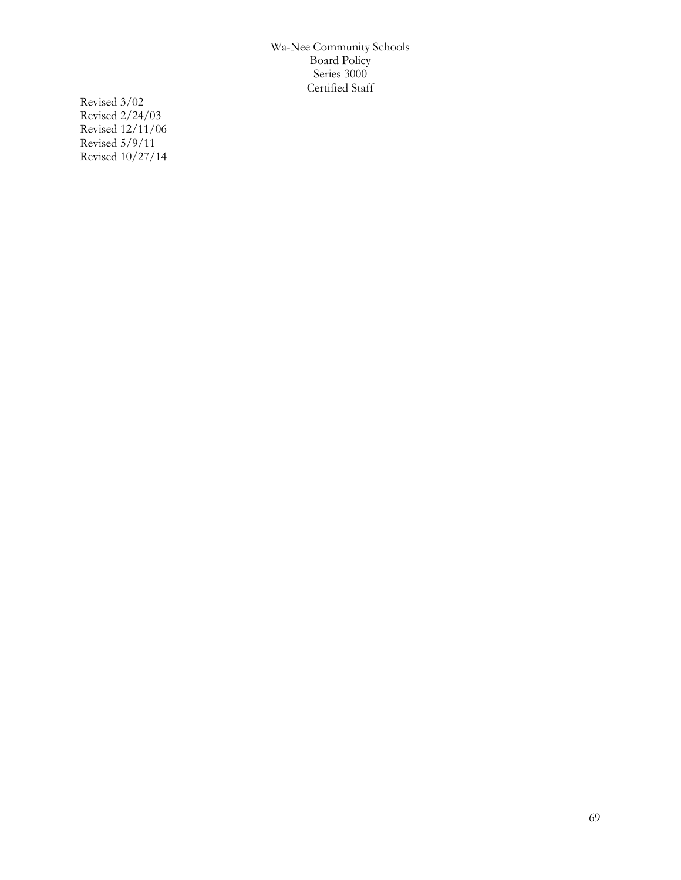Revised 3/02 Revised 2/24/03 Revised 12/11/06 Revised 5/9/11 Revised 10/27/14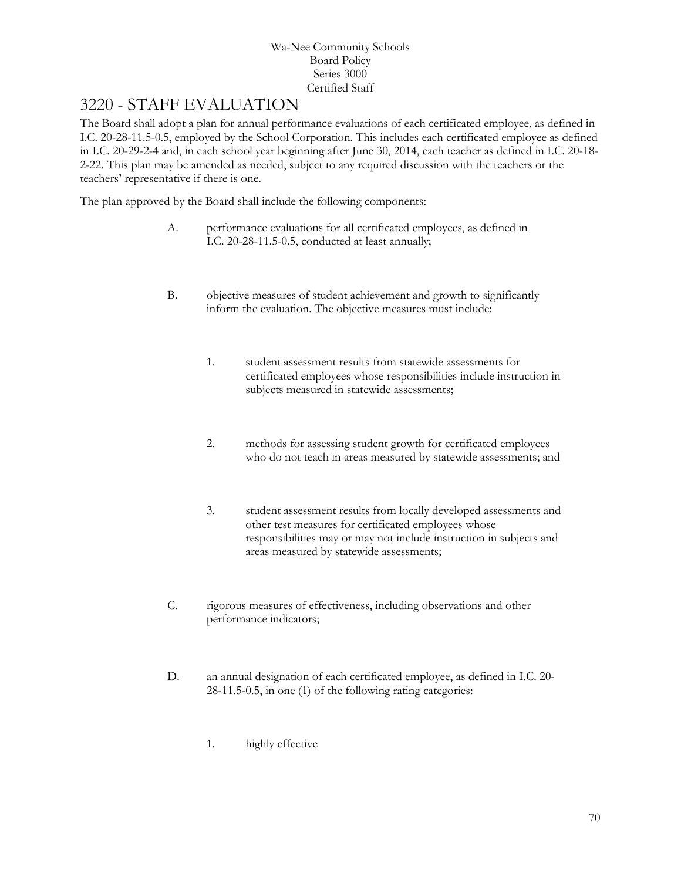## 3220 - STAFF EVALUATION

The Board shall adopt a plan for annual performance evaluations of each certificated employee, as defined in I.C. 20-28-11.5-0.5, employed by the School Corporation. This includes each certificated employee as defined in I.C. 20-29-2-4 and, in each school year beginning after June 30, 2014, each teacher as defined in I.C. 20-18- 2-22. This plan may be amended as needed, subject to any required discussion with the teachers or the teachers' representative if there is one.

The plan approved by the Board shall include the following components:

- A. performance evaluations for all certificated employees, as defined in I.C. 20-28-11.5-0.5, conducted at least annually;
- B. objective measures of student achievement and growth to significantly inform the evaluation. The objective measures must include:
	- 1. student assessment results from statewide assessments for certificated employees whose responsibilities include instruction in subjects measured in statewide assessments;
	- 2. methods for assessing student growth for certificated employees who do not teach in areas measured by statewide assessments; and
	- 3. student assessment results from locally developed assessments and other test measures for certificated employees whose responsibilities may or may not include instruction in subjects and areas measured by statewide assessments;
- C. rigorous measures of effectiveness, including observations and other performance indicators;
- D. an annual designation of each certificated employee, as defined in I.C. 20- 28-11.5-0.5, in one (1) of the following rating categories:
	- 1. highly effective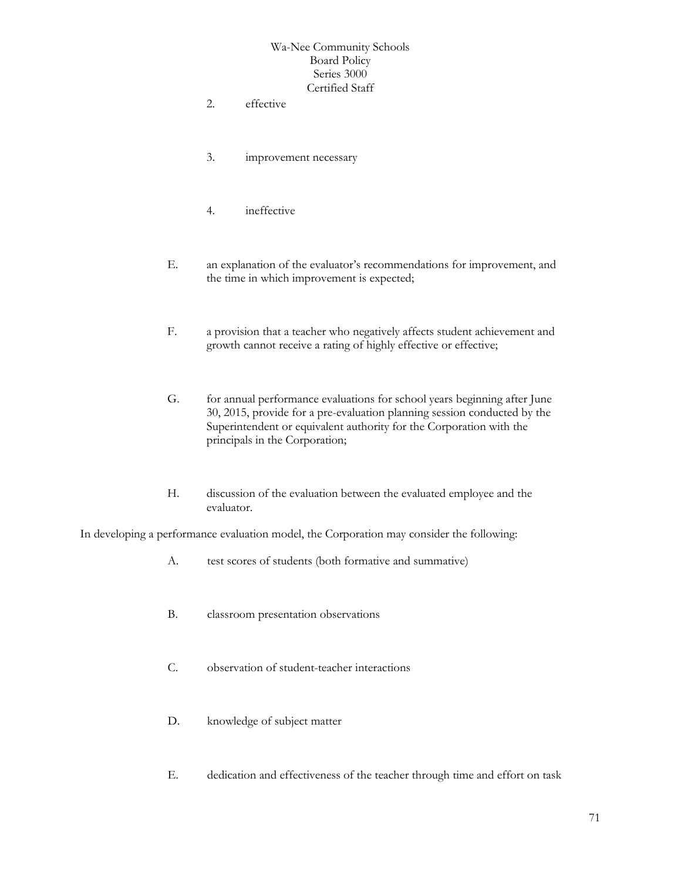- 2. effective
- 3. improvement necessary
- 4. ineffective
- E. an explanation of the evaluator's recommendations for improvement, and the time in which improvement is expected;
- F. a provision that a teacher who negatively affects student achievement and growth cannot receive a rating of highly effective or effective;
- G. for annual performance evaluations for school years beginning after June 30, 2015, provide for a pre-evaluation planning session conducted by the Superintendent or equivalent authority for the Corporation with the principals in the Corporation;
- H. discussion of the evaluation between the evaluated employee and the evaluator.

In developing a performance evaluation model, the Corporation may consider the following:

- A. test scores of students (both formative and summative)
- B. classroom presentation observations
- C. observation of student-teacher interactions
- D. knowledge of subject matter
- E. dedication and effectiveness of the teacher through time and effort on task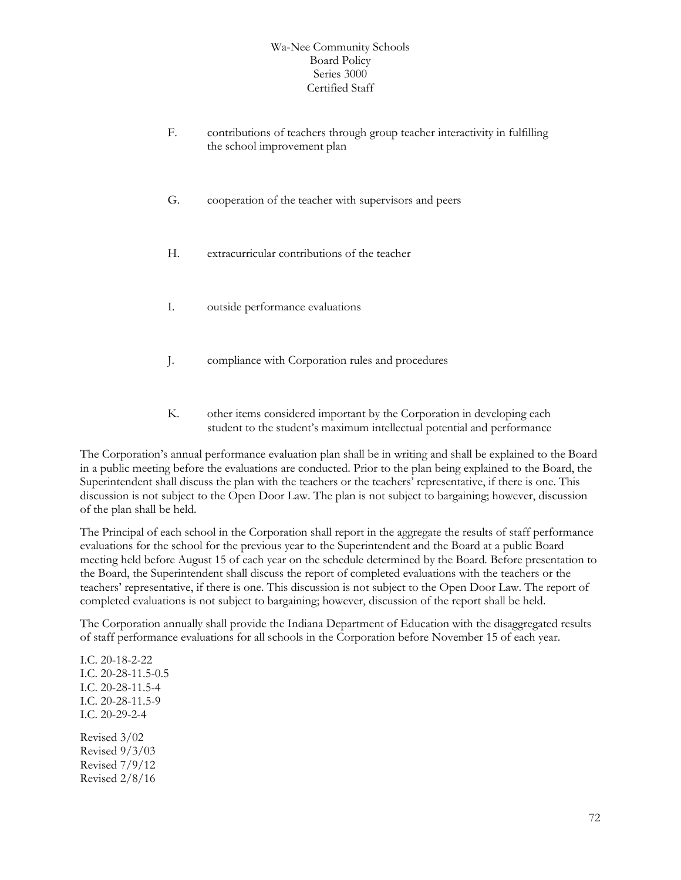- F. contributions of teachers through group teacher interactivity in fulfilling the school improvement plan
- G. cooperation of the teacher with supervisors and peers
- H. extracurricular contributions of the teacher
- I. outside performance evaluations
- J. compliance with Corporation rules and procedures
- K. other items considered important by the Corporation in developing each student to the student's maximum intellectual potential and performance

The Corporation's annual performance evaluation plan shall be in writing and shall be explained to the Board in a public meeting before the evaluations are conducted. Prior to the plan being explained to the Board, the Superintendent shall discuss the plan with the teachers or the teachers' representative, if there is one. This discussion is not subject to the Open Door Law. The plan is not subject to bargaining; however, discussion of the plan shall be held.

The Principal of each school in the Corporation shall report in the aggregate the results of staff performance evaluations for the school for the previous year to the Superintendent and the Board at a public Board meeting held before August 15 of each year on the schedule determined by the Board. Before presentation to the Board, the Superintendent shall discuss the report of completed evaluations with the teachers or the teachers' representative, if there is one. This discussion is not subject to the Open Door Law. The report of completed evaluations is not subject to bargaining; however, discussion of the report shall be held.

The Corporation annually shall provide the Indiana Department of Education with the disaggregated results of staff performance evaluations for all schools in the Corporation before November 15 of each year.

I.C. 20-18-2-22 I.C. 20-28-11.5-0.5 I.C. 20-28-11.5-4 I.C. 20-28-11.5-9 I.C. 20-29-2-4 Revised 3/02 Revised 9/3/03 Revised 7/9/12 Revised 2/8/16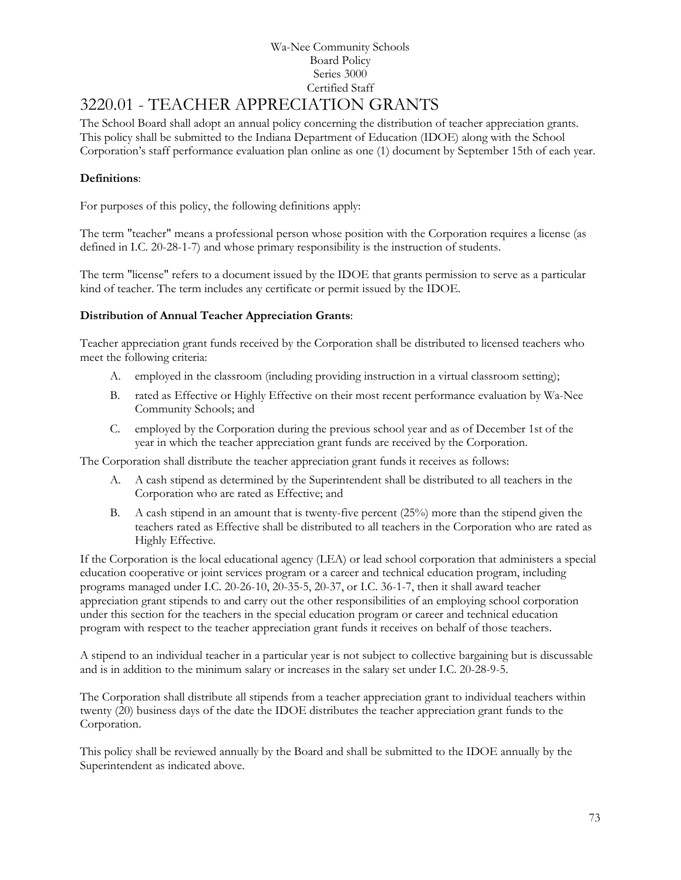# 3220.01 - TEACHER APPRECIATION GRANTS

The School Board shall adopt an annual policy concerning the distribution of teacher appreciation grants. This policy shall be submitted to the Indiana Department of Education (IDOE) along with the School Corporation's staff performance evaluation plan online as one (1) document by September 15th of each year.

### **Definitions**:

For purposes of this policy, the following definitions apply:

The term "teacher" means a professional person whose position with the Corporation requires a license (as defined in I.C. 20-28-1-7) and whose primary responsibility is the instruction of students.

The term "license" refers to a document issued by the IDOE that grants permission to serve as a particular kind of teacher. The term includes any certificate or permit issued by the IDOE.

### **Distribution of Annual Teacher Appreciation Grants**:

Teacher appreciation grant funds received by the Corporation shall be distributed to licensed teachers who meet the following criteria:

- A. employed in the classroom (including providing instruction in a virtual classroom setting);
- B. rated as Effective or Highly Effective on their most recent performance evaluation by Wa-Nee Community Schools; and
- C. employed by the Corporation during the previous school year and as of December 1st of the year in which the teacher appreciation grant funds are received by the Corporation.

The Corporation shall distribute the teacher appreciation grant funds it receives as follows:

- A. A cash stipend as determined by the Superintendent shall be distributed to all teachers in the Corporation who are rated as Effective; and
- B. A cash stipend in an amount that is twenty-five percent (25%) more than the stipend given the teachers rated as Effective shall be distributed to all teachers in the Corporation who are rated as Highly Effective.

If the Corporation is the local educational agency (LEA) or lead school corporation that administers a special education cooperative or joint services program or a career and technical education program, including programs managed under I.C. 20-26-10, 20-35-5, 20-37, or I.C. 36-1-7, then it shall award teacher appreciation grant stipends to and carry out the other responsibilities of an employing school corporation under this section for the teachers in the special education program or career and technical education program with respect to the teacher appreciation grant funds it receives on behalf of those teachers.

A stipend to an individual teacher in a particular year is not subject to collective bargaining but is discussable and is in addition to the minimum salary or increases in the salary set under I.C. 20-28-9-5.

The Corporation shall distribute all stipends from a teacher appreciation grant to individual teachers within twenty (20) business days of the date the IDOE distributes the teacher appreciation grant funds to the Corporation.

This policy shall be reviewed annually by the Board and shall be submitted to the IDOE annually by the Superintendent as indicated above.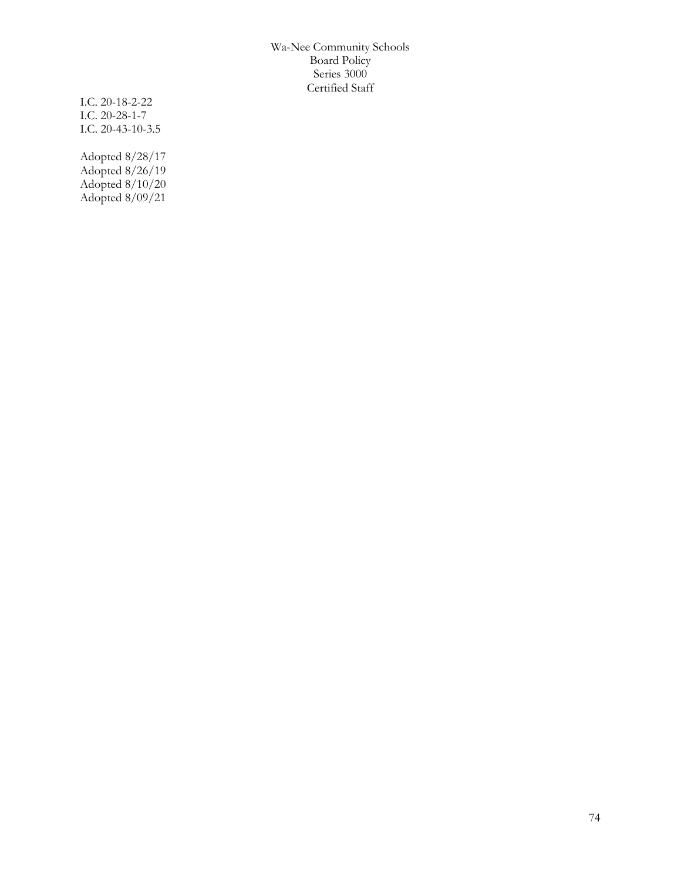I.C. 20-18-2-22 I.C. 20-28-1-7 I.C. 20-43-10-3.5

Adopted 8/28/17 Adopted 8/26/19 Adopted 8/10/20 Adopted 8/09/21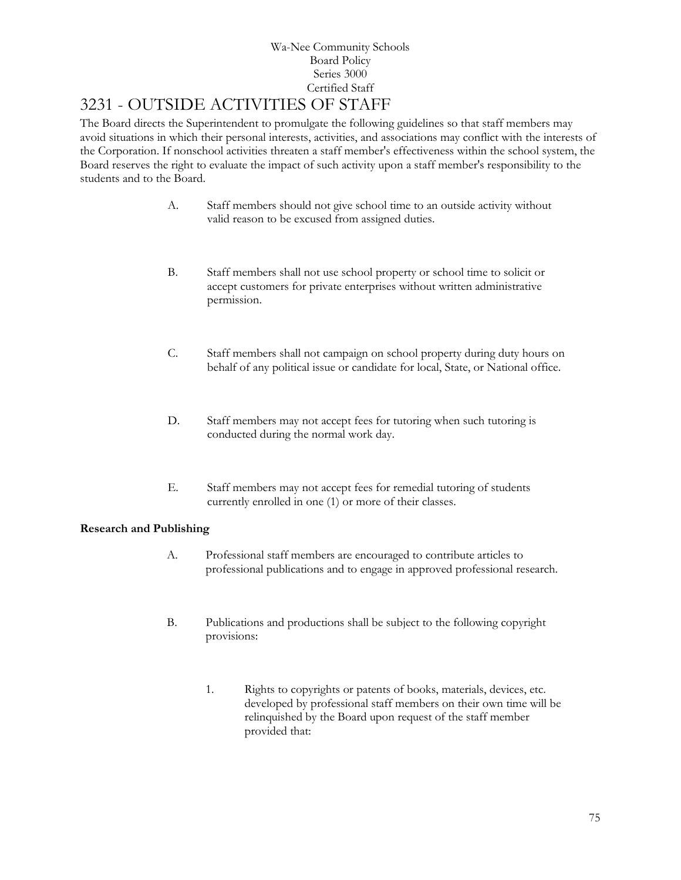# 3231 - OUTSIDE ACTIVITIES OF STAFF

The Board directs the Superintendent to promulgate the following guidelines so that staff members may avoid situations in which their personal interests, activities, and associations may conflict with the interests of the Corporation. If nonschool activities threaten a staff member's effectiveness within the school system, the Board reserves the right to evaluate the impact of such activity upon a staff member's responsibility to the students and to the Board.

- A. Staff members should not give school time to an outside activity without valid reason to be excused from assigned duties.
- B. Staff members shall not use school property or school time to solicit or accept customers for private enterprises without written administrative permission.
- C. Staff members shall not campaign on school property during duty hours on behalf of any political issue or candidate for local, State, or National office.
- D. Staff members may not accept fees for tutoring when such tutoring is conducted during the normal work day.
- E. Staff members may not accept fees for remedial tutoring of students currently enrolled in one (1) or more of their classes.

## **Research and Publishing**

- A. Professional staff members are encouraged to contribute articles to professional publications and to engage in approved professional research.
- B. Publications and productions shall be subject to the following copyright provisions:
	- 1. Rights to copyrights or patents of books, materials, devices, etc. developed by professional staff members on their own time will be relinquished by the Board upon request of the staff member provided that: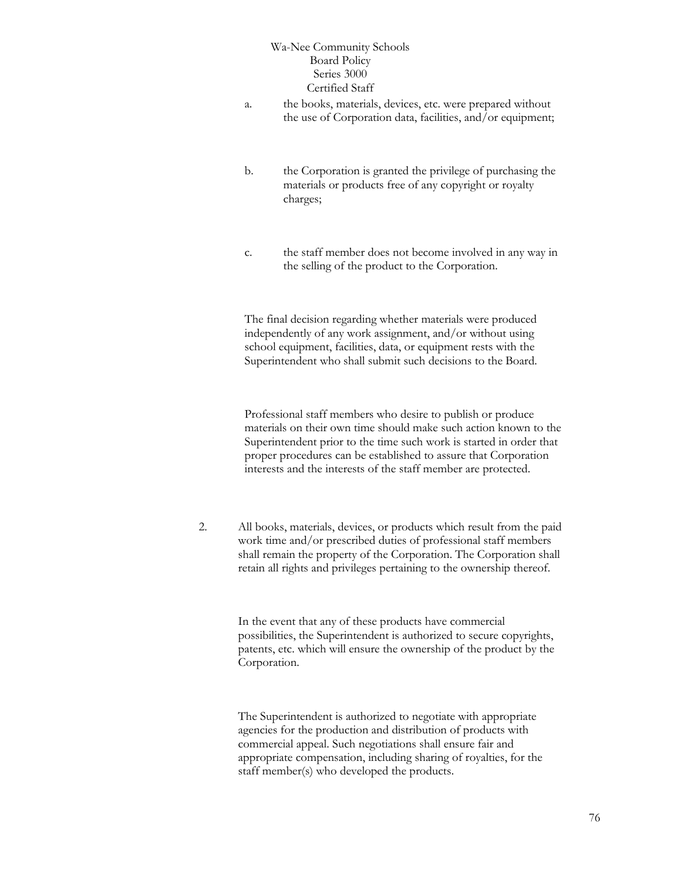- a. the books, materials, devices, etc. were prepared without the use of Corporation data, facilities, and/or equipment;
- b. the Corporation is granted the privilege of purchasing the materials or products free of any copyright or royalty charges;
- c. the staff member does not become involved in any way in the selling of the product to the Corporation.

The final decision regarding whether materials were produced independently of any work assignment, and/or without using school equipment, facilities, data, or equipment rests with the Superintendent who shall submit such decisions to the Board.

Professional staff members who desire to publish or produce materials on their own time should make such action known to the Superintendent prior to the time such work is started in order that proper procedures can be established to assure that Corporation interests and the interests of the staff member are protected.

2. All books, materials, devices, or products which result from the paid work time and/or prescribed duties of professional staff members shall remain the property of the Corporation. The Corporation shall retain all rights and privileges pertaining to the ownership thereof.

> In the event that any of these products have commercial possibilities, the Superintendent is authorized to secure copyrights, patents, etc. which will ensure the ownership of the product by the Corporation.

The Superintendent is authorized to negotiate with appropriate agencies for the production and distribution of products with commercial appeal. Such negotiations shall ensure fair and appropriate compensation, including sharing of royalties, for the staff member(s) who developed the products.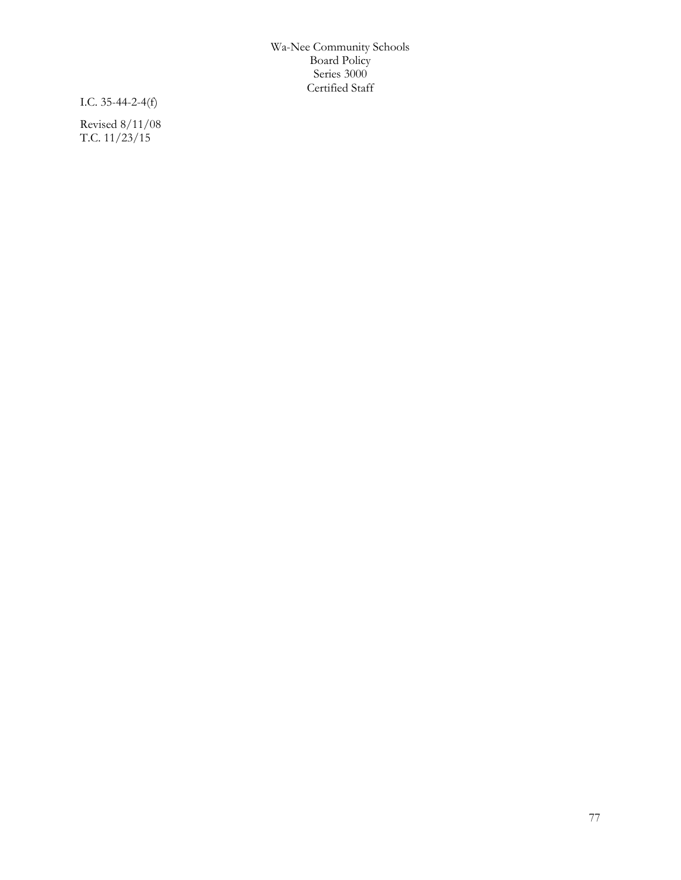I.C. 35-44-2-4(f)

Revised 8/11/08 T.C. 11/23/15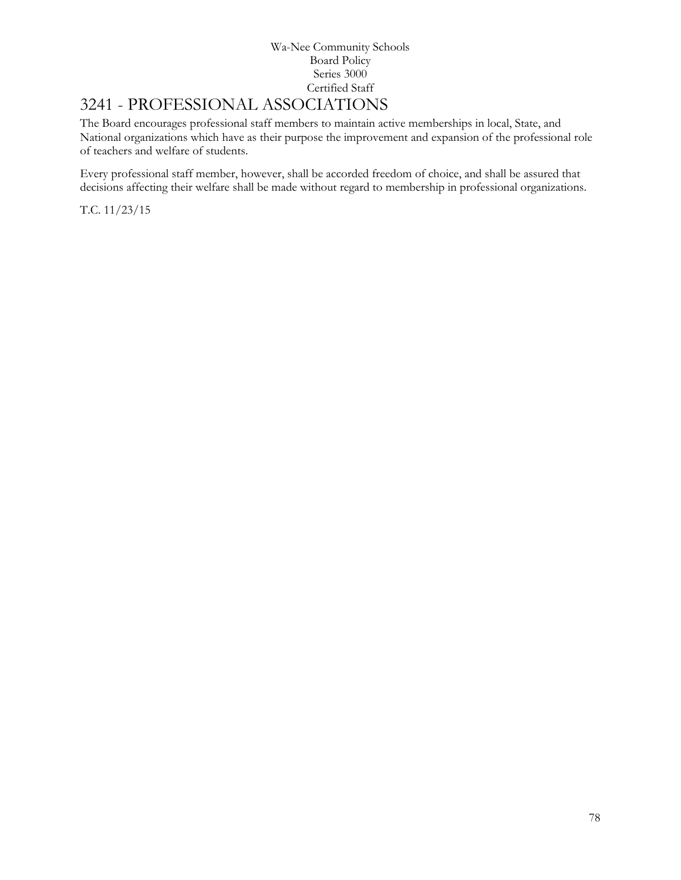# 3241 - PROFESSIONAL ASSOCIATIONS

The Board encourages professional staff members to maintain active memberships in local, State, and National organizations which have as their purpose the improvement and expansion of the professional role of teachers and welfare of students.

Every professional staff member, however, shall be accorded freedom of choice, and shall be assured that decisions affecting their welfare shall be made without regard to membership in professional organizations.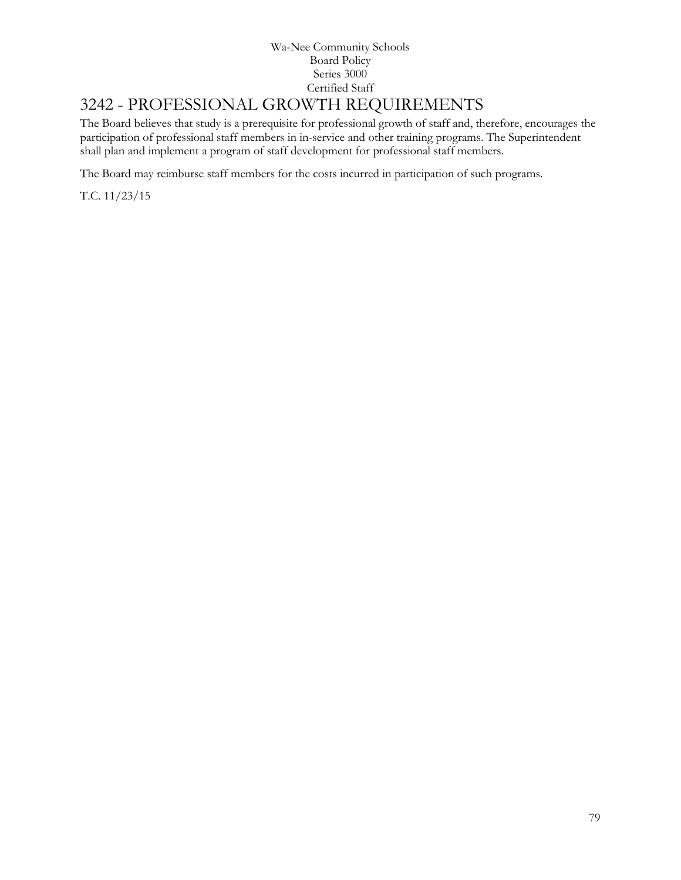### Wa-Nee Community Schools Board Policy Series 3000 Certified Staff 3242 - PROFESSIONAL GROWTH REQUIREMENTS

The Board believes that study is a prerequisite for professional growth of staff and, therefore, encourages the participation of professional staff members in in-service and other training programs. The Superintendent shall plan and implement a program of staff development for professional staff members.

The Board may reimburse staff members for the costs incurred in participation of such programs.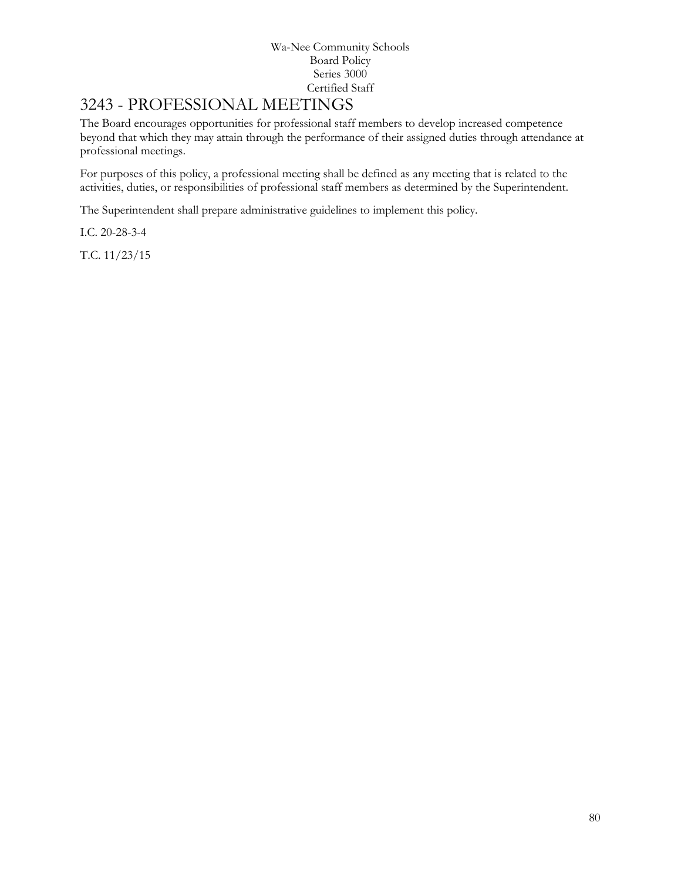# [3243](http://www.neola.com/wanee-in/search/ag/ag3243.htm) - PROFESSIONAL MEETINGS

The Board encourages opportunities for professional staff members to develop increased competence beyond that which they may attain through the performance of their assigned duties through attendance at professional meetings.

For purposes of this policy, a professional meeting shall be defined as any meeting that is related to the activities, duties, or responsibilities of professional staff members as determined by the Superintendent.

The Superintendent shall prepare administrative guidelines to implement this policy.

I.C. 20-28-3-4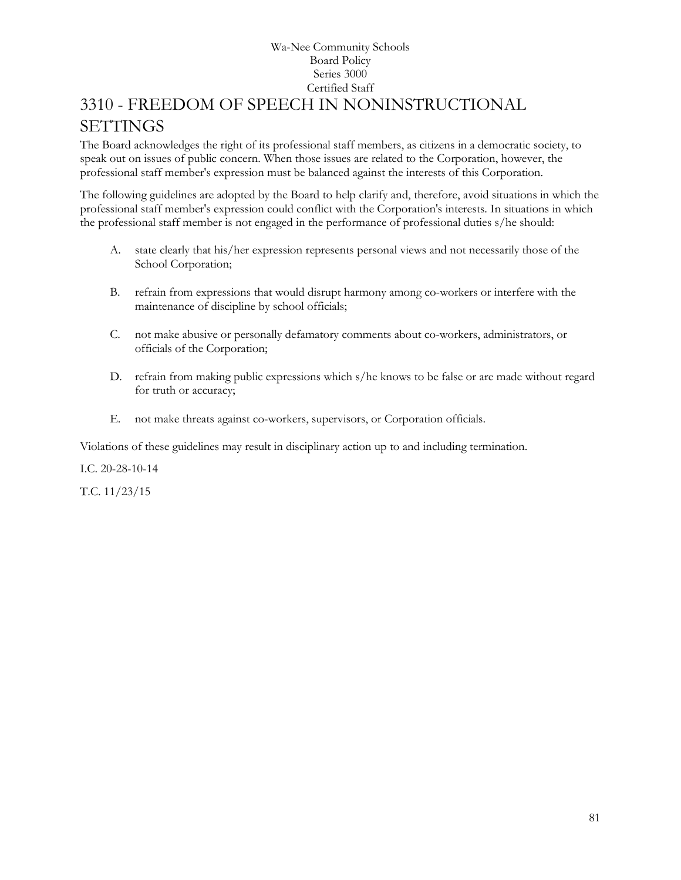## Wa-Nee Community Schools Board Policy Series 3000 Certified Staff 3310 - FREEDOM OF SPEECH IN NONINSTRUCTIONAL **SETTINGS**

The Board acknowledges the right of its professional staff members, as citizens in a democratic society, to speak out on issues of public concern. When those issues are related to the Corporation, however, the professional staff member's expression must be balanced against the interests of this Corporation.

The following guidelines are adopted by the Board to help clarify and, therefore, avoid situations in which the professional staff member's expression could conflict with the Corporation's interests. In situations in which the professional staff member is not engaged in the performance of professional duties s/he should:

- A. state clearly that his/her expression represents personal views and not necessarily those of the School Corporation;
- B. refrain from expressions that would disrupt harmony among co-workers or interfere with the maintenance of discipline by school officials;
- C. not make abusive or personally defamatory comments about co-workers, administrators, or officials of the Corporation;
- D. refrain from making public expressions which s/he knows to be false or are made without regard for truth or accuracy;
- E. not make threats against co-workers, supervisors, or Corporation officials.

Violations of these guidelines may result in disciplinary action up to and including termination.

I.C. 20-28-10-14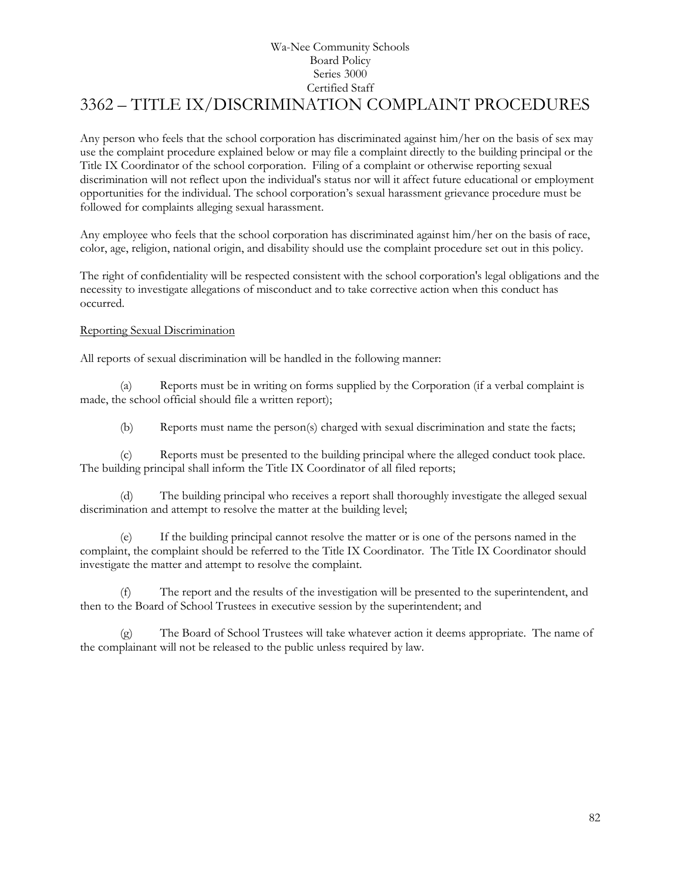## Wa-Nee Community Schools Board Policy Series 3000 Certified Staff [3362](http://www.neola.com/wanee-in/search/ag/ag3362.htm) – TITLE IX/DISCRIMINATION COMPLAINT PROCEDURES

Any person who feels that the school corporation has discriminated against him/her on the basis of sex may use the complaint procedure explained below or may file a complaint directly to the building principal or the Title IX Coordinator of the school corporation. Filing of a complaint or otherwise reporting sexual discrimination will not reflect upon the individual's status nor will it affect future educational or employment opportunities for the individual. The school corporation's sexual harassment grievance procedure must be followed for complaints alleging sexual harassment.

Any employee who feels that the school corporation has discriminated against him/her on the basis of race, color, age, religion, national origin, and disability should use the complaint procedure set out in this policy.

The right of confidentiality will be respected consistent with the school corporation's legal obligations and the necessity to investigate allegations of misconduct and to take corrective action when this conduct has occurred.

#### Reporting Sexual Discrimination

All reports of sexual discrimination will be handled in the following manner:

(a) Reports must be in writing on forms supplied by the Corporation (if a verbal complaint is made, the school official should file a written report);

(b) Reports must name the person(s) charged with sexual discrimination and state the facts;

(c) Reports must be presented to the building principal where the alleged conduct took place. The building principal shall inform the Title IX Coordinator of all filed reports;

(d) The building principal who receives a report shall thoroughly investigate the alleged sexual discrimination and attempt to resolve the matter at the building level;

(e) If the building principal cannot resolve the matter or is one of the persons named in the complaint, the complaint should be referred to the Title IX Coordinator. The Title IX Coordinator should investigate the matter and attempt to resolve the complaint.

The report and the results of the investigation will be presented to the superintendent, and then to the Board of School Trustees in executive session by the superintendent; and

(g) The Board of School Trustees will take whatever action it deems appropriate. The name of the complainant will not be released to the public unless required by law.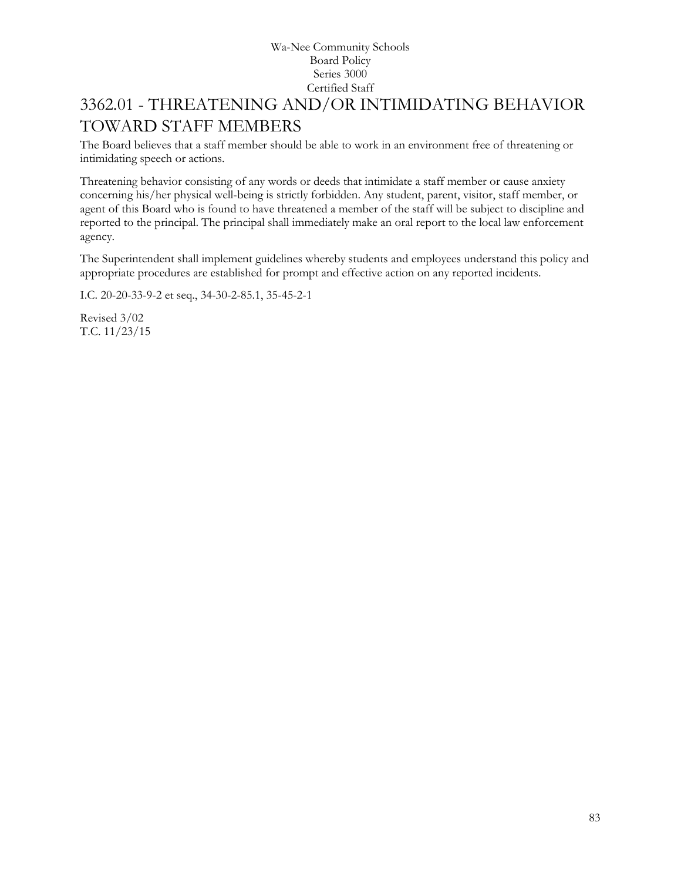# 3362.01 - THREATENING AND/OR INTIMIDATING BEHAVIOR TOWARD STAFF MEMBERS

The Board believes that a staff member should be able to work in an environment free of threatening or intimidating speech or actions.

Threatening behavior consisting of any words or deeds that intimidate a staff member or cause anxiety concerning his/her physical well-being is strictly forbidden. Any student, parent, visitor, staff member, or agent of this Board who is found to have threatened a member of the staff will be subject to discipline and reported to the principal. The principal shall immediately make an oral report to the local law enforcement agency.

The Superintendent shall implement guidelines whereby students and employees understand this policy and appropriate procedures are established for prompt and effective action on any reported incidents.

I.C. 20-20-33-9-2 et seq., 34-30-2-85.1, 35-45-2-1

Revised 3/02 T.C. 11/23/15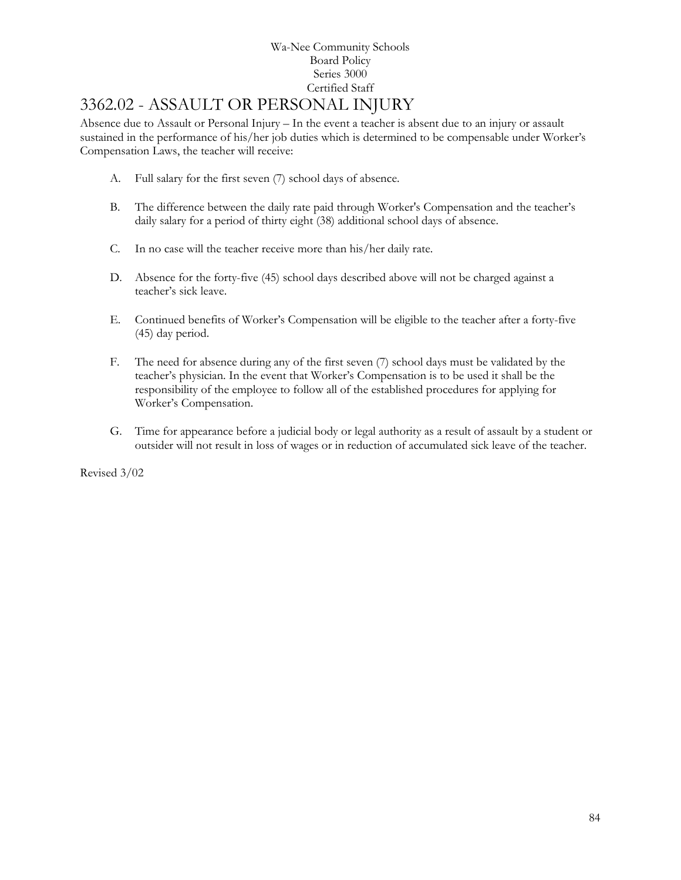# 3362.02 - ASSAULT OR PERSONAL INJURY

Absence due to Assault or Personal Injury – In the event a teacher is absent due to an injury or assault sustained in the performance of his/her job duties which is determined to be compensable under Worker's Compensation Laws, the teacher will receive:

- A. Full salary for the first seven (7) school days of absence.
- B. The difference between the daily rate paid through Worker's Compensation and the teacher's daily salary for a period of thirty eight (38) additional school days of absence.
- C. In no case will the teacher receive more than his/her daily rate.
- D. Absence for the forty-five (45) school days described above will not be charged against a teacher's sick leave.
- E. Continued benefits of Worker's Compensation will be eligible to the teacher after a forty-five (45) day period.
- F. The need for absence during any of the first seven (7) school days must be validated by the teacher's physician. In the event that Worker's Compensation is to be used it shall be the responsibility of the employee to follow all of the established procedures for applying for Worker's Compensation.
- G. Time for appearance before a judicial body or legal authority as a result of assault by a student or outsider will not result in loss of wages or in reduction of accumulated sick leave of the teacher.

Revised 3/02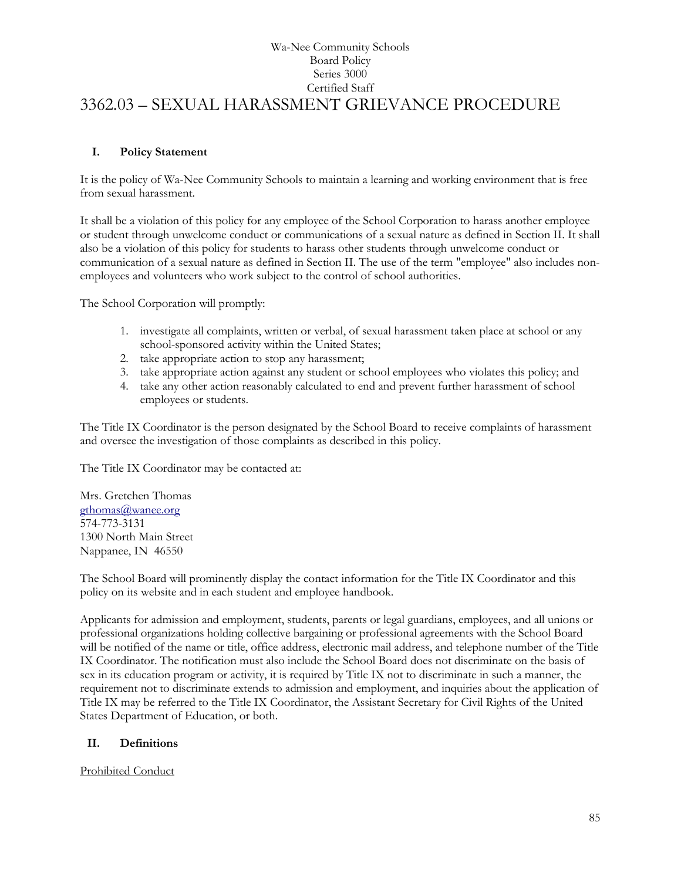## Wa-Nee Community Schools Board Policy Series 3000 Certified Staff 3362.03 – SEXUAL HARASSMENT GRIEVANCE PROCEDURE

#### **I. Policy Statement**

It is the policy of Wa-Nee Community Schools to maintain a learning and working environment that is free from sexual harassment.

It shall be a violation of this policy for any employee of the School Corporation to harass another employee or student through unwelcome conduct or communications of a sexual nature as defined in Section II. It shall also be a violation of this policy for students to harass other students through unwelcome conduct or communication of a sexual nature as defined in Section II. The use of the term "employee" also includes nonemployees and volunteers who work subject to the control of school authorities.

The School Corporation will promptly:

- 1. investigate all complaints, written or verbal, of sexual harassment taken place at school or any school-sponsored activity within the United States;
- 2. take appropriate action to stop any harassment;
- 3. take appropriate action against any student or school employees who violates this policy; and
- 4. take any other action reasonably calculated to end and prevent further harassment of school employees or students.

The Title IX Coordinator is the person designated by the School Board to receive complaints of harassment and oversee the investigation of those complaints as described in this policy.

The Title IX Coordinator may be contacted at:

Mrs. Gretchen Thomas [gthomas@wanee.org](mailto:gthomas@wanee.org) 574-773-3131 1300 North Main Street Nappanee, IN 46550

The School Board will prominently display the contact information for the Title IX Coordinator and this policy on its website and in each student and employee handbook.

Applicants for admission and employment, students, parents or legal guardians, employees, and all unions or professional organizations holding collective bargaining or professional agreements with the School Board will be notified of the name or title, office address, electronic mail address, and telephone number of the Title IX Coordinator. The notification must also include the School Board does not discriminate on the basis of sex in its education program or activity, it is required by Title IX not to discriminate in such a manner, the requirement not to discriminate extends to admission and employment, and inquiries about the application of Title IX may be referred to the Title IX Coordinator, the Assistant Secretary for Civil Rights of the United States Department of Education, or both.

#### **II. Definitions**

Prohibited Conduct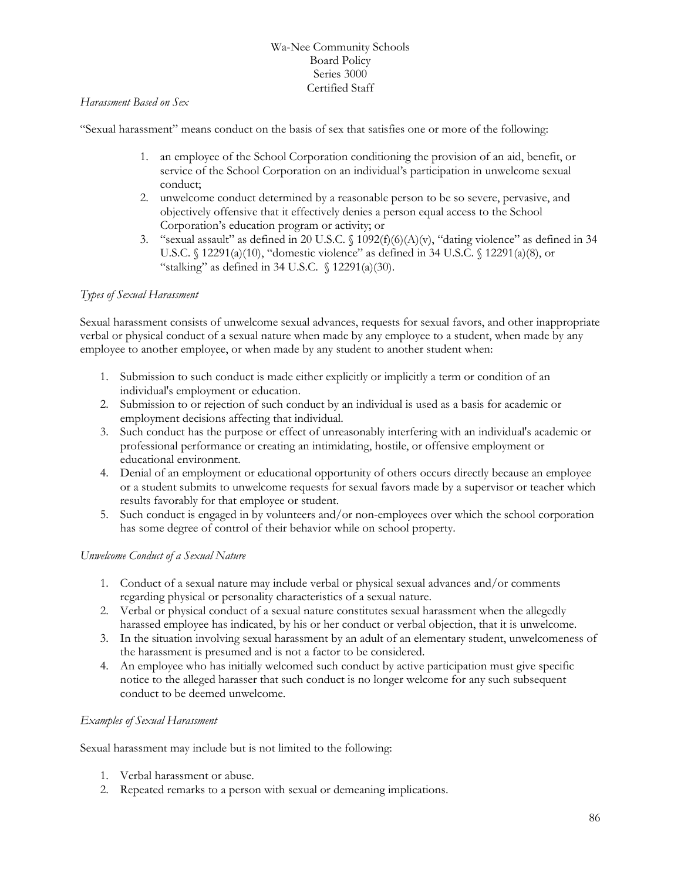### *Harassment Based on Sex*

"Sexual harassment" means conduct on the basis of sex that satisfies one or more of the following:

- 1. an employee of the School Corporation conditioning the provision of an aid, benefit, or service of the School Corporation on an individual's participation in unwelcome sexual conduct;
- 2. unwelcome conduct determined by a reasonable person to be so severe, pervasive, and objectively offensive that it effectively denies a person equal access to the School Corporation's education program or activity; or
- 3. "sexual assault" as defined in 20 U.S.C. § 1092(f)(6)(A)(v), "dating violence" as defined in 34 U.S.C. § 12291(a)(10), "domestic violence" as defined in 34 U.S.C. § 12291(a)(8), or "stalking" as defined in 34 U.S.C.  $\int$  12291(a)(30).

#### *Types of Sexual Harassment*

Sexual harassment consists of unwelcome sexual advances, requests for sexual favors, and other inappropriate verbal or physical conduct of a sexual nature when made by any employee to a student, when made by any employee to another employee, or when made by any student to another student when:

- 1. Submission to such conduct is made either explicitly or implicitly a term or condition of an individual's employment or education.
- 2. Submission to or rejection of such conduct by an individual is used as a basis for academic or employment decisions affecting that individual.
- 3. Such conduct has the purpose or effect of unreasonably interfering with an individual's academic or professional performance or creating an intimidating, hostile, or offensive employment or educational environment.
- 4. Denial of an employment or educational opportunity of others occurs directly because an employee or a student submits to unwelcome requests for sexual favors made by a supervisor or teacher which results favorably for that employee or student.
- 5. Such conduct is engaged in by volunteers and/or non-employees over which the school corporation has some degree of control of their behavior while on school property.

#### *Unwelcome Conduct of a Sexual Nature*

- 1. Conduct of a sexual nature may include verbal or physical sexual advances and/or comments regarding physical or personality characteristics of a sexual nature.
- 2. Verbal or physical conduct of a sexual nature constitutes sexual harassment when the allegedly harassed employee has indicated, by his or her conduct or verbal objection, that it is unwelcome.
- 3. In the situation involving sexual harassment by an adult of an elementary student, unwelcomeness of the harassment is presumed and is not a factor to be considered.
- 4. An employee who has initially welcomed such conduct by active participation must give specific notice to the alleged harasser that such conduct is no longer welcome for any such subsequent conduct to be deemed unwelcome.

#### *Examples of Sexual Harassment*

Sexual harassment may include but is not limited to the following:

- 1. Verbal harassment or abuse.
- 2. Repeated remarks to a person with sexual or demeaning implications.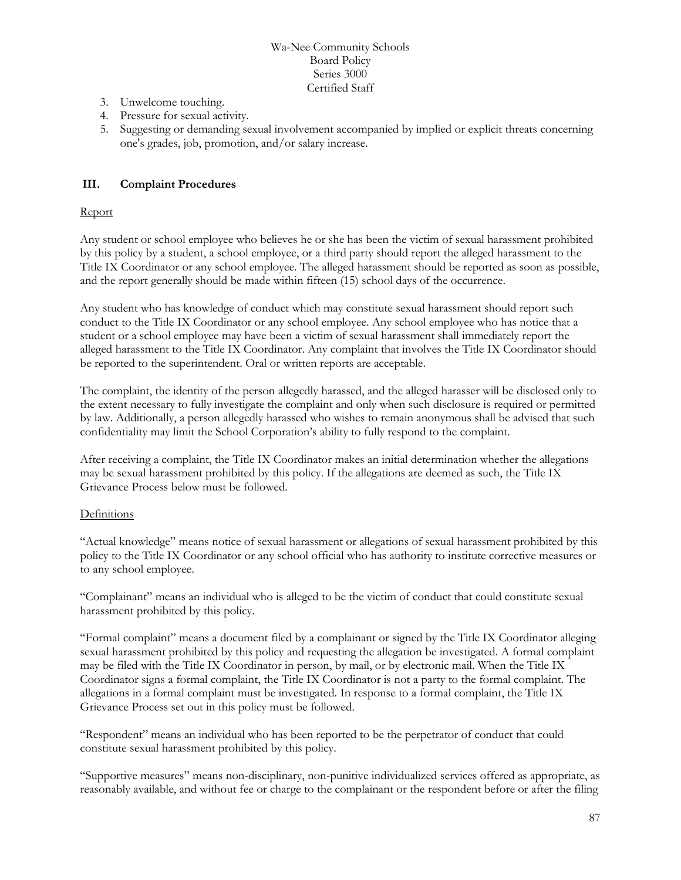- 3. Unwelcome touching.
- 4. Pressure for sexual activity.
- 5. Suggesting or demanding sexual involvement accompanied by implied or explicit threats concerning one's grades, job, promotion, and/or salary increase.

### **III. Complaint Procedures**

#### Report

Any student or school employee who believes he or she has been the victim of sexual harassment prohibited by this policy by a student, a school employee, or a third party should report the alleged harassment to the Title IX Coordinator or any school employee. The alleged harassment should be reported as soon as possible, and the report generally should be made within fifteen (15) school days of the occurrence.

Any student who has knowledge of conduct which may constitute sexual harassment should report such conduct to the Title IX Coordinator or any school employee. Any school employee who has notice that a student or a school employee may have been a victim of sexual harassment shall immediately report the alleged harassment to the Title IX Coordinator. Any complaint that involves the Title IX Coordinator should be reported to the superintendent. Oral or written reports are acceptable.

The complaint, the identity of the person allegedly harassed, and the alleged harasser will be disclosed only to the extent necessary to fully investigate the complaint and only when such disclosure is required or permitted by law. Additionally, a person allegedly harassed who wishes to remain anonymous shall be advised that such confidentiality may limit the School Corporation's ability to fully respond to the complaint.

After receiving a complaint, the Title IX Coordinator makes an initial determination whether the allegations may be sexual harassment prohibited by this policy. If the allegations are deemed as such, the Title IX Grievance Process below must be followed.

#### **Definitions**

"Actual knowledge" means notice of sexual harassment or allegations of sexual harassment prohibited by this policy to the Title IX Coordinator or any school official who has authority to institute corrective measures or to any school employee.

"Complainant" means an individual who is alleged to be the victim of conduct that could constitute sexual harassment prohibited by this policy.

"Formal complaint" means a document filed by a complainant or signed by the Title IX Coordinator alleging sexual harassment prohibited by this policy and requesting the allegation be investigated. A formal complaint may be filed with the Title IX Coordinator in person, by mail, or by electronic mail. When the Title IX Coordinator signs a formal complaint, the Title IX Coordinator is not a party to the formal complaint. The allegations in a formal complaint must be investigated. In response to a formal complaint, the Title IX Grievance Process set out in this policy must be followed.

"Respondent" means an individual who has been reported to be the perpetrator of conduct that could constitute sexual harassment prohibited by this policy.

"Supportive measures" means non-disciplinary, non-punitive individualized services offered as appropriate, as reasonably available, and without fee or charge to the complainant or the respondent before or after the filing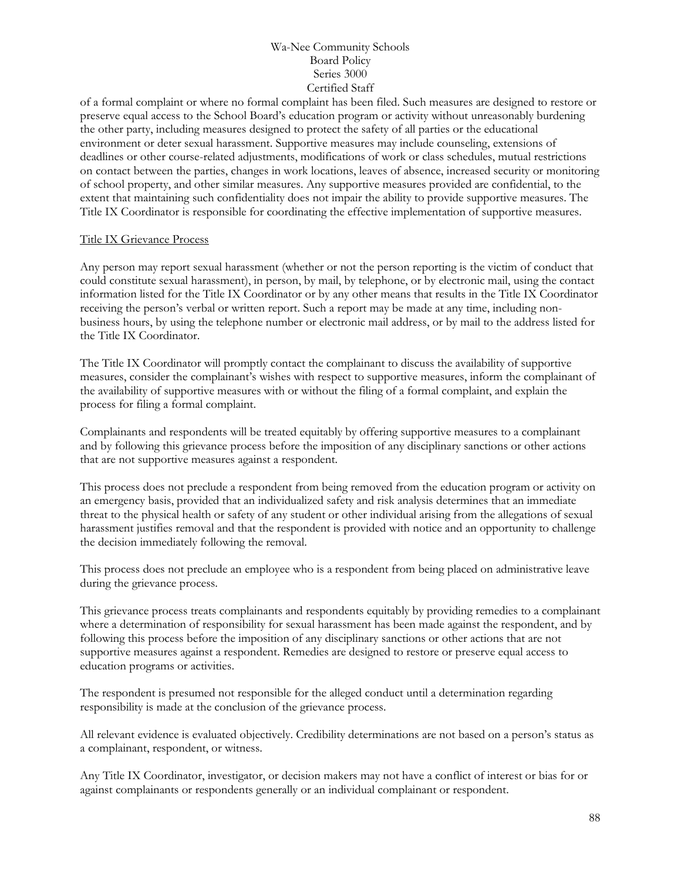of a formal complaint or where no formal complaint has been filed. Such measures are designed to restore or preserve equal access to the School Board's education program or activity without unreasonably burdening the other party, including measures designed to protect the safety of all parties or the educational environment or deter sexual harassment. Supportive measures may include counseling, extensions of deadlines or other course-related adjustments, modifications of work or class schedules, mutual restrictions on contact between the parties, changes in work locations, leaves of absence, increased security or monitoring of school property, and other similar measures. Any supportive measures provided are confidential, to the extent that maintaining such confidentiality does not impair the ability to provide supportive measures. The Title IX Coordinator is responsible for coordinating the effective implementation of supportive measures.

#### Title IX Grievance Process

Any person may report sexual harassment (whether or not the person reporting is the victim of conduct that could constitute sexual harassment), in person, by mail, by telephone, or by electronic mail, using the contact information listed for the Title IX Coordinator or by any other means that results in the Title IX Coordinator receiving the person's verbal or written report. Such a report may be made at any time, including nonbusiness hours, by using the telephone number or electronic mail address, or by mail to the address listed for the Title IX Coordinator.

The Title IX Coordinator will promptly contact the complainant to discuss the availability of supportive measures, consider the complainant's wishes with respect to supportive measures, inform the complainant of the availability of supportive measures with or without the filing of a formal complaint, and explain the process for filing a formal complaint.

Complainants and respondents will be treated equitably by offering supportive measures to a complainant and by following this grievance process before the imposition of any disciplinary sanctions or other actions that are not supportive measures against a respondent.

This process does not preclude a respondent from being removed from the education program or activity on an emergency basis, provided that an individualized safety and risk analysis determines that an immediate threat to the physical health or safety of any student or other individual arising from the allegations of sexual harassment justifies removal and that the respondent is provided with notice and an opportunity to challenge the decision immediately following the removal.

This process does not preclude an employee who is a respondent from being placed on administrative leave during the grievance process.

This grievance process treats complainants and respondents equitably by providing remedies to a complainant where a determination of responsibility for sexual harassment has been made against the respondent, and by following this process before the imposition of any disciplinary sanctions or other actions that are not supportive measures against a respondent. Remedies are designed to restore or preserve equal access to education programs or activities.

The respondent is presumed not responsible for the alleged conduct until a determination regarding responsibility is made at the conclusion of the grievance process.

All relevant evidence is evaluated objectively. Credibility determinations are not based on a person's status as a complainant, respondent, or witness.

Any Title IX Coordinator, investigator, or decision makers may not have a conflict of interest or bias for or against complainants or respondents generally or an individual complainant or respondent.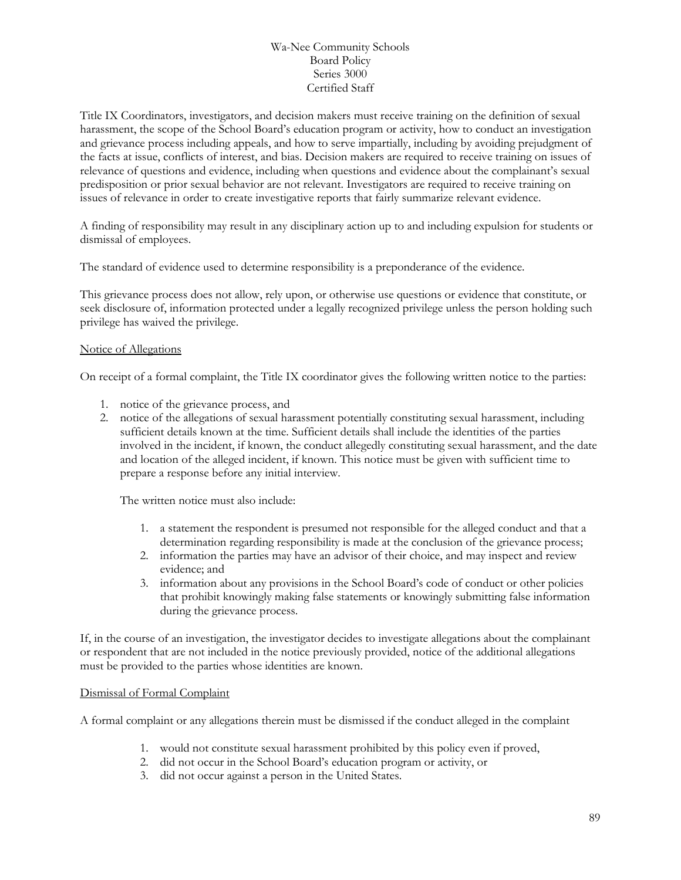Title IX Coordinators, investigators, and decision makers must receive training on the definition of sexual harassment, the scope of the School Board's education program or activity, how to conduct an investigation and grievance process including appeals, and how to serve impartially, including by avoiding prejudgment of the facts at issue, conflicts of interest, and bias. Decision makers are required to receive training on issues of relevance of questions and evidence, including when questions and evidence about the complainant's sexual predisposition or prior sexual behavior are not relevant. Investigators are required to receive training on issues of relevance in order to create investigative reports that fairly summarize relevant evidence.

A finding of responsibility may result in any disciplinary action up to and including expulsion for students or dismissal of employees.

The standard of evidence used to determine responsibility is a preponderance of the evidence.

This grievance process does not allow, rely upon, or otherwise use questions or evidence that constitute, or seek disclosure of, information protected under a legally recognized privilege unless the person holding such privilege has waived the privilege.

#### Notice of Allegations

On receipt of a formal complaint, the Title IX coordinator gives the following written notice to the parties:

- 1. notice of the grievance process, and
- 2. notice of the allegations of sexual harassment potentially constituting sexual harassment, including sufficient details known at the time. Sufficient details shall include the identities of the parties involved in the incident, if known, the conduct allegedly constituting sexual harassment, and the date and location of the alleged incident, if known. This notice must be given with sufficient time to prepare a response before any initial interview.

The written notice must also include:

- 1. a statement the respondent is presumed not responsible for the alleged conduct and that a determination regarding responsibility is made at the conclusion of the grievance process;
- 2. information the parties may have an advisor of their choice, and may inspect and review evidence; and
- 3. information about any provisions in the School Board's code of conduct or other policies that prohibit knowingly making false statements or knowingly submitting false information during the grievance process.

If, in the course of an investigation, the investigator decides to investigate allegations about the complainant or respondent that are not included in the notice previously provided, notice of the additional allegations must be provided to the parties whose identities are known.

#### Dismissal of Formal Complaint

A formal complaint or any allegations therein must be dismissed if the conduct alleged in the complaint

- 1. would not constitute sexual harassment prohibited by this policy even if proved,
- 2. did not occur in the School Board's education program or activity, or
- 3. did not occur against a person in the United States.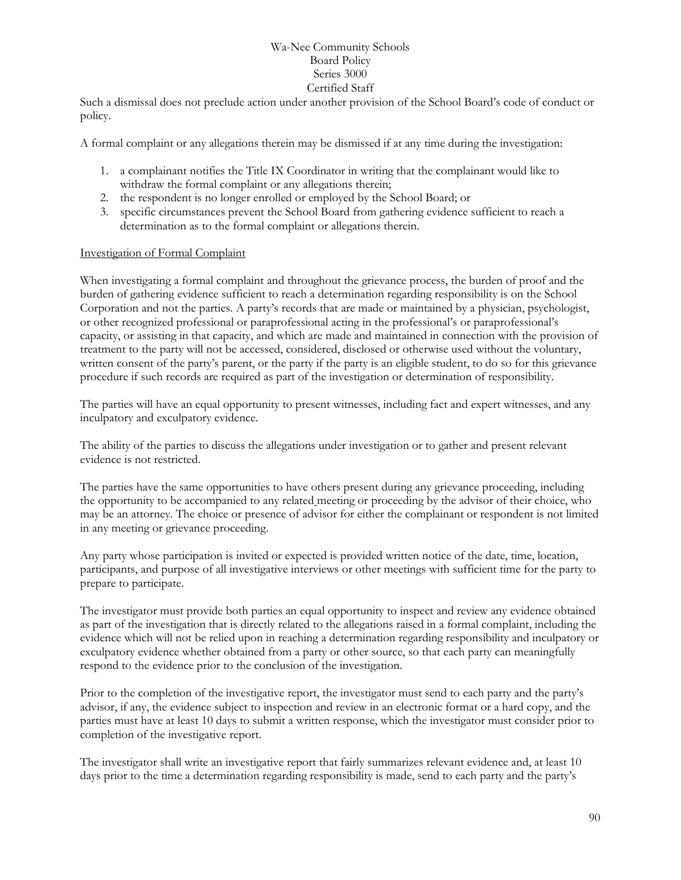Such a dismissal does not preclude action under another provision of the School Board's code of conduct or policy.

A formal complaint or any allegations therein may be dismissed if at any time during the investigation:

- 1. a complainant notifies the Title IX Coordinator in writing that the complainant would like to withdraw the formal complaint or any allegations therein;
- 2. the respondent is no longer enrolled or employed by the School Board; or
- 3. specific circumstances prevent the School Board from gathering evidence sufficient to reach a determination as to the formal complaint or allegations therein.

#### Investigation of Formal Complaint

When investigating a formal complaint and throughout the grievance process, the burden of proof and the burden of gathering evidence sufficient to reach a determination regarding responsibility is on the School Corporation and not the parties. A party's records that are made or maintained by a physician, psychologist, or other recognized professional or paraprofessional acting in the professional's or paraprofessional's capacity, or assisting in that capacity, and which are made and maintained in connection with the provision of treatment to the party will not be accessed, considered, disclosed or otherwise used without the voluntary, written consent of the party's parent, or the party if the party is an eligible student, to do so for this grievance procedure if such records are required as part of the investigation or determination of responsibility.

The parties will have an equal opportunity to present witnesses, including fact and expert witnesses, and any inculpatory and exculpatory evidence.

The ability of the parties to discuss the allegations under investigation or to gather and present relevant evidence is not restricted.

The parties have the same opportunities to have others present during any grievance proceeding, including the opportunity to be accompanied to any related meeting or proceeding by the advisor of their choice, who may be an attorney. The choice or presence of advisor for either the complainant or respondent is not limited in any meeting or grievance proceeding.

Any party whose participation is invited or expected is provided written notice of the date, time, location, participants, and purpose of all investigative interviews or other meetings with sufficient time for the party to prepare to participate.

The investigator must provide both parties an equal opportunity to inspect and review any evidence obtained as part of the investigation that is directly related to the allegations raised in a formal complaint, including the evidence which will not be relied upon in reaching a determination regarding responsibility and inculpatory or exculpatory evidence whether obtained from a party or other source, so that each party can meaningfully respond to the evidence prior to the conclusion of the investigation.

Prior to the completion of the investigative report, the investigator must send to each party and the party's advisor, if any, the evidence subject to inspection and review in an electronic format or a hard copy, and the parties must have at least 10 days to submit a written response, which the investigator must consider prior to completion of the investigative report.

The investigator shall write an investigative report that fairly summarizes relevant evidence and, at least 10 days prior to the time a determination regarding responsibility is made, send to each party and the party's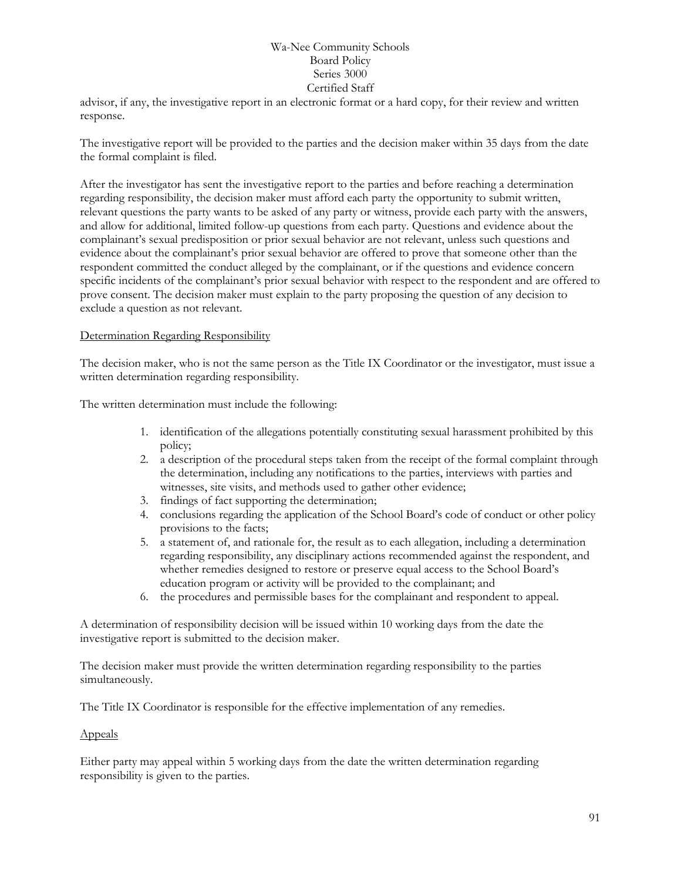advisor, if any, the investigative report in an electronic format or a hard copy, for their review and written response.

The investigative report will be provided to the parties and the decision maker within 35 days from the date the formal complaint is filed.

After the investigator has sent the investigative report to the parties and before reaching a determination regarding responsibility, the decision maker must afford each party the opportunity to submit written, relevant questions the party wants to be asked of any party or witness, provide each party with the answers, and allow for additional, limited follow-up questions from each party. Questions and evidence about the complainant's sexual predisposition or prior sexual behavior are not relevant, unless such questions and evidence about the complainant's prior sexual behavior are offered to prove that someone other than the respondent committed the conduct alleged by the complainant, or if the questions and evidence concern specific incidents of the complainant's prior sexual behavior with respect to the respondent and are offered to prove consent. The decision maker must explain to the party proposing the question of any decision to exclude a question as not relevant.

#### Determination Regarding Responsibility

The decision maker, who is not the same person as the Title IX Coordinator or the investigator, must issue a written determination regarding responsibility.

The written determination must include the following:

- 1. identification of the allegations potentially constituting sexual harassment prohibited by this policy;
- 2. a description of the procedural steps taken from the receipt of the formal complaint through the determination, including any notifications to the parties, interviews with parties and witnesses, site visits, and methods used to gather other evidence;
- 3. findings of fact supporting the determination;
- 4. conclusions regarding the application of the School Board's code of conduct or other policy provisions to the facts;
- 5. a statement of, and rationale for, the result as to each allegation, including a determination regarding responsibility, any disciplinary actions recommended against the respondent, and whether remedies designed to restore or preserve equal access to the School Board's education program or activity will be provided to the complainant; and
- 6. the procedures and permissible bases for the complainant and respondent to appeal.

A determination of responsibility decision will be issued within 10 working days from the date the investigative report is submitted to the decision maker.

The decision maker must provide the written determination regarding responsibility to the parties simultaneously.

The Title IX Coordinator is responsible for the effective implementation of any remedies.

#### Appeals

Either party may appeal within 5 working days from the date the written determination regarding responsibility is given to the parties.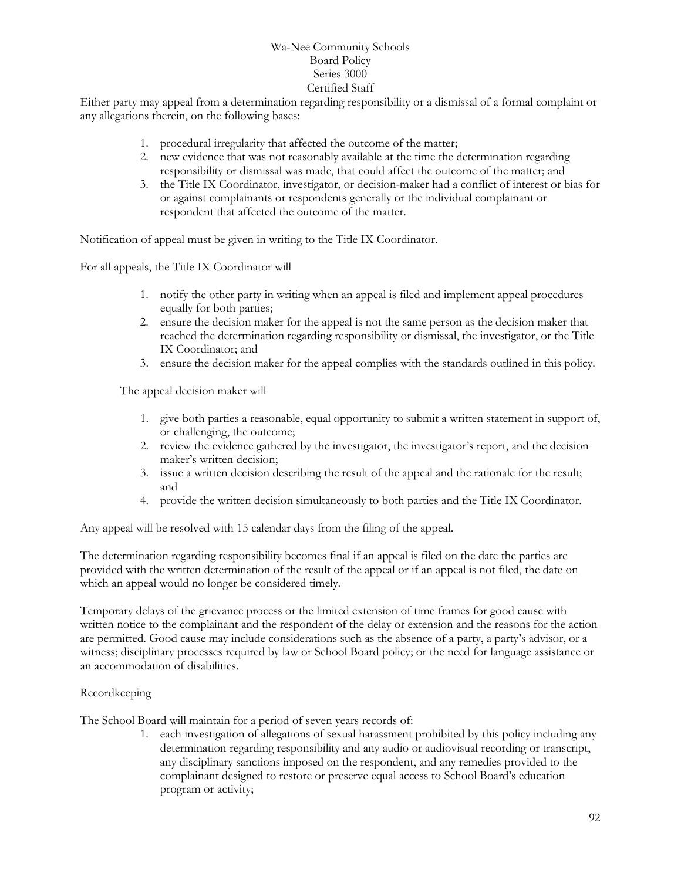Either party may appeal from a determination regarding responsibility or a dismissal of a formal complaint or any allegations therein, on the following bases:

- 1. procedural irregularity that affected the outcome of the matter;
- 2. new evidence that was not reasonably available at the time the determination regarding responsibility or dismissal was made, that could affect the outcome of the matter; and
- 3. the Title IX Coordinator, investigator, or decision-maker had a conflict of interest or bias for or against complainants or respondents generally or the individual complainant or respondent that affected the outcome of the matter.

Notification of appeal must be given in writing to the Title IX Coordinator.

For all appeals, the Title IX Coordinator will

- 1. notify the other party in writing when an appeal is filed and implement appeal procedures equally for both parties;
- 2. ensure the decision maker for the appeal is not the same person as the decision maker that reached the determination regarding responsibility or dismissal, the investigator, or the Title IX Coordinator; and
- 3. ensure the decision maker for the appeal complies with the standards outlined in this policy.

The appeal decision maker will

- 1. give both parties a reasonable, equal opportunity to submit a written statement in support of, or challenging, the outcome;
- 2. review the evidence gathered by the investigator, the investigator's report, and the decision maker's written decision;
- 3. issue a written decision describing the result of the appeal and the rationale for the result; and
- 4. provide the written decision simultaneously to both parties and the Title IX Coordinator.

Any appeal will be resolved with 15 calendar days from the filing of the appeal.

The determination regarding responsibility becomes final if an appeal is filed on the date the parties are provided with the written determination of the result of the appeal or if an appeal is not filed, the date on which an appeal would no longer be considered timely.

Temporary delays of the grievance process or the limited extension of time frames for good cause with written notice to the complainant and the respondent of the delay or extension and the reasons for the action are permitted. Good cause may include considerations such as the absence of a party, a party's advisor, or a witness; disciplinary processes required by law or School Board policy; or the need for language assistance or an accommodation of disabilities.

#### Recordkeeping

The School Board will maintain for a period of seven years records of:

1. each investigation of allegations of sexual harassment prohibited by this policy including any determination regarding responsibility and any audio or audiovisual recording or transcript, any disciplinary sanctions imposed on the respondent, and any remedies provided to the complainant designed to restore or preserve equal access to School Board's education program or activity;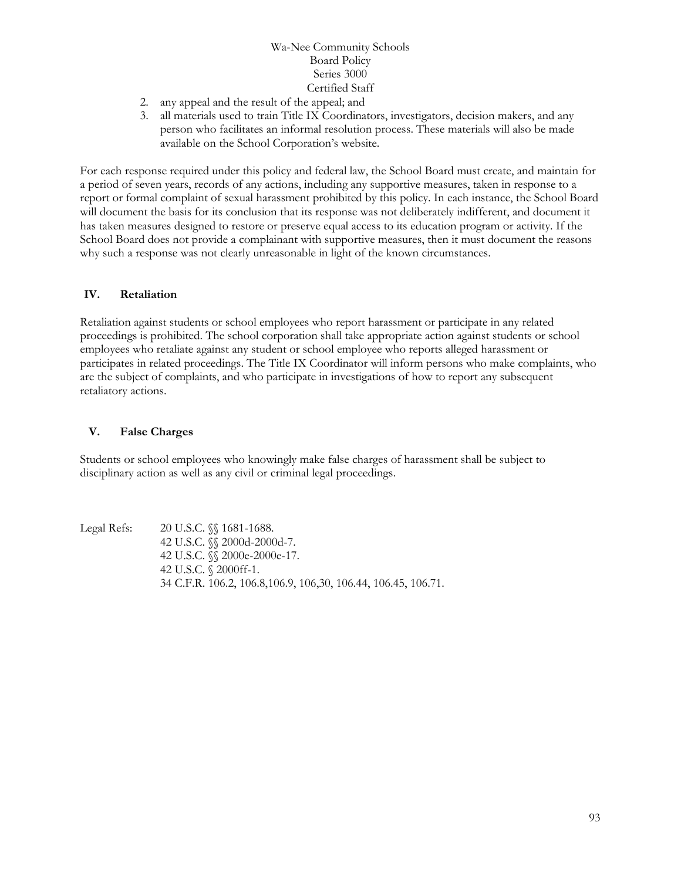- 2. any appeal and the result of the appeal; and
- 3. all materials used to train Title IX Coordinators, investigators, decision makers, and any person who facilitates an informal resolution process. These materials will also be made available on the School Corporation's website.

For each response required under this policy and federal law, the School Board must create, and maintain for a period of seven years, records of any actions, including any supportive measures, taken in response to a report or formal complaint of sexual harassment prohibited by this policy. In each instance, the School Board will document the basis for its conclusion that its response was not deliberately indifferent, and document it has taken measures designed to restore or preserve equal access to its education program or activity. If the School Board does not provide a complainant with supportive measures, then it must document the reasons why such a response was not clearly unreasonable in light of the known circumstances.

#### **IV. Retaliation**

Retaliation against students or school employees who report harassment or participate in any related proceedings is prohibited. The school corporation shall take appropriate action against students or school employees who retaliate against any student or school employee who reports alleged harassment or participates in related proceedings. The Title IX Coordinator will inform persons who make complaints, who are the subject of complaints, and who participate in investigations of how to report any subsequent retaliatory actions.

#### **V. False Charges**

Students or school employees who knowingly make false charges of harassment shall be subject to disciplinary action as well as any civil or criminal legal proceedings.

Legal Refs: 20 U.S.C. §§ 1681-1688. 42 U.S.C. §§ 2000d-2000d-7. 42 U.S.C. §§ 2000e-2000e-17. 42 U.S.C. § 2000ff-1. 34 C.F.R. 106.2, 106.8,106.9, 106,30, 106.44, 106.45, 106.71.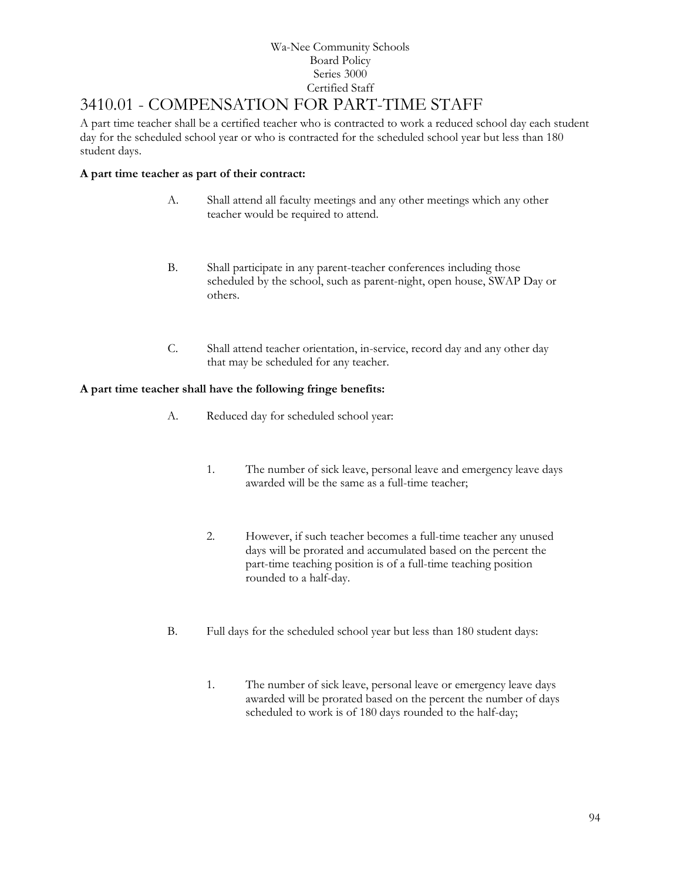# 3410.01 - COMPENSATION FOR PART-TIME STAFF

A part time teacher shall be a certified teacher who is contracted to work a reduced school day each student day for the scheduled school year or who is contracted for the scheduled school year but less than 180 student days.

## **A part time teacher as part of their contract:**

- A. Shall attend all faculty meetings and any other meetings which any other teacher would be required to attend.
- B. Shall participate in any parent-teacher conferences including those scheduled by the school, such as parent-night, open house, SWAP Day or others.
- C. Shall attend teacher orientation, in-service, record day and any other day that may be scheduled for any teacher.

## **A part time teacher shall have the following fringe benefits:**

- A. Reduced day for scheduled school year:
	- 1. The number of sick leave, personal leave and emergency leave days awarded will be the same as a full-time teacher;
	- 2. However, if such teacher becomes a full-time teacher any unused days will be prorated and accumulated based on the percent the part-time teaching position is of a full-time teaching position rounded to a half-day.
- B. Full days for the scheduled school year but less than 180 student days:
	- 1. The number of sick leave, personal leave or emergency leave days awarded will be prorated based on the percent the number of days scheduled to work is of 180 days rounded to the half-day;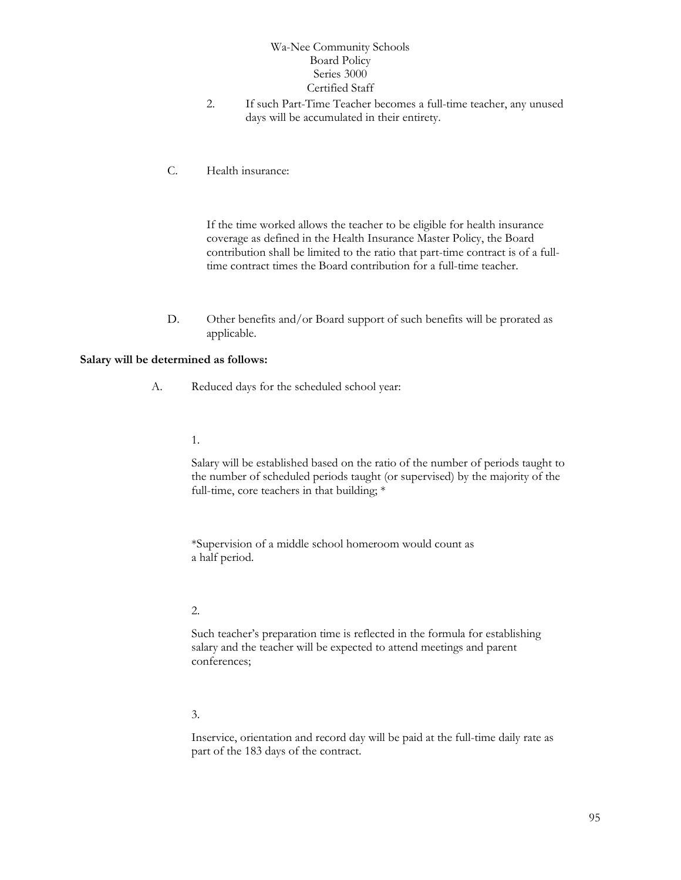- 2. If such Part-Time Teacher becomes a full-time teacher, any unused days will be accumulated in their entirety.
- C. Health insurance:

If the time worked allows the teacher to be eligible for health insurance coverage as defined in the Health Insurance Master Policy, the Board contribution shall be limited to the ratio that part-time contract is of a fulltime contract times the Board contribution for a full-time teacher.

D. Other benefits and/or Board support of such benefits will be prorated as applicable.

#### **Salary will be determined as follows:**

- A. Reduced days for the scheduled school year:
	- 1.

Salary will be established based on the ratio of the number of periods taught to the number of scheduled periods taught (or supervised) by the majority of the full-time, core teachers in that building; \*

\*Supervision of a middle school homeroom would count as a half period.

#### 2.

Such teacher's preparation time is reflected in the formula for establishing salary and the teacher will be expected to attend meetings and parent conferences;

#### 3.

Inservice, orientation and record day will be paid at the full-time daily rate as part of the 183 days of the contract.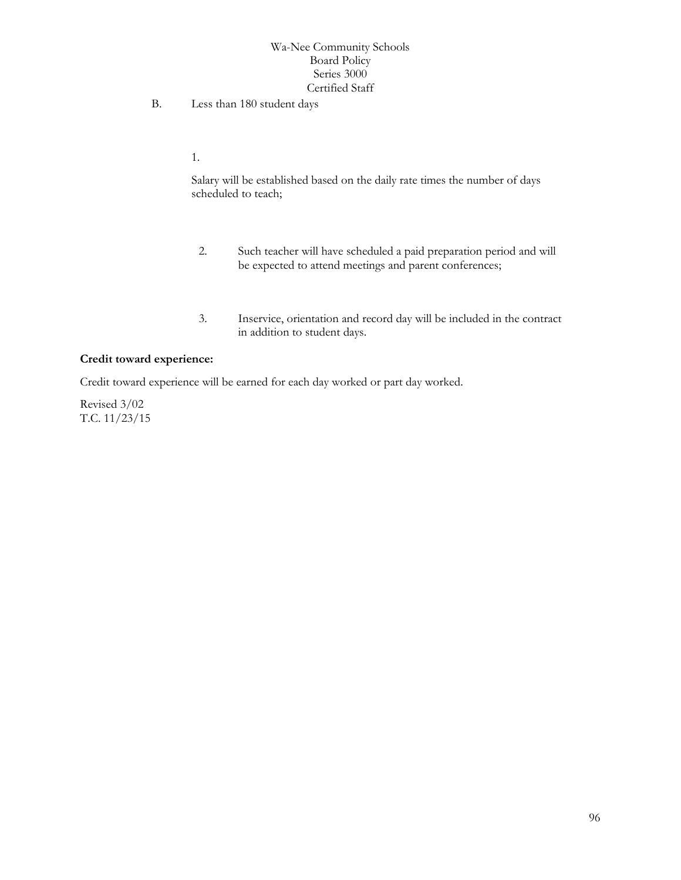B. Less than 180 student days

1.

Salary will be established based on the daily rate times the number of days scheduled to teach;

- 2. Such teacher will have scheduled a paid preparation period and will be expected to attend meetings and parent conferences;
- 3. Inservice, orientation and record day will be included in the contract in addition to student days.

#### **Credit toward experience:**

Credit toward experience will be earned for each day worked or part day worked.

Revised 3/02 T.C. 11/23/15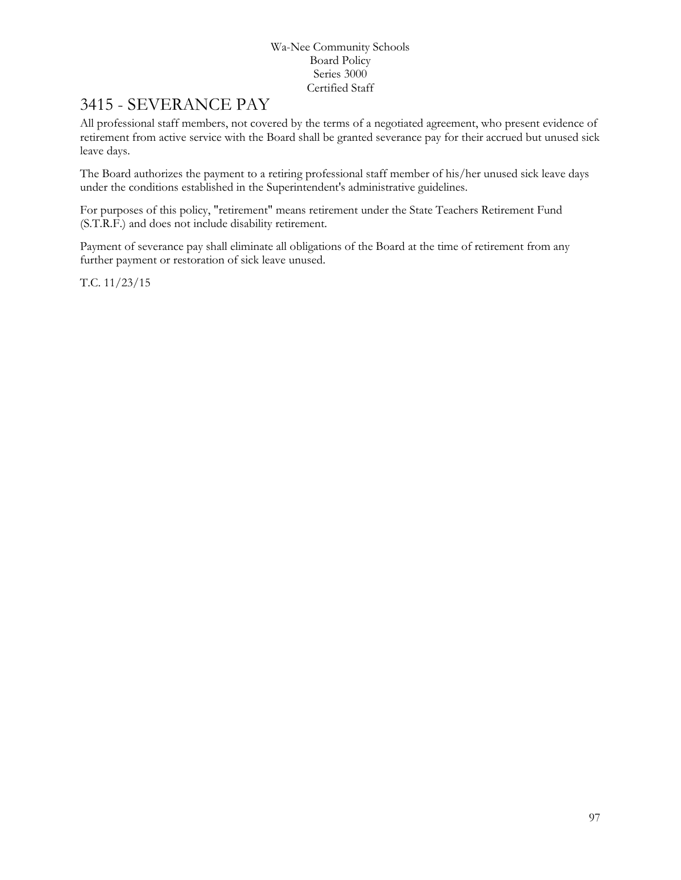# 3415 - SEVERANCE PAY

All professional staff members, not covered by the terms of a negotiated agreement, who present evidence of retirement from active service with the Board shall be granted severance pay for their accrued but unused sick leave days.

The Board authorizes the payment to a retiring professional staff member of his/her unused sick leave days under the conditions established in the Superintendent's administrative guidelines.

For purposes of this policy, "retirement" means retirement under the State Teachers Retirement Fund (S.T.R.F.) and does not include disability retirement.

Payment of severance pay shall eliminate all obligations of the Board at the time of retirement from any further payment or restoration of sick leave unused.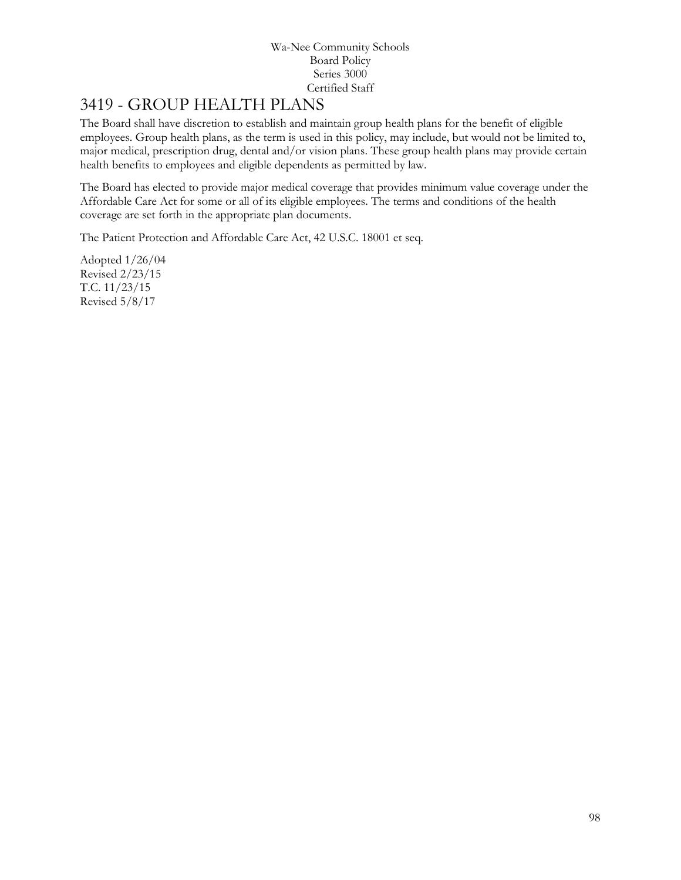# [3419](http://www.neola.com/wanee-in/search/ag/ag3419.htm) - GROUP HEALTH PLANS

The Board shall have discretion to establish and maintain group health plans for the benefit of eligible employees. Group health plans, as the term is used in this policy, may include, but would not be limited to, major medical, prescription drug, dental and/or vision plans. These group health plans may provide certain health benefits to employees and eligible dependents as permitted by law.

The Board has elected to provide major medical coverage that provides minimum value coverage under the Affordable Care Act for some or all of its eligible employees. The terms and conditions of the health coverage are set forth in the appropriate plan documents.

The Patient Protection and Affordable Care Act, 42 U.S.C. 18001 et seq.

Adopted 1/26/04 Revised 2/23/15 T.C. 11/23/15 Revised 5/8/17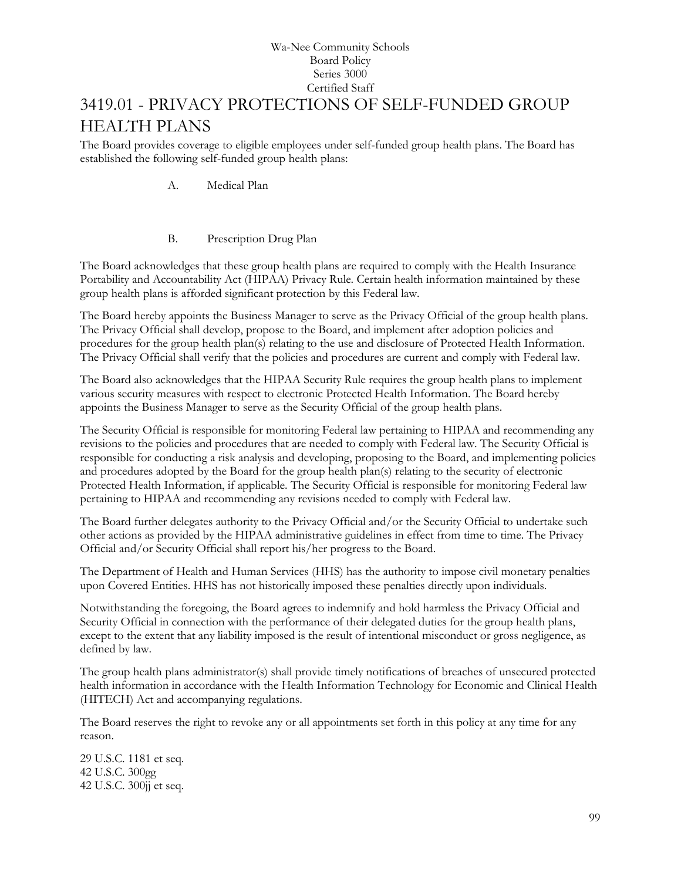# [3419.01](http://www.neola.com/wanee-in/search/ag/ag3419.01.htm) - PRIVACY PROTECTIONS OF SELF-FUNDED GROUP HEALTH PLANS

The Board provides coverage to eligible employees under self-funded group health plans. The Board has established the following self-funded group health plans:

A. Medical Plan

### B. Prescription Drug Plan

The Board acknowledges that these group health plans are required to comply with the Health Insurance Portability and Accountability Act (HIPAA) Privacy Rule. Certain health information maintained by these group health plans is afforded significant protection by this Federal law.

The Board hereby appoints the Business Manager to serve as the Privacy Official of the group health plans. The Privacy Official shall develop, propose to the Board, and implement after adoption policies and procedures for the group health plan(s) relating to the use and disclosure of Protected Health Information. The Privacy Official shall verify that the policies and procedures are current and comply with Federal law.

The Board also acknowledges that the HIPAA Security Rule requires the group health plans to implement various security measures with respect to electronic Protected Health Information. The Board hereby appoints the Business Manager to serve as the Security Official of the group health plans.

The Security Official is responsible for monitoring Federal law pertaining to HIPAA and recommending any revisions to the policies and procedures that are needed to comply with Federal law. The Security Official is responsible for conducting a risk analysis and developing, proposing to the Board, and implementing policies and procedures adopted by the Board for the group health plan(s) relating to the security of electronic Protected Health Information, if applicable. The Security Official is responsible for monitoring Federal law pertaining to HIPAA and recommending any revisions needed to comply with Federal law.

The Board further delegates authority to the Privacy Official and/or the Security Official to undertake such other actions as provided by the HIPAA administrative guidelines in effect from time to time. The Privacy Official and/or Security Official shall report his/her progress to the Board.

The Department of Health and Human Services (HHS) has the authority to impose civil monetary penalties upon Covered Entities. HHS has not historically imposed these penalties directly upon individuals.

Notwithstanding the foregoing, the Board agrees to indemnify and hold harmless the Privacy Official and Security Official in connection with the performance of their delegated duties for the group health plans, except to the extent that any liability imposed is the result of intentional misconduct or gross negligence, as defined by law.

The group health plans administrator(s) shall provide timely notifications of breaches of unsecured protected health information in accordance with the Health Information Technology for Economic and Clinical Health (HITECH) Act and accompanying regulations.

The Board reserves the right to revoke any or all appointments set forth in this policy at any time for any reason.

29 U.S.C. 1181 et seq. 42 U.S.C. 300gg 42 U.S.C. 300jj et seq.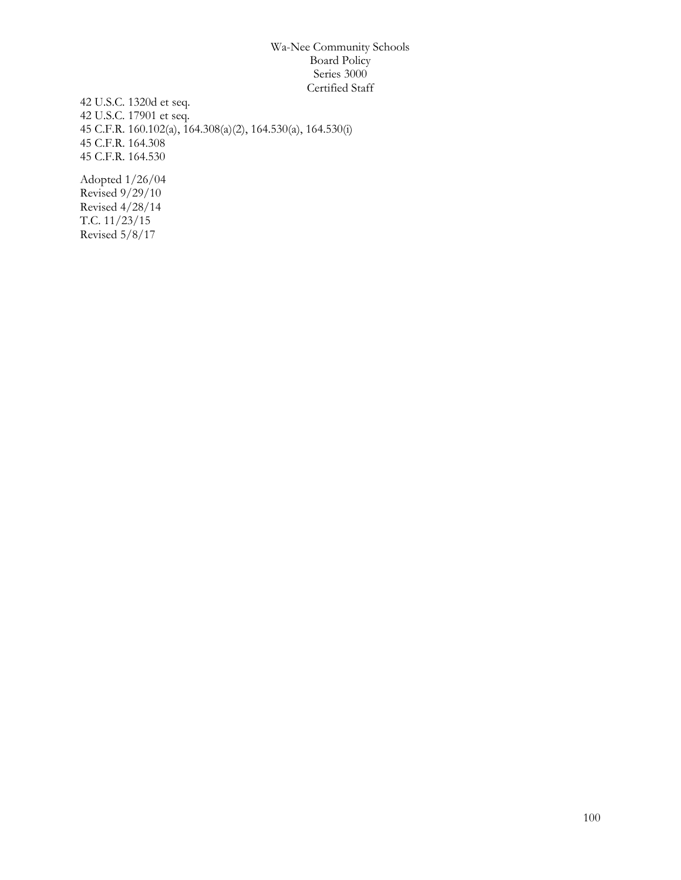42 U.S.C. 1320d et seq. 42 U.S.C. 17901 et seq. 45 C.F.R. 160.102(a), 164.308(a)(2), 164.530(a), 164.530(i) 45 C.F.R. 164.308 45 C.F.R. 164.530

Adopted 1/26/04 Revised  $9/29/10$ Revised 4/28/14 T.C. 11/23/15 Revised 5/8/17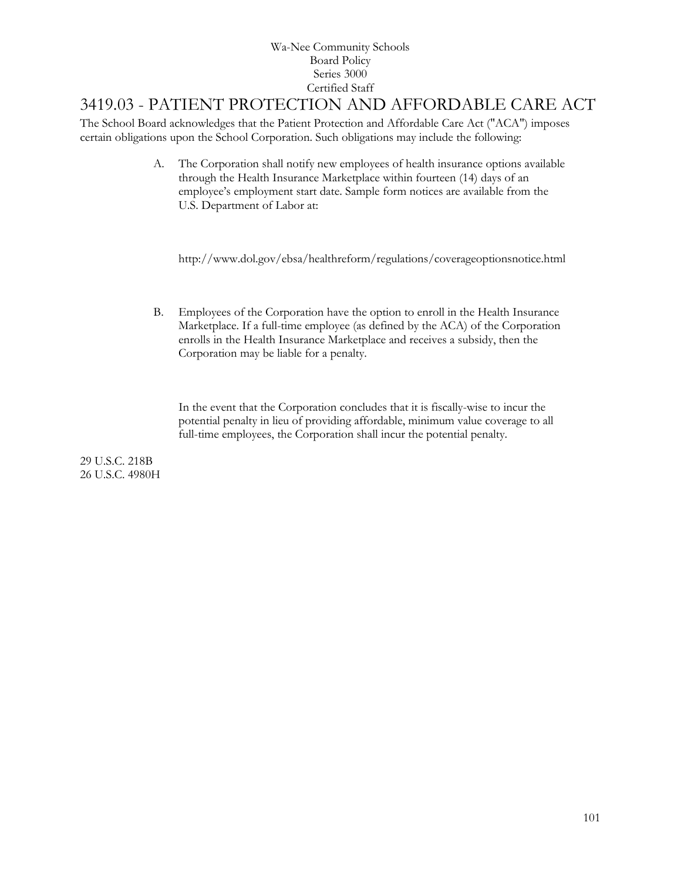## 3419.03 - PATIENT PROTECTION AND AFFORDABLE CARE ACT

The School Board acknowledges that the Patient Protection and Affordable Care Act ("ACA") imposes certain obligations upon the School Corporation. Such obligations may include the following:

> A. The Corporation shall notify new employees of health insurance options available through the Health Insurance Marketplace within fourteen (14) days of an employee's employment start date. Sample form notices are available from the U.S. Department of Labor at:

http://www.dol.gov/ebsa/healthreform/regulations/coverageoptionsnotice.html

B. Employees of the Corporation have the option to enroll in the Health Insurance Marketplace. If a full-time employee (as defined by the ACA) of the Corporation enrolls in the Health Insurance Marketplace and receives a subsidy, then the Corporation may be liable for a penalty.

In the event that the Corporation concludes that it is fiscally-wise to incur the potential penalty in lieu of providing affordable, minimum value coverage to all full-time employees, the Corporation shall incur the potential penalty.

29 U.S.C. 218B 26 U.S.C. 4980H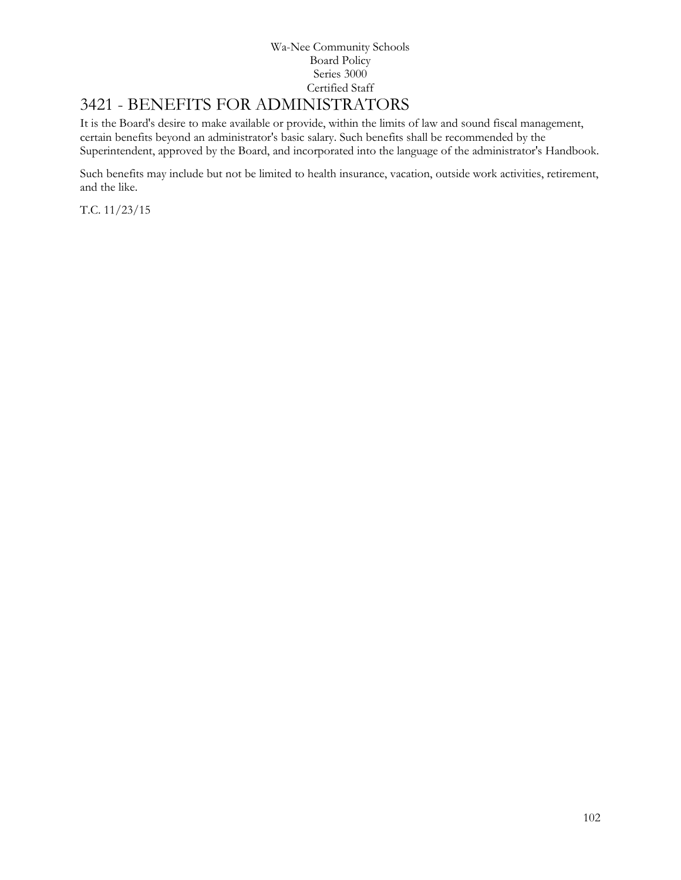# [3421](http://www.neola.com/wanee-in/search/ag/ag3421.htm) - BENEFITS FOR ADMINISTRATORS

It is the Board's desire to make available or provide, within the limits of law and sound fiscal management, certain benefits beyond an administrator's basic salary. Such benefits shall be recommended by the Superintendent, approved by the Board, and incorporated into the language of the administrator's Handbook.

Such benefits may include but not be limited to health insurance, vacation, outside work activities, retirement, and the like.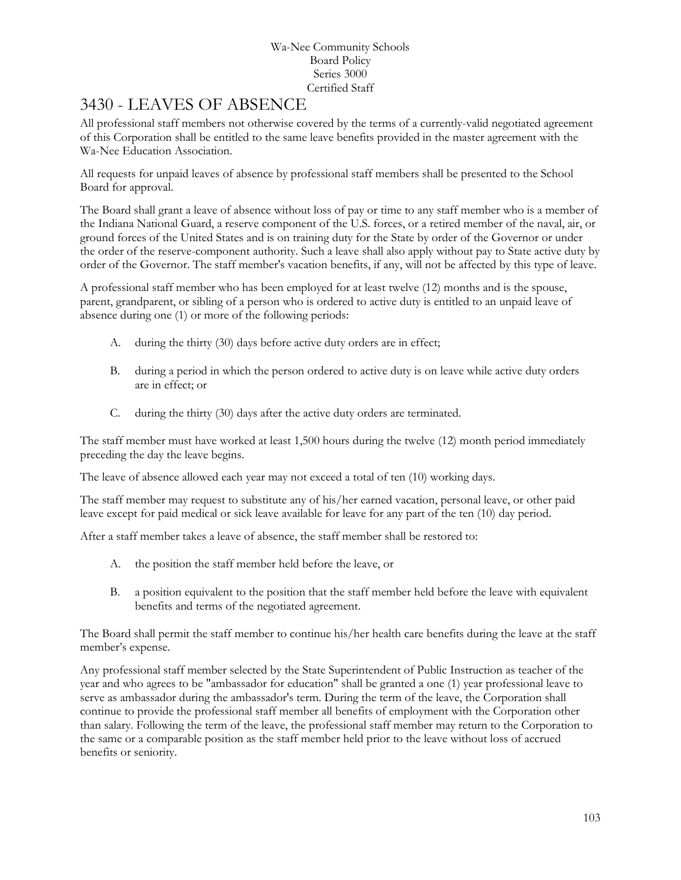## [3430](http://www.neola.com/wanee-in/search/ag/ag3430.htm) - LEAVES OF ABSENCE

All professional staff members not otherwise covered by the terms of a currently-valid negotiated agreement of this Corporation shall be entitled to the same leave benefits provided in the master agreement with the Wa-Nee Education Association.

All requests for unpaid leaves of absence by professional staff members shall be presented to the School Board for approval.

The Board shall grant a leave of absence without loss of pay or time to any staff member who is a member of the Indiana National Guard, a reserve component of the U.S. forces, or a retired member of the naval, air, or ground forces of the United States and is on training duty for the State by order of the Governor or under the order of the reserve-component authority. Such a leave shall also apply without pay to State active duty by order of the Governor. The staff member's vacation benefits, if any, will not be affected by this type of leave.

A professional staff member who has been employed for at least twelve (12) months and is the spouse, parent, grandparent, or sibling of a person who is ordered to active duty is entitled to an unpaid leave of absence during one (1) or more of the following periods:

- A. during the thirty (30) days before active duty orders are in effect;
- B. during a period in which the person ordered to active duty is on leave while active duty orders are in effect; or
- C. during the thirty (30) days after the active duty orders are terminated.

The staff member must have worked at least 1,500 hours during the twelve (12) month period immediately preceding the day the leave begins.

The leave of absence allowed each year may not exceed a total of ten (10) working days.

The staff member may request to substitute any of his/her earned vacation, personal leave, or other paid leave except for paid medical or sick leave available for leave for any part of the ten (10) day period.

After a staff member takes a leave of absence, the staff member shall be restored to:

- A. the position the staff member held before the leave, or
- B. a position equivalent to the position that the staff member held before the leave with equivalent benefits and terms of the negotiated agreement.

The Board shall permit the staff member to continue his/her health care benefits during the leave at the staff member's expense.

Any professional staff member selected by the State Superintendent of Public Instruction as teacher of the year and who agrees to be "ambassador for education" shall be granted a one (1) year professional leave to serve as ambassador during the ambassador's term. During the term of the leave, the Corporation shall continue to provide the professional staff member all benefits of employment with the Corporation other than salary. Following the term of the leave, the professional staff member may return to the Corporation to the same or a comparable position as the staff member held prior to the leave without loss of accrued benefits or seniority.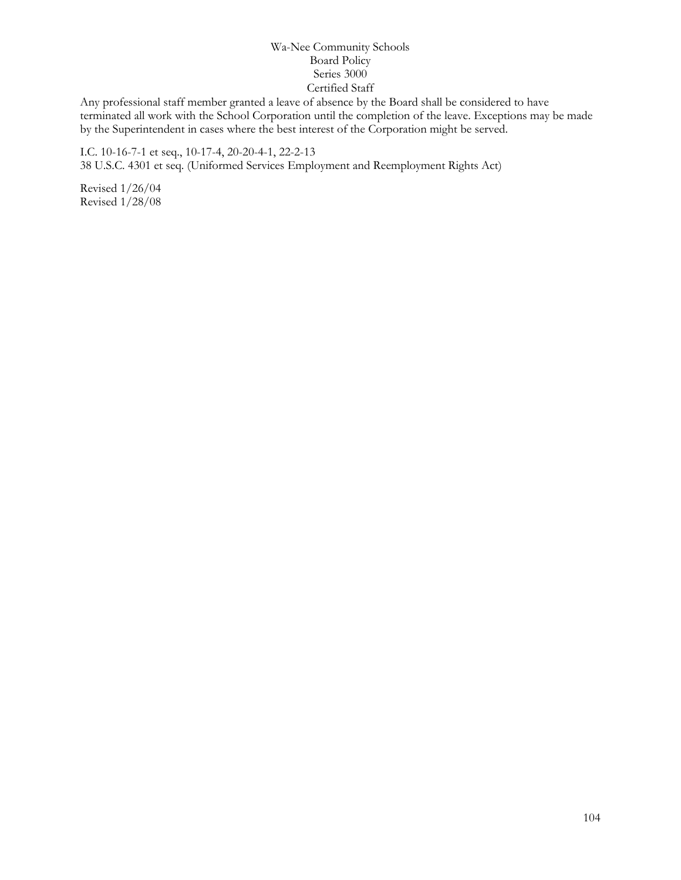Any professional staff member granted a leave of absence by the Board shall be considered to have terminated all work with the School Corporation until the completion of the leave. Exceptions may be made by the Superintendent in cases where the best interest of the Corporation might be served.

I.C. 10-16-7-1 et seq., 10-17-4, 20-20-4-1, 22-2-13 38 U.S.C. 4301 et seq. (Uniformed Services Employment and Reemployment Rights Act)

Revised 1/26/04 Revised 1/28/08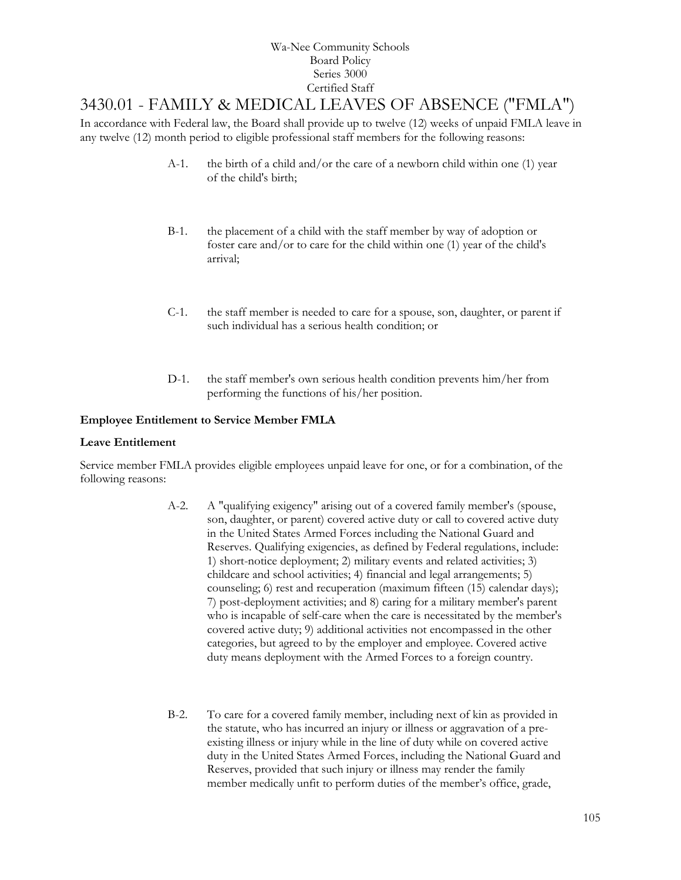## [3430.01](http://www.neola.com/wanee-in/search/ag/ag3430.01.htm) - FAMILY & MEDICAL LEAVES OF ABSENCE ("FMLA")

In accordance with Federal law, the Board shall provide up to twelve (12) weeks of unpaid FMLA leave in any twelve (12) month period to eligible professional staff members for the following reasons:

- A-1. the birth of a child and/or the care of a newborn child within one (1) year of the child's birth;
- B-1. the placement of a child with the staff member by way of adoption or foster care and/or to care for the child within one (1) year of the child's arrival;
- C-1. the staff member is needed to care for a spouse, son, daughter, or parent if such individual has a serious health condition; or
- D-1. the staff member's own serious health condition prevents him/her from performing the functions of his/her position.

#### **Employee Entitlement to Service Member FMLA**

#### **Leave Entitlement**

Service member FMLA provides eligible employees unpaid leave for one, or for a combination, of the following reasons:

- A-2. A "qualifying exigency" arising out of a covered family member's (spouse, son, daughter, or parent) covered active duty or call to covered active duty in the United States Armed Forces including the National Guard and Reserves. Qualifying exigencies, as defined by Federal regulations, include: 1) short-notice deployment; 2) military events and related activities; 3) childcare and school activities; 4) financial and legal arrangements; 5) counseling; 6) rest and recuperation (maximum fifteen (15) calendar days); 7) post-deployment activities; and 8) caring for a military member's parent who is incapable of self-care when the care is necessitated by the member's covered active duty; 9) additional activities not encompassed in the other categories, but agreed to by the employer and employee. Covered active duty means deployment with the Armed Forces to a foreign country.
- B-2. To care for a covered family member, including next of kin as provided in the statute, who has incurred an injury or illness or aggravation of a preexisting illness or injury while in the line of duty while on covered active duty in the United States Armed Forces, including the National Guard and Reserves, provided that such injury or illness may render the family member medically unfit to perform duties of the member's office, grade,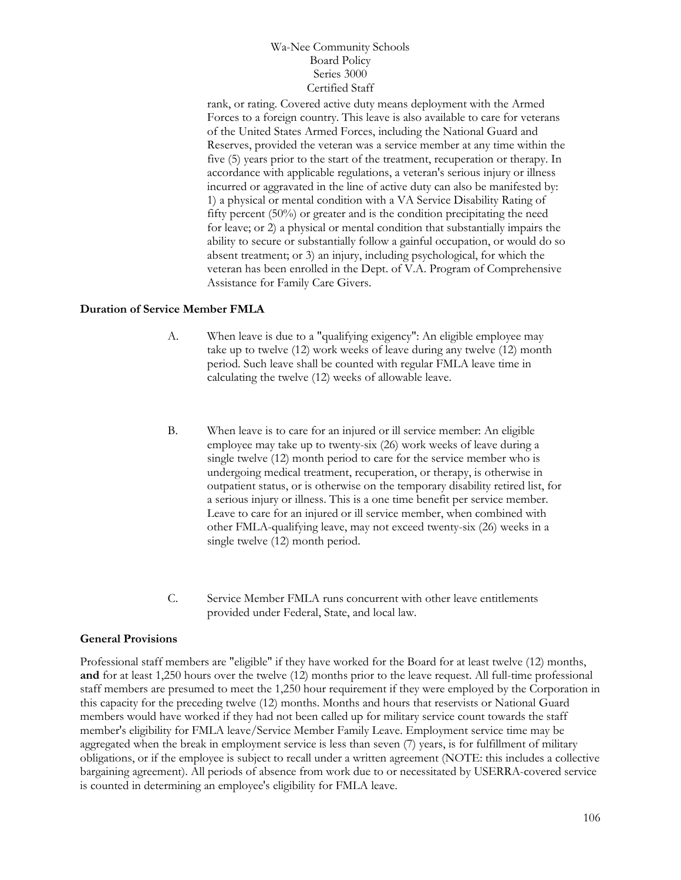rank, or rating. Covered active duty means deployment with the Armed Forces to a foreign country. This leave is also available to care for veterans of the United States Armed Forces, including the National Guard and Reserves, provided the veteran was a service member at any time within the five (5) years prior to the start of the treatment, recuperation or therapy. In accordance with applicable regulations, a veteran's serious injury or illness incurred or aggravated in the line of active duty can also be manifested by: 1) a physical or mental condition with a VA Service Disability Rating of fifty percent (50%) or greater and is the condition precipitating the need for leave; or 2) a physical or mental condition that substantially impairs the ability to secure or substantially follow a gainful occupation, or would do so absent treatment; or 3) an injury, including psychological, for which the veteran has been enrolled in the Dept. of V.A. Program of Comprehensive Assistance for Family Care Givers.

#### **Duration of Service Member FMLA**

- A. When leave is due to a "qualifying exigency": An eligible employee may take up to twelve (12) work weeks of leave during any twelve (12) month period. Such leave shall be counted with regular FMLA leave time in calculating the twelve (12) weeks of allowable leave.
- B. When leave is to care for an injured or ill service member: An eligible employee may take up to twenty-six (26) work weeks of leave during a single twelve (12) month period to care for the service member who is undergoing medical treatment, recuperation, or therapy, is otherwise in outpatient status, or is otherwise on the temporary disability retired list, for a serious injury or illness. This is a one time benefit per service member. Leave to care for an injured or ill service member, when combined with other FMLA-qualifying leave, may not exceed twenty-six (26) weeks in a single twelve (12) month period.
- C. Service Member FMLA runs concurrent with other leave entitlements provided under Federal, State, and local law.

#### **General Provisions**

Professional staff members are "eligible" if they have worked for the Board for at least twelve (12) months, **and** for at least 1,250 hours over the twelve (12) months prior to the leave request. All full-time professional staff members are presumed to meet the 1,250 hour requirement if they were employed by the Corporation in this capacity for the preceding twelve (12) months. Months and hours that reservists or National Guard members would have worked if they had not been called up for military service count towards the staff member's eligibility for FMLA leave/Service Member Family Leave. Employment service time may be aggregated when the break in employment service is less than seven (7) years, is for fulfillment of military obligations, or if the employee is subject to recall under a written agreement (NOTE: this includes a collective bargaining agreement). All periods of absence from work due to or necessitated by USERRA-covered service is counted in determining an employee's eligibility for FMLA leave.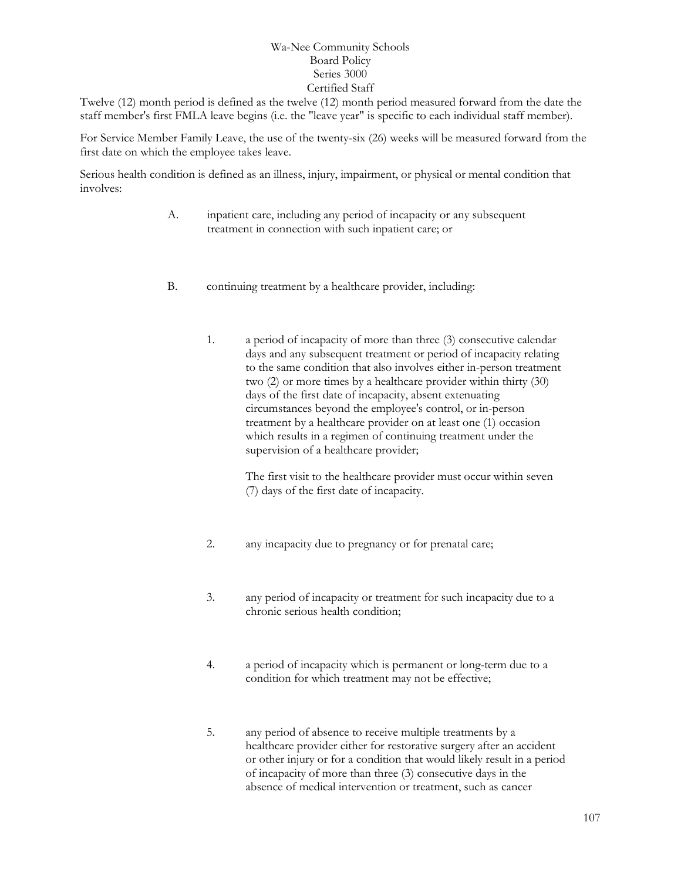Twelve (12) month period is defined as the twelve (12) month period measured forward from the date the staff member's first FMLA leave begins (i.e. the "leave year" is specific to each individual staff member).

For Service Member Family Leave, the use of the twenty-six (26) weeks will be measured forward from the first date on which the employee takes leave.

Serious health condition is defined as an illness, injury, impairment, or physical or mental condition that involves:

- A. inpatient care, including any period of incapacity or any subsequent treatment in connection with such inpatient care; or
- B. continuing treatment by a healthcare provider, including:
	- 1. a period of incapacity of more than three (3) consecutive calendar days and any subsequent treatment or period of incapacity relating to the same condition that also involves either in-person treatment two (2) or more times by a healthcare provider within thirty (30) days of the first date of incapacity, absent extenuating circumstances beyond the employee's control, or in-person treatment by a healthcare provider on at least one (1) occasion which results in a regimen of continuing treatment under the supervision of a healthcare provider;

The first visit to the healthcare provider must occur within seven (7) days of the first date of incapacity.

- 2. any incapacity due to pregnancy or for prenatal care;
- 3. any period of incapacity or treatment for such incapacity due to a chronic serious health condition;
- 4. a period of incapacity which is permanent or long-term due to a condition for which treatment may not be effective;
- 5. any period of absence to receive multiple treatments by a healthcare provider either for restorative surgery after an accident or other injury or for a condition that would likely result in a period of incapacity of more than three (3) consecutive days in the absence of medical intervention or treatment, such as cancer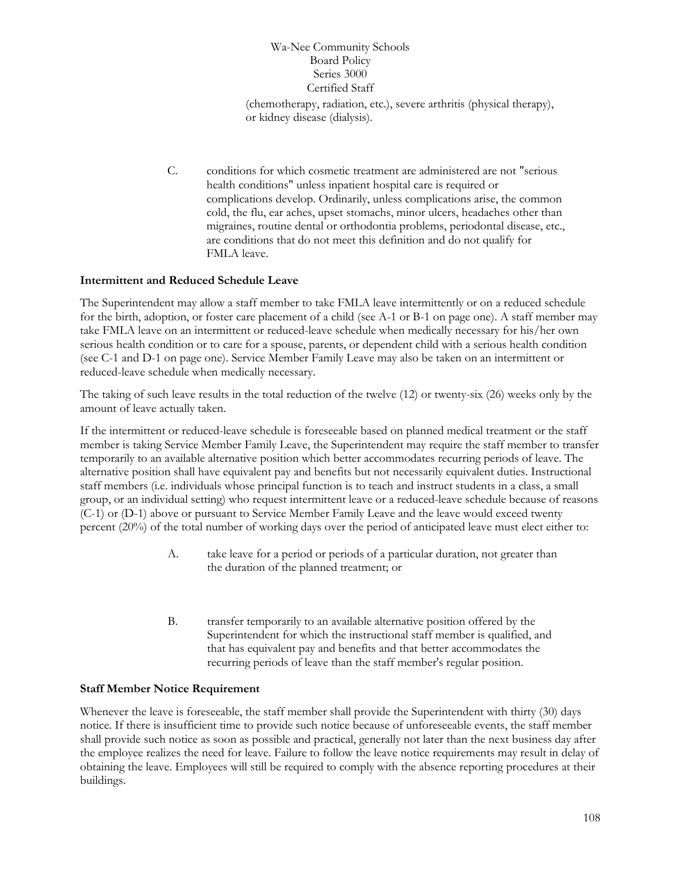(chemotherapy, radiation, etc.), severe arthritis (physical therapy), or kidney disease (dialysis).

C. conditions for which cosmetic treatment are administered are not "serious health conditions" unless inpatient hospital care is required or complications develop. Ordinarily, unless complications arise, the common cold, the flu, ear aches, upset stomachs, minor ulcers, headaches other than migraines, routine dental or orthodontia problems, periodontal disease, etc., are conditions that do not meet this definition and do not qualify for FMLA leave.

#### **Intermittent and Reduced Schedule Leave**

The Superintendent may allow a staff member to take FMLA leave intermittently or on a reduced schedule for the birth, adoption, or foster care placement of a child (see A-1 or B-1 on page one). A staff member may take FMLA leave on an intermittent or reduced-leave schedule when medically necessary for his/her own serious health condition or to care for a spouse, parents, or dependent child with a serious health condition (see C-1 and D-1 on page one). Service Member Family Leave may also be taken on an intermittent or reduced-leave schedule when medically necessary.

The taking of such leave results in the total reduction of the twelve (12) or twenty-six (26) weeks only by the amount of leave actually taken.

If the intermittent or reduced-leave schedule is foreseeable based on planned medical treatment or the staff member is taking Service Member Family Leave, the Superintendent may require the staff member to transfer temporarily to an available alternative position which better accommodates recurring periods of leave. The alternative position shall have equivalent pay and benefits but not necessarily equivalent duties. Instructional staff members (i.e. individuals whose principal function is to teach and instruct students in a class, a small group, or an individual setting) who request intermittent leave or a reduced-leave schedule because of reasons (C-1) or (D-1) above or pursuant to Service Member Family Leave and the leave would exceed twenty percent (20%) of the total number of working days over the period of anticipated leave must elect either to:

- A. take leave for a period or periods of a particular duration, not greater than the duration of the planned treatment; or
- B. transfer temporarily to an available alternative position offered by the Superintendent for which the instructional staff member is qualified, and that has equivalent pay and benefits and that better accommodates the recurring periods of leave than the staff member's regular position.

#### **Staff Member Notice Requirement**

Whenever the leave is foreseeable, the staff member shall provide the Superintendent with thirty (30) days notice. If there is insufficient time to provide such notice because of unforeseeable events, the staff member shall provide such notice as soon as possible and practical, generally not later than the next business day after the employee realizes the need for leave. Failure to follow the leave notice requirements may result in delay of obtaining the leave. Employees will still be required to comply with the absence reporting procedures at their buildings.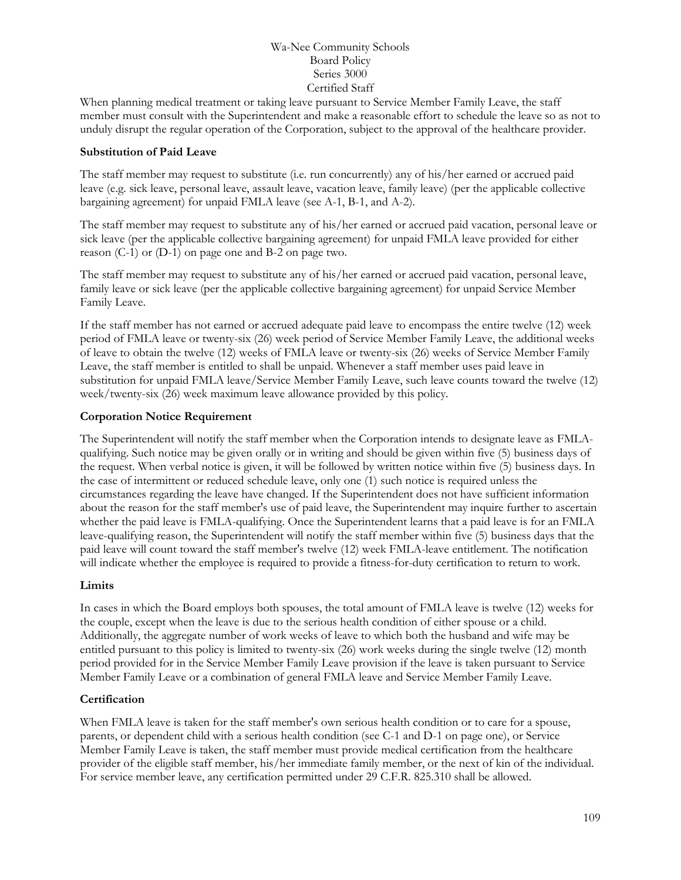When planning medical treatment or taking leave pursuant to Service Member Family Leave, the staff member must consult with the Superintendent and make a reasonable effort to schedule the leave so as not to unduly disrupt the regular operation of the Corporation, subject to the approval of the healthcare provider.

#### **Substitution of Paid Leave**

The staff member may request to substitute (i.e. run concurrently) any of his/her earned or accrued paid leave (e.g. sick leave, personal leave, assault leave, vacation leave, family leave) (per the applicable collective bargaining agreement) for unpaid FMLA leave (see A-1, B-1, and A-2).

The staff member may request to substitute any of his/her earned or accrued paid vacation, personal leave or sick leave (per the applicable collective bargaining agreement) for unpaid FMLA leave provided for either reason (C-1) or (D-1) on page one and B-2 on page two.

The staff member may request to substitute any of his/her earned or accrued paid vacation, personal leave, family leave or sick leave (per the applicable collective bargaining agreement) for unpaid Service Member Family Leave.

If the staff member has not earned or accrued adequate paid leave to encompass the entire twelve (12) week period of FMLA leave or twenty-six (26) week period of Service Member Family Leave, the additional weeks of leave to obtain the twelve (12) weeks of FMLA leave or twenty-six (26) weeks of Service Member Family Leave, the staff member is entitled to shall be unpaid. Whenever a staff member uses paid leave in substitution for unpaid FMLA leave/Service Member Family Leave, such leave counts toward the twelve (12) week/twenty-six (26) week maximum leave allowance provided by this policy.

#### **Corporation Notice Requirement**

The Superintendent will notify the staff member when the Corporation intends to designate leave as FMLAqualifying. Such notice may be given orally or in writing and should be given within five (5) business days of the request. When verbal notice is given, it will be followed by written notice within five (5) business days. In the case of intermittent or reduced schedule leave, only one (1) such notice is required unless the circumstances regarding the leave have changed. If the Superintendent does not have sufficient information about the reason for the staff member's use of paid leave, the Superintendent may inquire further to ascertain whether the paid leave is FMLA-qualifying. Once the Superintendent learns that a paid leave is for an FMLA leave-qualifying reason, the Superintendent will notify the staff member within five (5) business days that the paid leave will count toward the staff member's twelve (12) week FMLA-leave entitlement. The notification will indicate whether the employee is required to provide a fitness-for-duty certification to return to work.

#### **Limits**

In cases in which the Board employs both spouses, the total amount of FMLA leave is twelve (12) weeks for the couple, except when the leave is due to the serious health condition of either spouse or a child. Additionally, the aggregate number of work weeks of leave to which both the husband and wife may be entitled pursuant to this policy is limited to twenty-six (26) work weeks during the single twelve (12) month period provided for in the Service Member Family Leave provision if the leave is taken pursuant to Service Member Family Leave or a combination of general FMLA leave and Service Member Family Leave.

#### **Certification**

When FMLA leave is taken for the staff member's own serious health condition or to care for a spouse, parents, or dependent child with a serious health condition (see C-1 and D-1 on page one), or Service Member Family Leave is taken, the staff member must provide medical certification from the healthcare provider of the eligible staff member, his/her immediate family member, or the next of kin of the individual. For service member leave, any certification permitted under 29 C.F.R. 825.310 shall be allowed.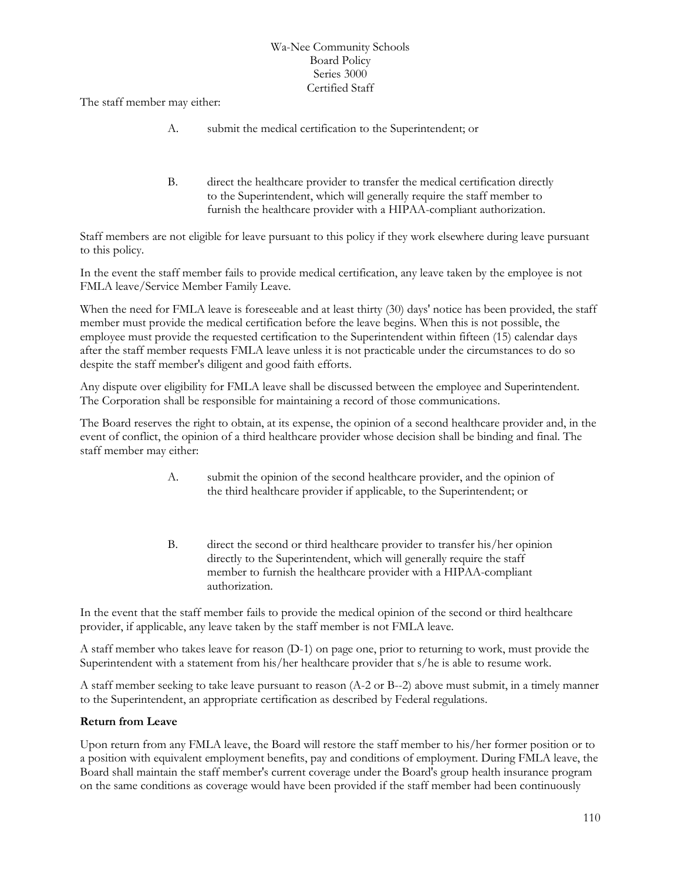The staff member may either:

- A. submit the medical certification to the Superintendent; or
- B. direct the healthcare provider to transfer the medical certification directly to the Superintendent, which will generally require the staff member to furnish the healthcare provider with a HIPAA-compliant authorization.

Staff members are not eligible for leave pursuant to this policy if they work elsewhere during leave pursuant to this policy.

In the event the staff member fails to provide medical certification, any leave taken by the employee is not FMLA leave/Service Member Family Leave.

When the need for FMLA leave is foreseeable and at least thirty (30) days' notice has been provided, the staff member must provide the medical certification before the leave begins. When this is not possible, the employee must provide the requested certification to the Superintendent within fifteen (15) calendar days after the staff member requests FMLA leave unless it is not practicable under the circumstances to do so despite the staff member's diligent and good faith efforts.

Any dispute over eligibility for FMLA leave shall be discussed between the employee and Superintendent. The Corporation shall be responsible for maintaining a record of those communications.

The Board reserves the right to obtain, at its expense, the opinion of a second healthcare provider and, in the event of conflict, the opinion of a third healthcare provider whose decision shall be binding and final. The staff member may either:

- A. submit the opinion of the second healthcare provider, and the opinion of the third healthcare provider if applicable, to the Superintendent; or
- B. direct the second or third healthcare provider to transfer his/her opinion directly to the Superintendent, which will generally require the staff member to furnish the healthcare provider with a HIPAA-compliant authorization.

In the event that the staff member fails to provide the medical opinion of the second or third healthcare provider, if applicable, any leave taken by the staff member is not FMLA leave.

A staff member who takes leave for reason (D-1) on page one, prior to returning to work, must provide the Superintendent with a statement from his/her healthcare provider that s/he is able to resume work.

A staff member seeking to take leave pursuant to reason (A-2 or B--2) above must submit, in a timely manner to the Superintendent, an appropriate certification as described by Federal regulations.

#### **Return from Leave**

Upon return from any FMLA leave, the Board will restore the staff member to his/her former position or to a position with equivalent employment benefits, pay and conditions of employment. During FMLA leave, the Board shall maintain the staff member's current coverage under the Board's group health insurance program on the same conditions as coverage would have been provided if the staff member had been continuously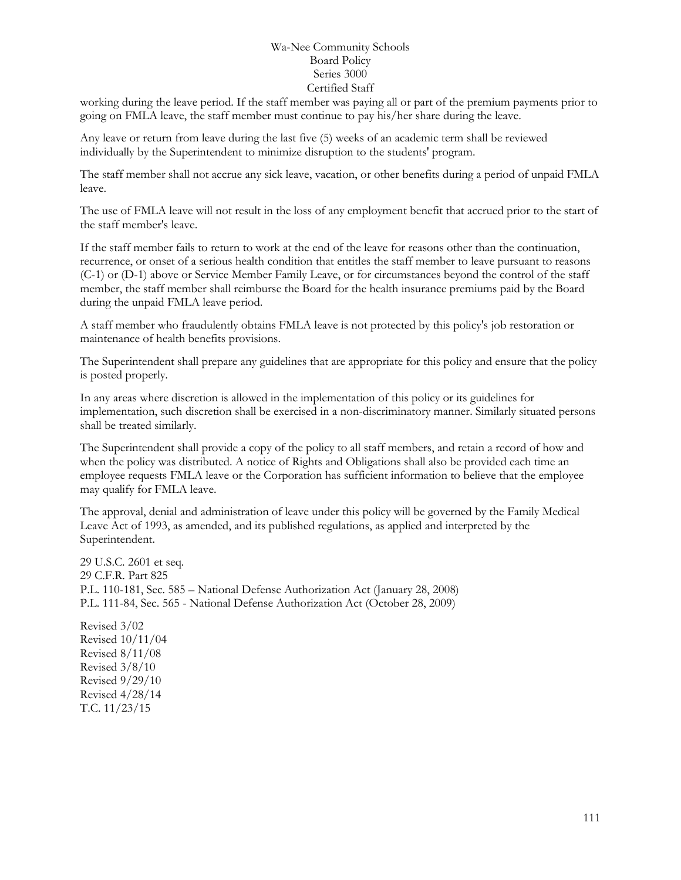working during the leave period. If the staff member was paying all or part of the premium payments prior to going on FMLA leave, the staff member must continue to pay his/her share during the leave.

Any leave or return from leave during the last five (5) weeks of an academic term shall be reviewed individually by the Superintendent to minimize disruption to the students' program.

The staff member shall not accrue any sick leave, vacation, or other benefits during a period of unpaid FMLA leave.

The use of FMLA leave will not result in the loss of any employment benefit that accrued prior to the start of the staff member's leave.

If the staff member fails to return to work at the end of the leave for reasons other than the continuation, recurrence, or onset of a serious health condition that entitles the staff member to leave pursuant to reasons (C-1) or (D-1) above or Service Member Family Leave, or for circumstances beyond the control of the staff member, the staff member shall reimburse the Board for the health insurance premiums paid by the Board during the unpaid FMLA leave period.

A staff member who fraudulently obtains FMLA leave is not protected by this policy's job restoration or maintenance of health benefits provisions.

The Superintendent shall prepare any guidelines that are appropriate for this policy and ensure that the policy is posted properly.

In any areas where discretion is allowed in the implementation of this policy or its guidelines for implementation, such discretion shall be exercised in a non-discriminatory manner. Similarly situated persons shall be treated similarly.

The Superintendent shall provide a copy of the policy to all staff members, and retain a record of how and when the policy was distributed. A notice of Rights and Obligations shall also be provided each time an employee requests FMLA leave or the Corporation has sufficient information to believe that the employee may qualify for FMLA leave.

The approval, denial and administration of leave under this policy will be governed by the Family Medical Leave Act of 1993, as amended, and its published regulations, as applied and interpreted by the Superintendent.

29 U.S.C. 2601 et seq. 29 C.F.R. Part 825 P.L. 110-181, Sec. 585 – National Defense Authorization Act (January 28, 2008) P.L. 111-84, Sec. 565 - National Defense Authorization Act (October 28, 2009)

Revised 3/02 Revised 10/11/04 Revised 8/11/08 Revised 3/8/10 Revised 9/29/10 Revised 4/28/14 T.C. 11/23/15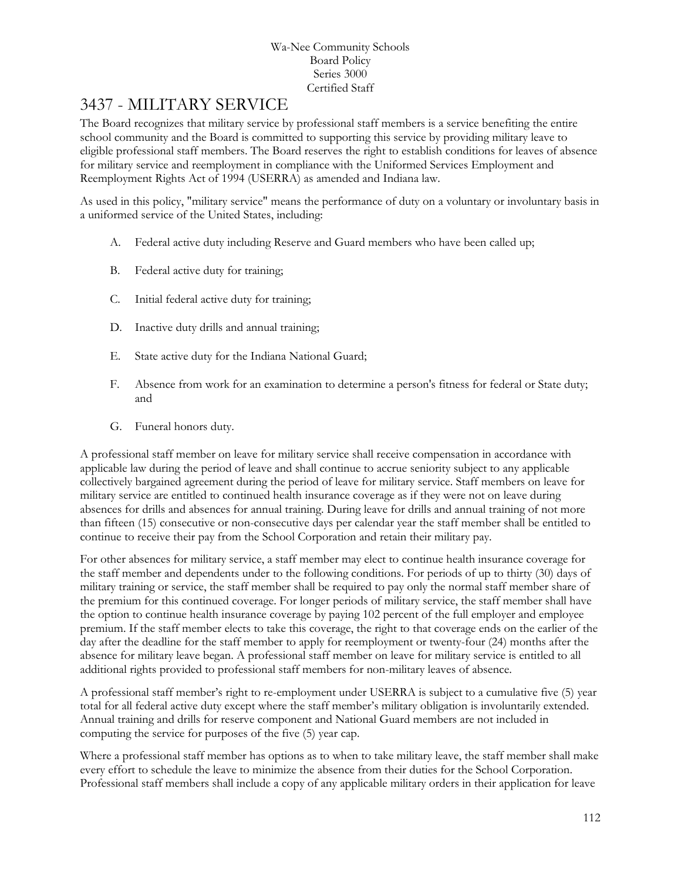### 3437 - MILITARY SERVICE

The Board recognizes that military service by professional staff members is a service benefiting the entire school community and the Board is committed to supporting this service by providing military leave to eligible professional staff members. The Board reserves the right to establish conditions for leaves of absence for military service and reemployment in compliance with the Uniformed Services Employment and Reemployment Rights Act of 1994 (USERRA) as amended and Indiana law.

As used in this policy, "military service" means the performance of duty on a voluntary or involuntary basis in a uniformed service of the United States, including:

- A. Federal active duty including Reserve and Guard members who have been called up;
- B. Federal active duty for training;
- C. Initial federal active duty for training;
- D. Inactive duty drills and annual training;
- E. State active duty for the Indiana National Guard;
- F. Absence from work for an examination to determine a person's fitness for federal or State duty; and
- G. Funeral honors duty.

A professional staff member on leave for military service shall receive compensation in accordance with applicable law during the period of leave and shall continue to accrue seniority subject to any applicable collectively bargained agreement during the period of leave for military service. Staff members on leave for military service are entitled to continued health insurance coverage as if they were not on leave during absences for drills and absences for annual training. During leave for drills and annual training of not more than fifteen (15) consecutive or non-consecutive days per calendar year the staff member shall be entitled to continue to receive their pay from the School Corporation and retain their military pay.

For other absences for military service, a staff member may elect to continue health insurance coverage for the staff member and dependents under to the following conditions. For periods of up to thirty (30) days of military training or service, the staff member shall be required to pay only the normal staff member share of the premium for this continued coverage. For longer periods of military service, the staff member shall have the option to continue health insurance coverage by paying 102 percent of the full employer and employee premium. If the staff member elects to take this coverage, the right to that coverage ends on the earlier of the day after the deadline for the staff member to apply for reemployment or twenty-four (24) months after the absence for military leave began. A professional staff member on leave for military service is entitled to all additional rights provided to professional staff members for non-military leaves of absence.

A professional staff member's right to re-employment under USERRA is subject to a cumulative five (5) year total for all federal active duty except where the staff member's military obligation is involuntarily extended. Annual training and drills for reserve component and National Guard members are not included in computing the service for purposes of the five (5) year cap.

Where a professional staff member has options as to when to take military leave, the staff member shall make every effort to schedule the leave to minimize the absence from their duties for the School Corporation. Professional staff members shall include a copy of any applicable military orders in their application for leave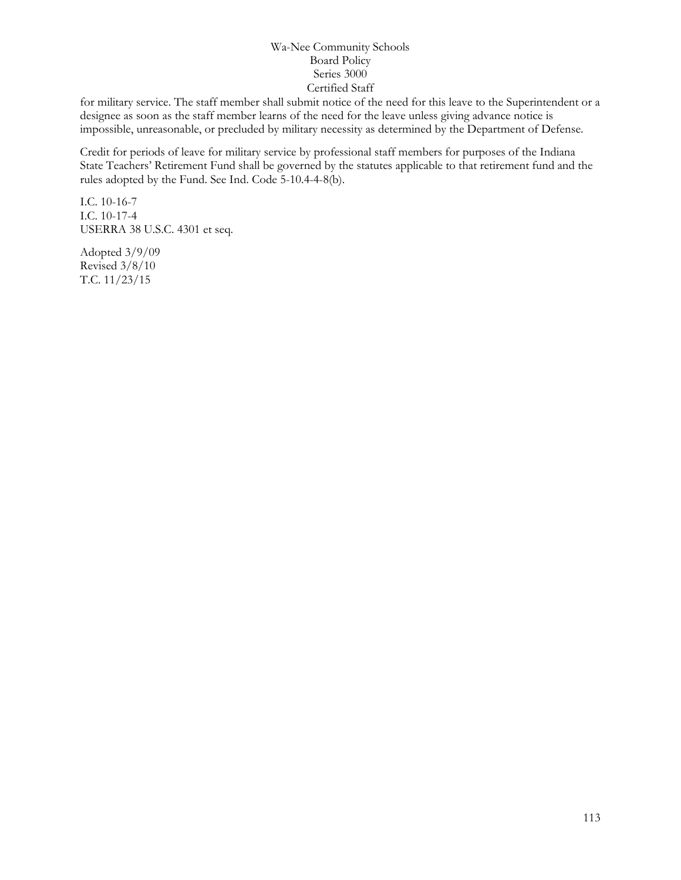for military service. The staff member shall submit notice of the need for this leave to the Superintendent or a designee as soon as the staff member learns of the need for the leave unless giving advance notice is impossible, unreasonable, or precluded by military necessity as determined by the Department of Defense.

Credit for periods of leave for military service by professional staff members for purposes of the Indiana State Teachers' Retirement Fund shall be governed by the statutes applicable to that retirement fund and the rules adopted by the Fund. See Ind. Code 5-10.4-4-8(b).

I.C. 10-16-7 I.C. 10-17-4 USERRA 38 U.S.C. 4301 et seq.

Adopted 3/9/09 Revised 3/8/10 T.C. 11/23/15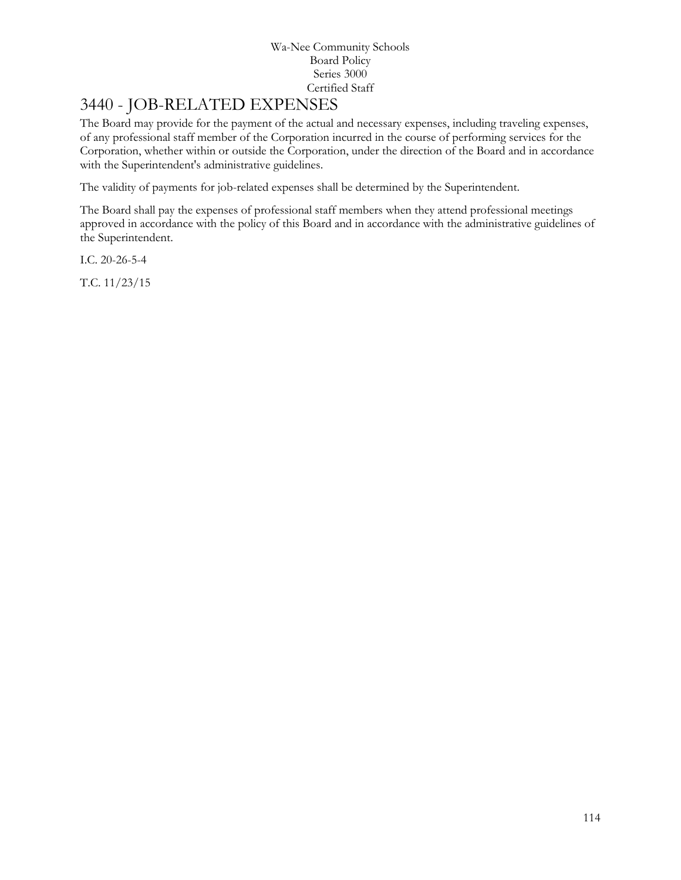# 3440 - JOB-RELATED EXPENSES

The Board may provide for the payment of the actual and necessary expenses, including traveling expenses, of any professional staff member of the Corporation incurred in the course of performing services for the Corporation, whether within or outside the Corporation, under the direction of the Board and in accordance with the Superintendent's administrative guidelines.

The validity of payments for job-related expenses shall be determined by the Superintendent.

The Board shall pay the expenses of professional staff members when they attend professional meetings approved in accordance with the policy of this Board and in accordance with the administrative guidelines of the Superintendent.

I.C. 20-26-5-4

T.C. 11/23/15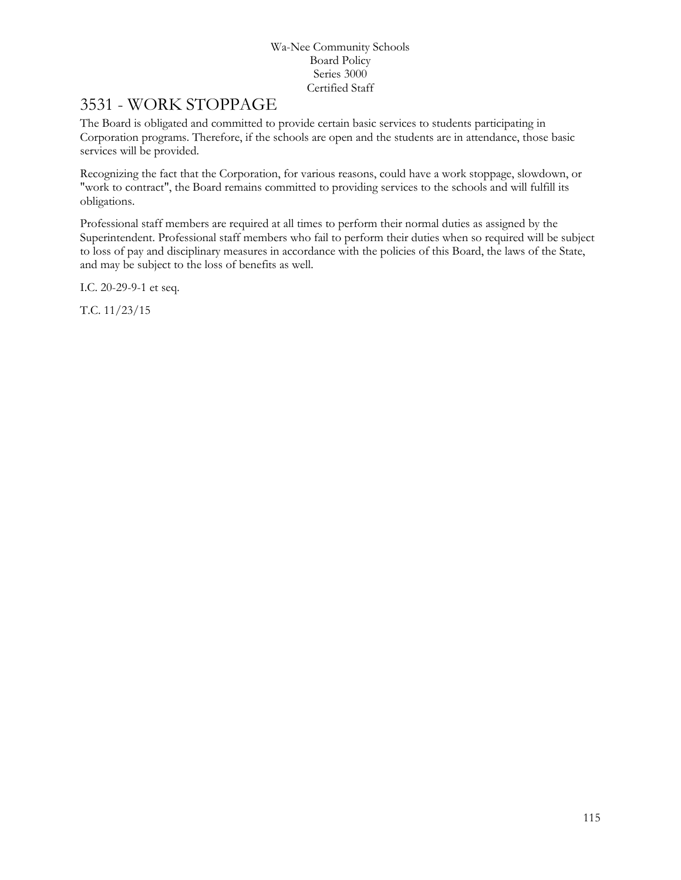## 3531 - WORK STOPPAGE

The Board is obligated and committed to provide certain basic services to students participating in Corporation programs. Therefore, if the schools are open and the students are in attendance, those basic services will be provided.

Recognizing the fact that the Corporation, for various reasons, could have a work stoppage, slowdown, or "work to contract", the Board remains committed to providing services to the schools and will fulfill its obligations.

Professional staff members are required at all times to perform their normal duties as assigned by the Superintendent. Professional staff members who fail to perform their duties when so required will be subject to loss of pay and disciplinary measures in accordance with the policies of this Board, the laws of the State, and may be subject to the loss of benefits as well.

I.C. 20-29-9-1 et seq.

T.C. 11/23/15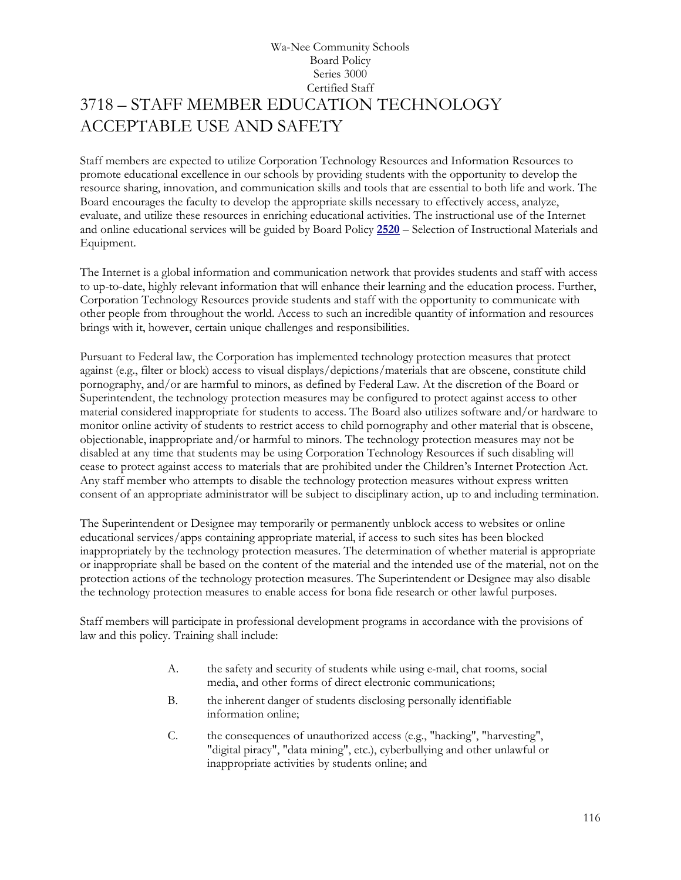### Wa-Nee Community Schools Board Policy Series 3000 Certified Staff 3718 – STAFF MEMBER EDUCATION TECHNOLOGY ACCEPTABLE USE AND SAFETY

Staff members are expected to utilize Corporation Technology Resources and Information Resources to promote educational excellence in our schools by providing students with the opportunity to develop the resource sharing, innovation, and communication skills and tools that are essential to both life and work. The Board encourages the faculty to develop the appropriate skills necessary to effectively access, analyze, evaluate, and utilize these resources in enriching educational activities. The instructional use of the Internet and online educational services will be guided by Board Policy **[2520](http://www.neola.com/wanee-in/search/policies/po2520.htm)** – Selection of Instructional Materials and Equipment.

The Internet is a global information and communication network that provides students and staff with access to up-to-date, highly relevant information that will enhance their learning and the education process. Further, Corporation Technology Resources provide students and staff with the opportunity to communicate with other people from throughout the world. Access to such an incredible quantity of information and resources brings with it, however, certain unique challenges and responsibilities.

Pursuant to Federal law, the Corporation has implemented technology protection measures that protect against (e.g., filter or block) access to visual displays/depictions/materials that are obscene, constitute child pornography, and/or are harmful to minors, as defined by Federal Law. At the discretion of the Board or Superintendent, the technology protection measures may be configured to protect against access to other material considered inappropriate for students to access. The Board also utilizes software and/or hardware to monitor online activity of students to restrict access to child pornography and other material that is obscene, objectionable, inappropriate and/or harmful to minors. The technology protection measures may not be disabled at any time that students may be using Corporation Technology Resources if such disabling will cease to protect against access to materials that are prohibited under the Children's Internet Protection Act. Any staff member who attempts to disable the technology protection measures without express written consent of an appropriate administrator will be subject to disciplinary action, up to and including termination.

The Superintendent or Designee may temporarily or permanently unblock access to websites or online educational services/apps containing appropriate material, if access to such sites has been blocked inappropriately by the technology protection measures. The determination of whether material is appropriate or inappropriate shall be based on the content of the material and the intended use of the material, not on the protection actions of the technology protection measures. The Superintendent or Designee may also disable the technology protection measures to enable access for bona fide research or other lawful purposes.

Staff members will participate in professional development programs in accordance with the provisions of law and this policy. Training shall include:

- A. the safety and security of students while using e-mail, chat rooms, social media, and other forms of direct electronic communications;
- B. the inherent danger of students disclosing personally identifiable information online;
- C. the consequences of unauthorized access (e.g., "hacking", "harvesting", "digital piracy", "data mining", etc.), cyberbullying and other unlawful or inappropriate activities by students online; and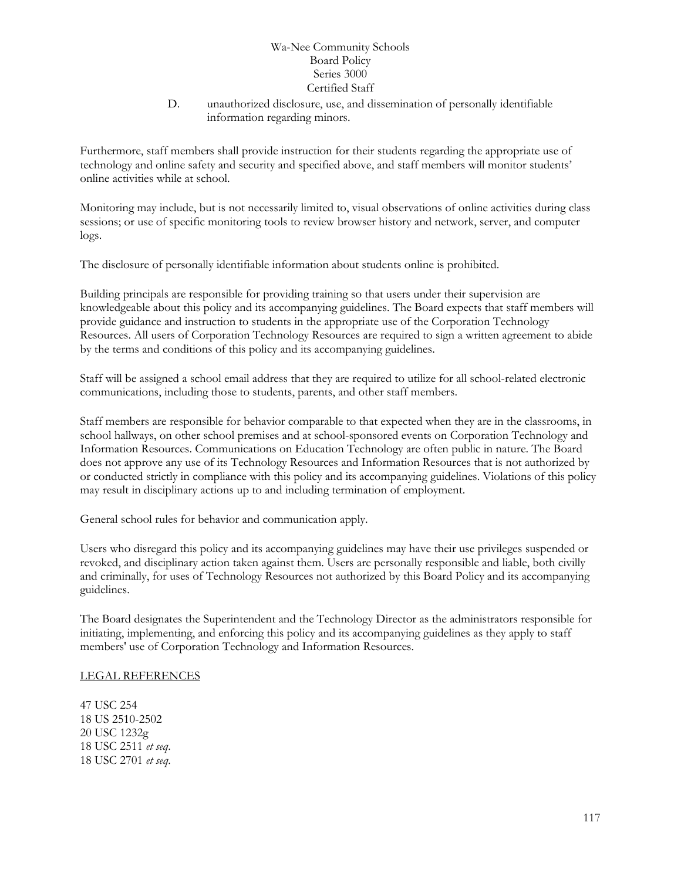D. unauthorized disclosure, use, and dissemination of personally identifiable information regarding minors.

Furthermore, staff members shall provide instruction for their students regarding the appropriate use of technology and online safety and security and specified above, and staff members will monitor students' online activities while at school.

Monitoring may include, but is not necessarily limited to, visual observations of online activities during class sessions; or use of specific monitoring tools to review browser history and network, server, and computer logs.

The disclosure of personally identifiable information about students online is prohibited.

Building principals are responsible for providing training so that users under their supervision are knowledgeable about this policy and its accompanying guidelines. The Board expects that staff members will provide guidance and instruction to students in the appropriate use of the Corporation Technology Resources. All users of Corporation Technology Resources are required to sign a written agreement to abide by the terms and conditions of this policy and its accompanying guidelines.

Staff will be assigned a school email address that they are required to utilize for all school-related electronic communications, including those to students, parents, and other staff members.

Staff members are responsible for behavior comparable to that expected when they are in the classrooms, in school hallways, on other school premises and at school-sponsored events on Corporation Technology and Information Resources. Communications on Education Technology are often public in nature. The Board does not approve any use of its Technology Resources and Information Resources that is not authorized by or conducted strictly in compliance with this policy and its accompanying guidelines. Violations of this policy may result in disciplinary actions up to and including termination of employment.

General school rules for behavior and communication apply.

Users who disregard this policy and its accompanying guidelines may have their use privileges suspended or revoked, and disciplinary action taken against them. Users are personally responsible and liable, both civilly and criminally, for uses of Technology Resources not authorized by this Board Policy and its accompanying guidelines.

The Board designates the Superintendent and the Technology Director as the administrators responsible for initiating, implementing, and enforcing this policy and its accompanying guidelines as they apply to staff members' use of Corporation Technology and Information Resources.

#### LEGAL REFERENCES

47 USC 254 18 US 2510-2502 20 USC 1232g 18 USC 2511 *et seq*. 18 USC 2701 *et seq*.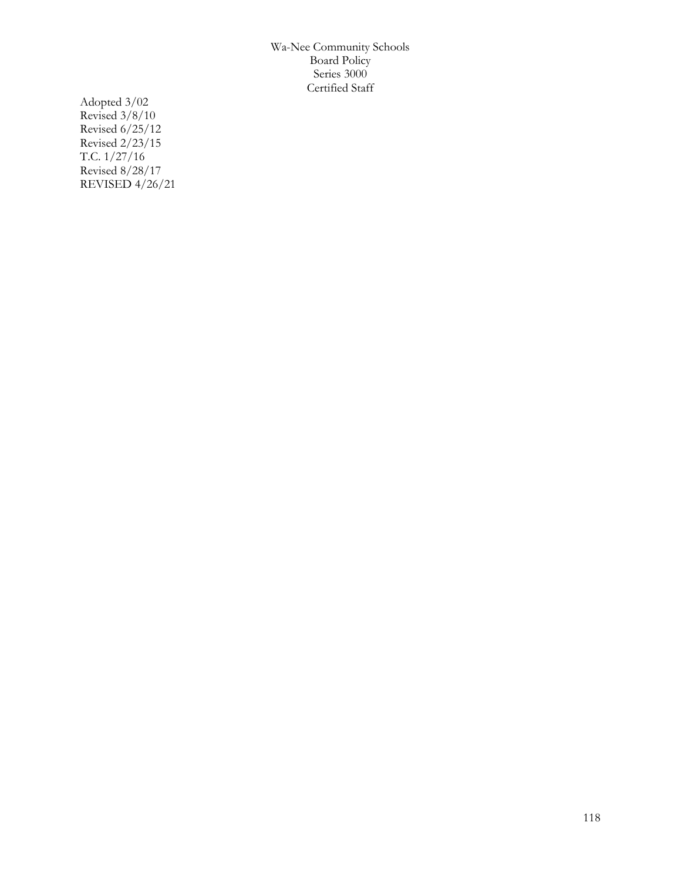Adopted 3/02 Revised 3/8/10 Revised 6/25/12 Revised 2/23/15 T.C. 1/27/16 Revised 8/28/17 REVISED 4/26/21